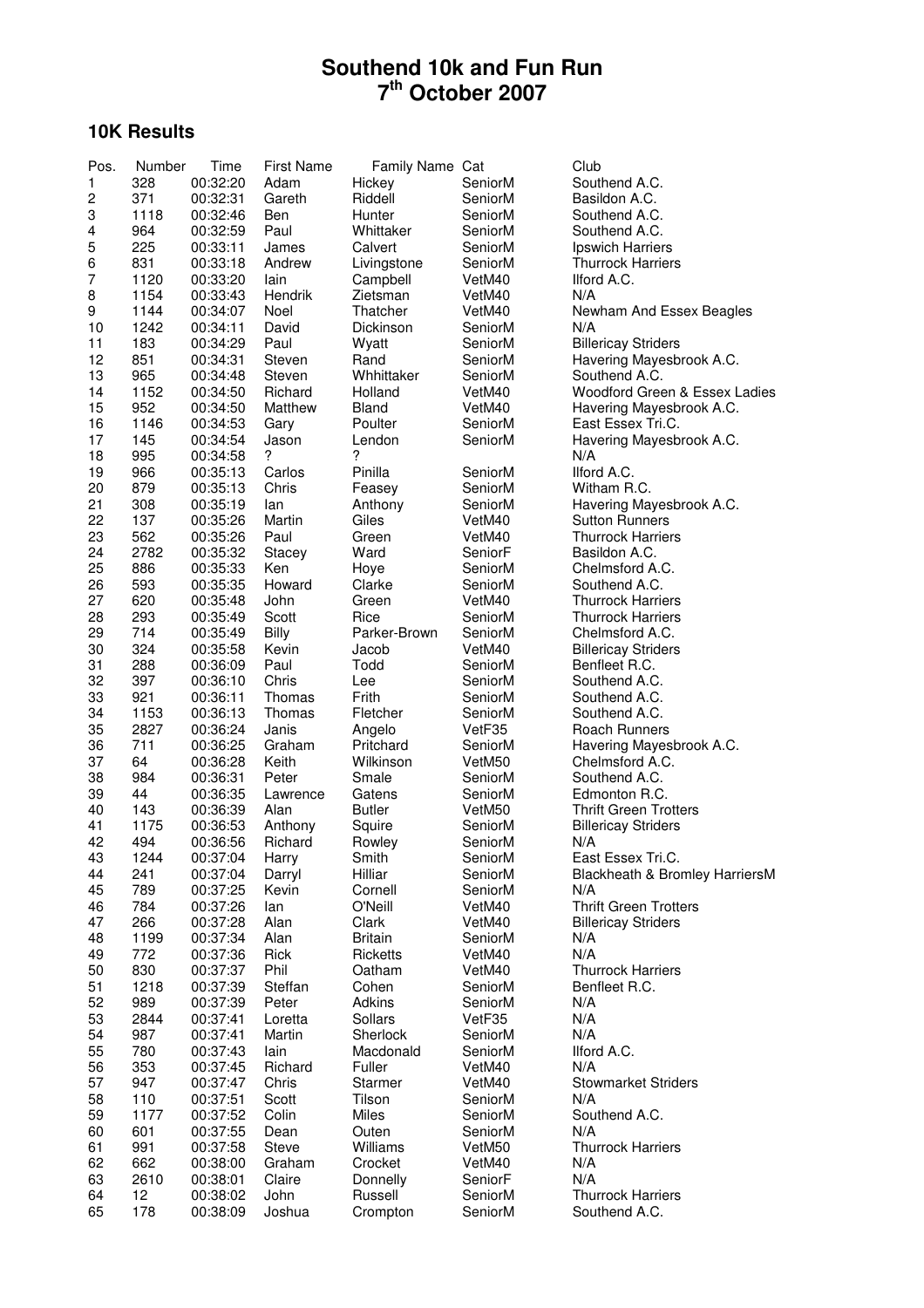# **10K Results**

| Pos.           | Number      | Time                 | <b>First Name</b> | Family Name Cat    |                    | Club                                  |
|----------------|-------------|----------------------|-------------------|--------------------|--------------------|---------------------------------------|
| 1              | 328         | 00:32:20             | Adam              | Hickey             | SeniorM            | Southend A.C.                         |
| 2              | 371         | 00:32:31             | Gareth            | Riddell            | SeniorM            | Basildon A.C.                         |
| 3              | 1118        | 00:32:46             | Ben               | Hunter             | SeniorM            | Southend A.C.                         |
| 4              | 964         | 00:32:59             | Paul              | Whittaker          | SeniorM            | Southend A.C.                         |
| 5              | 225         | 00:33:11             | James             | Calvert            | SeniorM            | Ipswich Harriers                      |
| 6              | 831         | 00:33:18             | Andrew            | Livingstone        | SeniorM            | <b>Thurrock Harriers</b>              |
| $\overline{7}$ | 1120        | 00:33:20             | lain              | Campbell           | VetM40             | Ilford A.C.                           |
| 8              | 1154        | 00:33:43             | Hendrik           | Zietsman           | VetM40             | N/A                                   |
| 9              | 1144        | 00:34:07             | Noel              | Thatcher           | VetM40             | Newham And Essex Beagles              |
| 10             | 1242        | 00:34:11             | David             | Dickinson          | SeniorM            | N/A                                   |
| 11             | 183         | 00:34:29             | Paul              | Wyatt              | SeniorM            | <b>Billericay Striders</b>            |
| 12             | 851         | 00:34:31             | Steven            | Rand               | SeniorM            | Havering Mayesbrook A.C.              |
| 13             | 965         | 00:34:48             | Steven            | Whhittaker         | SeniorM            | Southend A.C.                         |
| 14             | 1152        | 00:34:50             | Richard           | Holland            | VetM40             | Woodford Green & Essex Ladies         |
| 15             | 952         | 00:34:50             | Matthew           | Bland              | VetM40             | Havering Mayesbrook A.C.              |
| 16<br>17       | 1146<br>145 | 00:34:53<br>00:34:54 | Gary<br>Jason     | Poulter<br>Lendon  | SeniorM<br>SeniorM | East Essex Tri.C.                     |
| 18             | 995         | 00:34:58             | ?                 | ?                  |                    | Havering Mayesbrook A.C.<br>N/A       |
| 19             | 966         | 00:35:13             | Carlos            | Pinilla            | SeniorM            | Ilford A.C.                           |
| 20             | 879         | 00:35:13             | Chris             | Feasey             | SeniorM            | Witham R.C.                           |
| 21             | 308         | 00:35:19             | lan               | Anthony            | SeniorM            | Havering Mayesbrook A.C.              |
| 22             | 137         | 00:35:26             | Martin            | Giles              | VetM40             | <b>Sutton Runners</b>                 |
| 23             | 562         | 00:35:26             | Paul              | Green              | VetM40             | <b>Thurrock Harriers</b>              |
| 24             | 2782        | 00:35:32             | Stacey            | Ward               | SeniorF            | Basildon A.C.                         |
| 25             | 886         | 00:35:33             | Ken               | Hoye               | SeniorM            | Chelmsford A.C.                       |
| 26             | 593         | 00:35:35             | Howard            | Clarke             | SeniorM            | Southend A.C.                         |
| 27             | 620         | 00:35:48             | John              | Green              | VetM40             | <b>Thurrock Harriers</b>              |
| 28             | 293         | 00:35:49             | Scott             | Rice               | SeniorM            | <b>Thurrock Harriers</b>              |
| 29             | 714         | 00:35:49             | Billy             | Parker-Brown       | SeniorM            | Chelmsford A.C.                       |
| 30             | 324         | 00:35:58             | Kevin             | Jacob              | VetM40             | <b>Billericay Striders</b>            |
| 31             | 288         | 00:36:09             | Paul              | Todd               | SeniorM            | Benfleet R.C.                         |
| 32             | 397         | 00:36:10             | Chris             | Lee                | SeniorM            | Southend A.C.                         |
| 33             | 921         | 00:36:11             | Thomas            | Frith              | SeniorM            | Southend A.C.                         |
| 34             | 1153        | 00:36:13             | Thomas            | Fletcher           | SeniorM            | Southend A.C.                         |
| 35             | 2827        | 00:36:24             | Janis             | Angelo             | VetF35             | Roach Runners                         |
| 36             | 711         | 00:36:25             | Graham            | Pritchard          | SeniorM            | Havering Mayesbrook A.C.              |
| 37             | 64          | 00:36:28             | Keith             | Wilkinson          | VetM50             | Chelmsford A.C.                       |
| 38             | 984         | 00:36:31             | Peter             | Smale              | SeniorM            | Southend A.C.                         |
| 39             | 44          | 00:36:35             | Lawrence          | Gatens             | SeniorM            | Edmonton R.C.                         |
| 40             | 143         | 00:36:39             | Alan              | <b>Butler</b>      | VetM50             | <b>Thrift Green Trotters</b>          |
| 41             | 1175        | 00:36:53             | Anthony           | Squire             | SeniorM            | <b>Billericay Striders</b>            |
| 42             | 494         | 00:36:56             | Richard           | Rowley             | SeniorM            | N/A                                   |
| 43             | 1244        | 00:37:04             | Harry             | Smith              | SeniorM            | East Essex Tri.C.                     |
| 44<br>45       | 241<br>789  | 00:37:04             | Darryl<br>Kevin   | Hilliar            | SeniorM            | Blackheath & Bromley HarriersM<br>N/A |
| 46             | 784         | 00:37:25<br>00:37:26 | lan               | Cornell<br>O'Neill | SeniorM<br>VetM40  | <b>Thrift Green Trotters</b>          |
| 47             | 266         | 00:37:28             | Alan              | Clark              | VetM40             | <b>Billericay Striders</b>            |
| 48             | 1199        | 00:37:34             | Alan              | <b>Britain</b>     | SeniorM            | N/A                                   |
| 49             | 772         | 00:37:36             | Rick              | Ricketts           | VetM40             | N/A                                   |
| 50             | 830         | 00:37:37             | Phil              | Oatham             | VetM40             | <b>Thurrock Harriers</b>              |
| 51             | 1218        | 00:37:39             | Steffan           | Cohen              | SeniorM            | Benfleet R.C.                         |
| 52             | 989         | 00:37:39             | Peter             | Adkins             | SeniorM            | N/A                                   |
| 53             | 2844        | 00:37:41             | Loretta           | Sollars            | VetF35             | N/A                                   |
| 54             | 987         | 00:37:41             | Martin            | Sherlock           | SeniorM            | N/A                                   |
| 55             | 780         | 00:37:43             | lain              | Macdonald          | SeniorM            | Ilford A.C.                           |
| 56             | 353         | 00:37:45             | Richard           | Fuller             | VetM40             | N/A                                   |
| 57             | 947         | 00:37:47             | Chris             | Starmer            | VetM40             | <b>Stowmarket Striders</b>            |
| 58             | 110         | 00:37:51             | Scott             | Tilson             | SeniorM            | N/A                                   |
| 59             | 1177        | 00:37:52             | Colin             | Miles              | SeniorM            | Southend A.C.                         |
| 60             | 601         | 00:37:55             | Dean              | Outen              | SeniorM            | N/A                                   |
| 61             | 991         | 00:37:58             | Steve             | Williams           | VetM50             | <b>Thurrock Harriers</b>              |
| 62             | 662         | 00:38:00             | Graham            | Crocket            | VetM40             | N/A                                   |
| 63             | 2610        | 00:38:01             | Claire            | Donnelly           | SeniorF            | N/A                                   |
| 64             | 12          | 00:38:02             | John              | Russell            | SeniorM            | <b>Thurrock Harriers</b>              |
| 65             | 178         | 00:38:09             | Joshua            | Crompton           | SeniorM            | Southend A.C.                         |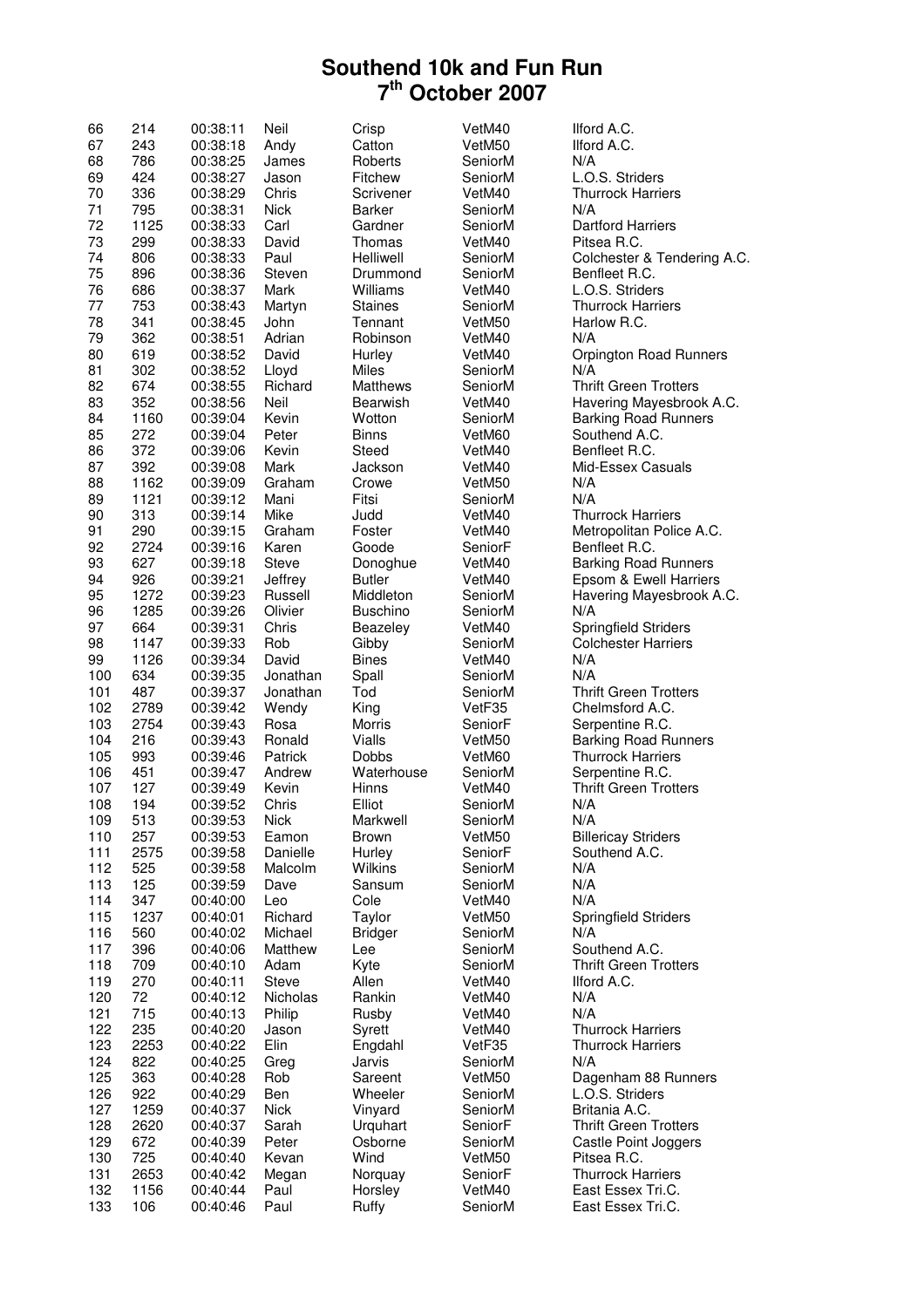| 66         | 214  | 00:38:11 | Neil               | Crisp               | VetM40  | Ilford A.C.                  |
|------------|------|----------|--------------------|---------------------|---------|------------------------------|
| 67         | 243  | 00:38:18 | Andy               | Catton              | VetM50  | Ilford A.C.                  |
| 68         | 786  | 00:38:25 | James              | Roberts             | SeniorM | N/A                          |
| 69         | 424  | 00:38:27 | Jason              | Fitchew             | SeniorM | L.O.S. Striders              |
| 70         | 336  | 00:38:29 | Chris              | Scrivener           | VetM40  | <b>Thurrock Harriers</b>     |
| 71         | 795  | 00:38:31 | Nick               | <b>Barker</b>       | SeniorM | N/A                          |
| 72         | 1125 | 00:38:33 | Carl               | Gardner             | SeniorM | <b>Dartford Harriers</b>     |
| 73         | 299  | 00:38:33 | David              | Thomas              | VetM40  | Pitsea R.C.                  |
| 74         | 806  | 00:38:33 | Paul               | Helliwell           | SeniorM | Colchester & Tendering A.C.  |
| 75         | 896  | 00:38:36 | Steven             | Drummond            | SeniorM | Benfleet R.C.                |
| 76         | 686  | 00:38:37 | Mark               | Williams            | VetM40  | L.O.S. Striders              |
| 77         | 753  | 00:38:43 | Martyn             | <b>Staines</b>      | SeniorM | <b>Thurrock Harriers</b>     |
| 78         | 341  | 00:38:45 | John               | Tennant             | VetM50  | Harlow R.C.                  |
| 79         | 362  | 00:38:51 | Adrian             | Robinson            | VetM40  | N/A                          |
| 80         | 619  | 00:38:52 | David              | Hurley              | VetM40  | Orpington Road Runners       |
| 81         | 302  | 00:38:52 | Lloyd              | Miles               | SeniorM | N/A                          |
| 82         | 674  | 00:38:55 | Richard            | Matthews            | SeniorM | <b>Thrift Green Trotters</b> |
| 83         | 352  | 00:38:56 | Neil               | Bearwish            | VetM40  | Havering Mayesbrook A.C.     |
| 84         | 1160 | 00:39:04 | Kevin              | Wotton              | SeniorM | <b>Barking Road Runners</b>  |
| 85         | 272  | 00:39:04 | Peter              | <b>Binns</b>        | VetM60  | Southend A.C.                |
| 86         | 372  | 00:39:06 | Kevin              | Steed               | VetM40  | Benfleet R.C.                |
| 87         | 392  | 00:39:08 | Mark               | Jackson             | VetM40  | Mid-Essex Casuals            |
| 88         | 1162 | 00:39:09 | Graham             | Crowe               | VetM50  | N/A                          |
| 89         | 1121 | 00:39:12 | Mani               | Fitsi               | SeniorM | N/A                          |
| 90         | 313  | 00:39:14 | Mike               | Judd                | VetM40  | <b>Thurrock Harriers</b>     |
| 91         | 290  | 00:39:15 | Graham             | Foster              | VetM40  | Metropolitan Police A.C.     |
| 92         | 2724 | 00:39:16 | Karen              | Goode               | SeniorF | Benfleet R.C.                |
| 93         | 627  | 00:39:18 | <b>Steve</b>       | Donoghue            | VetM40  | <b>Barking Road Runners</b>  |
| 94         | 926  | 00:39:21 | Jeffrey            | <b>Butler</b>       | VetM40  | Epsom & Ewell Harriers       |
| 95         | 1272 | 00:39:23 | Russell            | Middleton           | SeniorM | Havering Mayesbrook A.C.     |
| 96         | 1285 | 00:39:26 | Olivier            | <b>Buschino</b>     | SeniorM | N/A                          |
| 97         | 664  | 00:39:31 | Chris              | Beazeley            | VetM40  | <b>Springfield Striders</b>  |
| 98         | 1147 | 00:39:33 | Rob                | Gibby               | SeniorM | <b>Colchester Harriers</b>   |
| 99         | 1126 | 00:39:34 | David              | <b>Bines</b>        | VetM40  | N/A                          |
| 100        | 634  | 00:39:35 | Jonathan           | Spall               | SeniorM | N/A                          |
| 101        | 487  | 00:39:37 | Jonathan           | Tod                 | SeniorM | <b>Thrift Green Trotters</b> |
| 102        | 2789 | 00:39:42 | Wendy              | King                | VetF35  | Chelmsford A.C.              |
| 103        | 2754 | 00:39:43 | Rosa               | Morris              | SeniorF | Serpentine R.C.              |
| 104        | 216  | 00:39:43 | Ronald             | <b>Vialls</b>       | VetM50  | <b>Barking Road Runners</b>  |
| 105        | 993  | 00:39:46 | Patrick            | <b>Dobbs</b>        | VetM60  | <b>Thurrock Harriers</b>     |
| 106        | 451  | 00:39:47 | Andrew             | Waterhouse          | SeniorM | Serpentine R.C.              |
| 107        | 127  | 00:39:49 | Kevin              | Hinns               | VetM40  | <b>Thrift Green Trotters</b> |
| 108        | 194  | 00:39:52 | Chris              | Elliot              | SeniorM | N/A                          |
| 109        | 513  | 00:39:53 | Nick               | Markwell            | SeniorM | N/A                          |
| 110        | 257  | 00:39:53 | Eamon              | <b>Brown</b>        | VetM50  | <b>Billericay Striders</b>   |
| 111        | 2575 | 00:39:58 | Danielle           | Hurley              | SeniorF | Southend A.C.                |
| 112        | 525  | 00:39:58 | Malcolm            | <b>Wilkins</b>      | SeniorM | N/A                          |
| 113        | 125  | 00:39:59 | Dave               | Sansum              | SeniorM | N/A                          |
| 114        | 347  | 00:40:00 | Leo                | Cole                | VetM40  | N/A                          |
| 115        | 1237 | 00:40:01 | Richard            | Taylor              | VetM50  | Springfield Striders         |
| 116        | 560  | 00:40:02 | Michael            | <b>Bridger</b>      | SeniorM | N/A                          |
| 117        | 396  | 00:40:06 | Matthew            | Lee                 | SeniorM | Southend A.C.                |
| 118        | 709  | 00:40:10 | Adam               | Kyte                | SeniorM | <b>Thrift Green Trotters</b> |
| 119        | 270  | 00:40:11 | <b>Steve</b>       | Allen               | VetM40  | Ilford A.C.                  |
| 120        | 72   | 00:40:12 | Nicholas           | Rankin              | VetM40  | N/A                          |
| 121        | 715  | 00:40:13 | Philip             | Rusby               | VetM40  | N/A                          |
| 122        | 235  | 00:40:20 | Jason              | Syrett              | VetM40  | <b>Thurrock Harriers</b>     |
| 123        | 2253 | 00:40:22 | Elin               | Engdahl             | VetF35  | <b>Thurrock Harriers</b>     |
| 124        | 822  | 00:40:25 | Greg               | Jarvis              | SeniorM | N/A                          |
| 125        | 363  | 00:40:28 | Rob                | Sareent             | VetM50  | Dagenham 88 Runners          |
|            | 922  |          |                    | Wheeler             | SeniorM | L.O.S. Striders              |
| 126<br>127 |      | 00:40:29 | Ben<br><b>Nick</b> |                     | SeniorM | Britania A.C.                |
|            | 1259 | 00:40:37 |                    | Vinyard             |         |                              |
| 128        | 2620 | 00:40:37 | Sarah              | Urquhart<br>Osborne | SeniorF | <b>Thrift Green Trotters</b> |
| 129        | 672  | 00:40:39 | Peter              |                     | SeniorM | Castle Point Joggers         |
| 130        | 725  | 00:40:40 | Kevan              | Wind                | VetM50  | Pitsea R.C.                  |
| 131        | 2653 | 00:40:42 | Megan              | Norquay             | SeniorF | <b>Thurrock Harriers</b>     |
| 132        | 1156 | 00:40:44 | Paul               | Horsley             | VetM40  | East Essex Tri.C.            |
| 133        | 106  | 00:40:46 | Paul               | Ruffy               | SeniorM | East Essex Tri.C.            |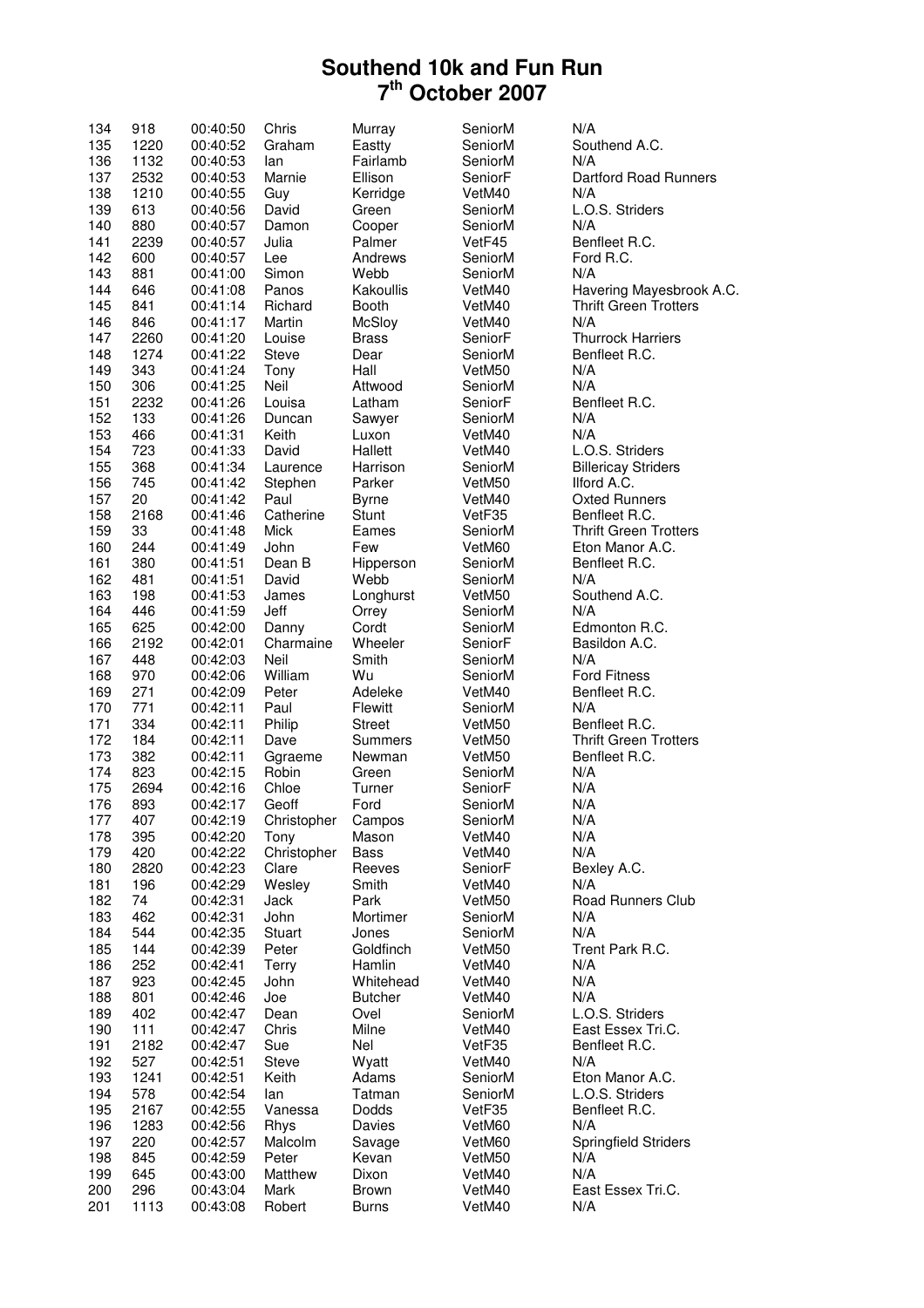| 134 | 918  | 00:40:50 | Chris        | Murray         | SeniorM | N/A                          |
|-----|------|----------|--------------|----------------|---------|------------------------------|
| 135 | 1220 | 00:40:52 | Graham       | Eastty         | SeniorM | Southend A.C.                |
| 136 | 1132 | 00:40:53 | lan          | Fairlamb       | SeniorM | N/A                          |
| 137 | 2532 |          |              |                | SeniorF | Dartford Road Runners        |
|     |      | 00:40:53 | Marnie       | Ellison        |         |                              |
| 138 | 1210 | 00:40:55 | Guy          | Kerridge       | VetM40  | N/A                          |
| 139 | 613  | 00:40:56 | David        | Green          | SeniorM | L.O.S. Striders              |
| 140 | 880  | 00:40:57 | Damon        | Cooper         | SeniorM | N/A                          |
| 141 | 2239 | 00:40:57 | Julia        | Palmer         | VetF45  | Benfleet R.C.                |
| 142 | 600  | 00:40:57 | Lee          | Andrews        | SeniorM | Ford R.C.                    |
| 143 | 881  | 00:41:00 | Simon        | Webb           | SeniorM | N/A                          |
|     |      |          |              |                |         |                              |
| 144 | 646  | 00:41:08 | Panos        | Kakoullis      | VetM40  | Havering Mayesbrook A.C.     |
| 145 | 841  | 00:41:14 | Richard      | <b>Booth</b>   | VetM40  | <b>Thrift Green Trotters</b> |
| 146 | 846  | 00:41:17 | Martin       | McSloy         | VetM40  | N/A                          |
| 147 | 2260 | 00:41:20 | Louise       | <b>Brass</b>   | SeniorF | <b>Thurrock Harriers</b>     |
| 148 | 1274 | 00:41:22 | <b>Steve</b> | Dear           | SeniorM | Benfleet R.C.                |
| 149 | 343  | 00:41:24 | Tony         | Hall           | VetM50  | N/A                          |
| 150 | 306  | 00:41:25 | Neil         | Attwood        | SeniorM | N/A                          |
|     |      |          |              |                |         |                              |
| 151 | 2232 | 00:41:26 | Louisa       | Latham         | SeniorF | Benfleet R.C.                |
| 152 | 133  | 00:41:26 | Duncan       | Sawyer         | SeniorM | N/A                          |
| 153 | 466  | 00:41:31 | Keith        | Luxon          | VetM40  | N/A                          |
| 154 | 723  | 00:41:33 | David        | Hallett        | VetM40  | L.O.S. Striders              |
| 155 | 368  | 00:41:34 | Laurence     | Harrison       | SeniorM | <b>Billericay Striders</b>   |
| 156 | 745  | 00:41:42 | Stephen      | Parker         | VetM50  | Ilford A.C.                  |
| 157 | 20   | 00:41:42 | Paul         |                | VetM40  | <b>Oxted Runners</b>         |
|     |      |          |              | <b>Byrne</b>   |         |                              |
| 158 | 2168 | 00:41:46 | Catherine    | <b>Stunt</b>   | VetF35  | Benfleet R.C.                |
| 159 | 33   | 00:41:48 | Mick         | Eames          | SeniorM | <b>Thrift Green Trotters</b> |
| 160 | 244  | 00:41:49 | John         | Few            | VetM60  | Eton Manor A.C.              |
| 161 | 380  | 00:41:51 | Dean B       | Hipperson      | SeniorM | Benfleet R.C.                |
| 162 | 481  | 00:41:51 | David        | Webb           | SeniorM | N/A                          |
| 163 | 198  | 00:41:53 | James        | Longhurst      | VetM50  | Southend A.C.                |
| 164 | 446  |          | Jeff         |                | SeniorM | N/A                          |
|     |      | 00:41:59 |              | Orrey          |         |                              |
| 165 | 625  | 00:42:00 | Danny        | Cordt          | SeniorM | Edmonton R.C.                |
| 166 | 2192 | 00:42:01 | Charmaine    | Wheeler        | SeniorF | Basildon A.C.                |
| 167 | 448  | 00:42:03 | Neil         | Smith          | SeniorM | N/A                          |
| 168 | 970  | 00:42:06 | William      | Wu             | SeniorM | <b>Ford Fitness</b>          |
| 169 | 271  | 00:42:09 | Peter        | Adeleke        | VetM40  | Benfleet R.C.                |
| 170 | 771  | 00:42:11 | Paul         | Flewitt        | SeniorM | N/A                          |
| 171 | 334  | 00:42:11 | Philip       | <b>Street</b>  | VetM50  | Benfleet R.C.                |
|     |      |          |              |                |         |                              |
| 172 | 184  | 00:42:11 | Dave         | Summers        | VetM50  | <b>Thrift Green Trotters</b> |
| 173 | 382  | 00:42:11 | Ggraeme      | Newman         | VetM50  | Benfleet R.C.                |
| 174 | 823  | 00:42:15 | Robin        | Green          | SeniorM | N/A                          |
| 175 | 2694 | 00:42:16 | Chloe        | Turner         | SeniorF | N/A                          |
| 176 | 893  | 00:42:17 | Geoff        | Ford           | SeniorM | N/A                          |
| 177 | 407  | 00:42:19 | Christopher  | Campos         | SeniorM | N/A                          |
| 178 | 395  | 00:42:20 | Tony         | Mason          | VetM40  | N/A                          |
|     |      |          |              |                |         |                              |
| 179 | 420  | 00:42:22 | Christopher  | <b>Bass</b>    | VetM40  | N/A                          |
| 180 | 2820 | 00:42:23 | Clare        | Reeves         | SeniorF | Bexley A.C.                  |
| 181 | 196  | 00:42:29 | Wesley       | Smith          | VetM40  | N/A                          |
| 182 | 74   | 00:42:31 | Jack         | Park           | VetM50  | Road Runners Club            |
| 183 | 462  | 00:42:31 | John         | Mortimer       | SeniorM | N/A                          |
| 184 | 544  | 00:42:35 | Stuart       | Jones          | SeniorM | N/A                          |
| 185 | 144  | 00:42:39 | Peter        | Goldfinch      | VetM50  | Trent Park R.C.              |
|     |      |          |              |                |         |                              |
| 186 | 252  | 00:42:41 | Terry        | Hamlin         | VetM40  | N/A                          |
| 187 | 923  | 00:42:45 | John         | Whitehead      | VetM40  | N/A                          |
| 188 | 801  | 00:42:46 | Joe          | <b>Butcher</b> | VetM40  | N/A                          |
| 189 | 402  | 00:42:47 | Dean         | Ovel           | SeniorM | L.O.S. Striders              |
| 190 | 111  | 00:42:47 | Chris        | Milne          | VetM40  | East Essex Tri.C.            |
| 191 | 2182 | 00:42:47 | Sue          | Nel            | VetF35  | Benfleet R.C.                |
|     |      |          |              |                |         |                              |
| 192 | 527  | 00:42:51 | <b>Steve</b> | Wyatt          | VetM40  | N/A                          |
| 193 | 1241 | 00:42:51 | Keith        | Adams          | SeniorM | Eton Manor A.C.              |
| 194 | 578  | 00:42:54 | lan          | Tatman         | SeniorM | L.O.S. Striders              |
| 195 | 2167 | 00:42:55 | Vanessa      | Dodds          | VetF35  | Benfleet R.C.                |
| 196 | 1283 | 00:42:56 | Rhys         | Davies         | VetM60  | N/A                          |
| 197 | 220  | 00:42:57 | Malcolm      | Savage         | VetM60  | Springfield Striders         |
| 198 | 845  | 00:42:59 | Peter        | Kevan          | VetM50  | N/A                          |
|     |      |          |              |                |         |                              |
| 199 | 645  | 00:43:00 | Matthew      | Dixon          | VetM40  | N/A                          |
| 200 | 296  | 00:43:04 | Mark         | <b>Brown</b>   | VetM40  | East Essex Tri.C.            |
| 201 | 1113 | 00:43:08 | Robert       | <b>Burns</b>   | VetM40  | N/A                          |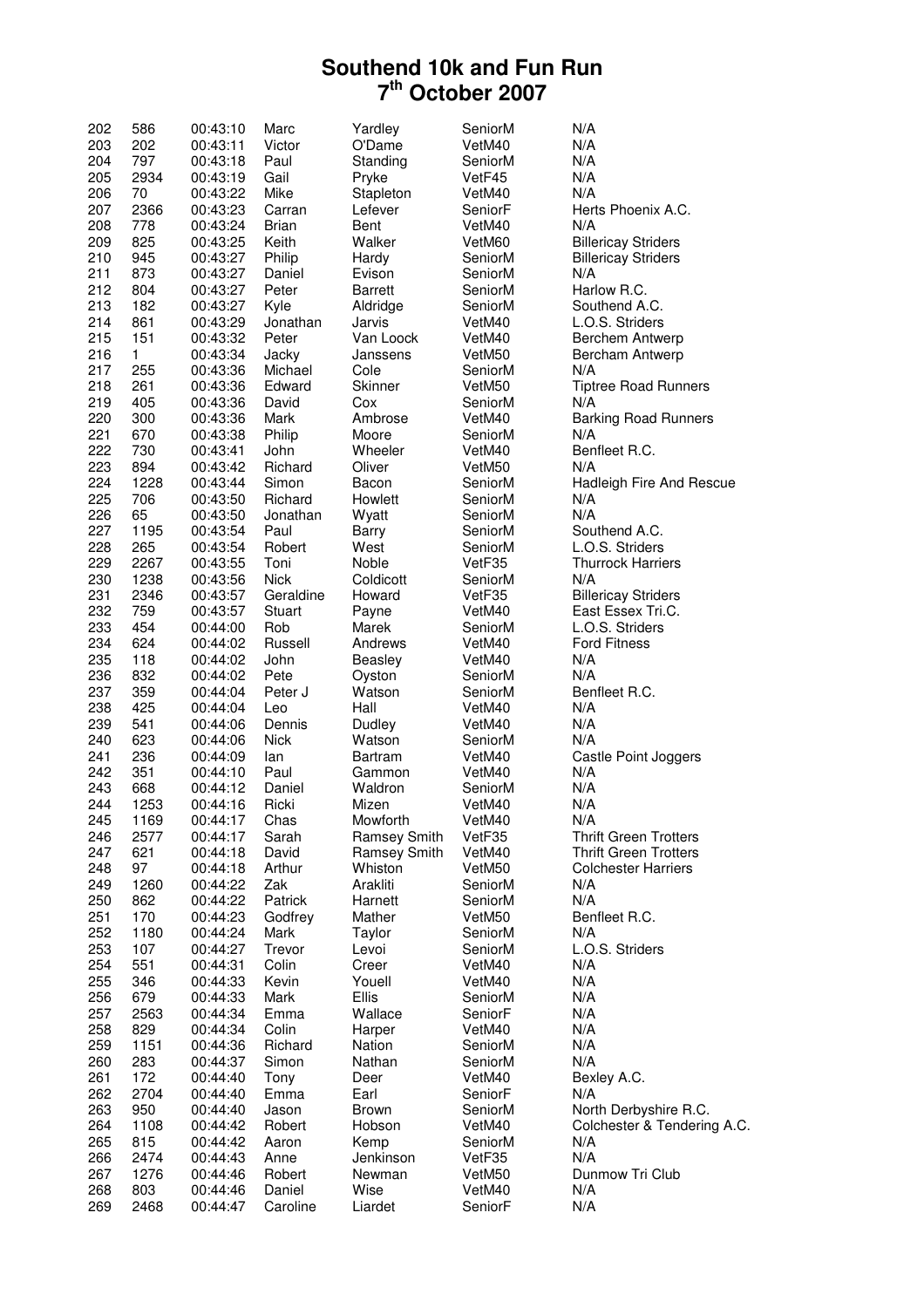| 202 | 586  | 00:43:10 | Marc        | Yardley        | SeniorM | N/A                          |
|-----|------|----------|-------------|----------------|---------|------------------------------|
| 203 | 202  | 00:43:11 | Victor      | O'Dame         | VetM40  | N/A                          |
| 204 | 797  | 00:43:18 | Paul        | Standing       | SeniorM | N/A                          |
| 205 | 2934 | 00:43:19 | Gail        | Pryke          | VetF45  | N/A                          |
| 206 | 70   | 00:43:22 | Mike        | Stapleton      | VetM40  | N/A                          |
| 207 | 2366 | 00:43:23 | Carran      | Lefever        | SeniorF | Herts Phoenix A.C.           |
| 208 | 778  | 00:43:24 | Brian       | Bent           | VetM40  | N/A                          |
| 209 | 825  | 00:43:25 | Keith       | Walker         | VetM60  | <b>Billericay Striders</b>   |
| 210 | 945  | 00:43:27 | Philip      | Hardy          | SeniorM | <b>Billericay Striders</b>   |
| 211 | 873  | 00:43:27 | Daniel      | Evison         | SeniorM | N/A                          |
| 212 | 804  | 00:43:27 | Peter       | <b>Barrett</b> | SeniorM | Harlow R.C.                  |
| 213 | 182  |          |             |                | SeniorM |                              |
|     |      | 00:43:27 | Kyle        | Aldridge       |         | Southend A.C.                |
| 214 | 861  | 00:43:29 | Jonathan    | Jarvis         | VetM40  | L.O.S. Striders              |
| 215 | 151  | 00:43:32 | Peter       | Van Loock      | VetM40  | Berchem Antwerp              |
| 216 | 1    | 00:43:34 | Jacky       | Janssens       | VetM50  | Bercham Antwerp              |
| 217 | 255  | 00:43:36 | Michael     | Cole           | SeniorM | N/A                          |
| 218 | 261  | 00:43:36 | Edward      | Skinner        | VetM50  | <b>Tiptree Road Runners</b>  |
| 219 | 405  | 00:43:36 | David       | Cox            | SeniorM | N/A                          |
| 220 | 300  | 00:43:36 | Mark        | Ambrose        | VetM40  | <b>Barking Road Runners</b>  |
| 221 | 670  | 00:43:38 | Philip      | Moore          | SeniorM | N/A                          |
| 222 | 730  | 00:43:41 | John        | Wheeler        | VetM40  | Benfleet R.C.                |
| 223 | 894  | 00:43:42 | Richard     | Oliver         | VetM50  | N/A                          |
| 224 | 1228 | 00:43:44 | Simon       | Bacon          | SeniorM | Hadleigh Fire And Rescue     |
| 225 | 706  | 00:43:50 | Richard     | Howlett        | SeniorM | N/A                          |
| 226 | 65   | 00:43:50 | Jonathan    | Wyatt          | SeniorM | N/A                          |
| 227 | 1195 | 00:43:54 | Paul        | Barry          | SeniorM | Southend A.C.                |
| 228 | 265  | 00:43:54 | Robert      | West           | SeniorM | L.O.S. Striders              |
| 229 | 2267 | 00:43:55 | Toni        | Noble          | VetF35  | <b>Thurrock Harriers</b>     |
| 230 | 1238 | 00:43:56 | <b>Nick</b> | Coldicott      | SeniorM | N/A                          |
| 231 | 2346 | 00:43:57 | Geraldine   | Howard         | VetF35  | <b>Billericay Striders</b>   |
| 232 | 759  | 00:43:57 | Stuart      | Payne          | VetM40  | East Essex Tri.C.            |
| 233 | 454  | 00:44:00 | Rob         | Marek          | SeniorM | L.O.S. Striders              |
| 234 | 624  | 00:44:02 | Russell     | Andrews        | VetM40  | <b>Ford Fitness</b>          |
| 235 | 118  | 00:44:02 | John        | Beasley        | VetM40  | N/A                          |
|     |      |          |             |                |         |                              |
| 236 | 832  | 00:44:02 | Pete        | Oyston         | SeniorM | N/A                          |
| 237 | 359  | 00:44:04 | Peter J     | Watson         | SeniorM | Benfleet R.C.                |
| 238 | 425  | 00:44:04 | Leo         | Hall           | VetM40  | N/A                          |
| 239 | 541  | 00:44:06 | Dennis      | Dudley         | VetM40  | N/A                          |
| 240 | 623  | 00:44:06 | <b>Nick</b> | Watson         | SeniorM | N/A                          |
| 241 | 236  | 00:44:09 | lan         | Bartram        | VetM40  | Castle Point Joggers         |
| 242 | 351  | 00:44:10 | Paul        | Gammon         | VetM40  | N/A                          |
| 243 | 668  | 00:44:12 | Daniel      | Waldron        | SeniorM | N/A                          |
| 244 | 1253 | 00:44:16 | Ricki       | Mizen          | VetM40  | N/A                          |
| 245 | 1169 | 00:44:17 | Chas        | Mowforth       | VetM40  | N/A                          |
| 246 | 2577 | 00:44:17 | Sarah       | Ramsey Smith   | VetF35  | <b>Thrift Green Trotters</b> |
| 247 | 621  | 00:44:18 | David       | Ramsey Smith   | VetM40  | <b>Thrift Green Trotters</b> |
| 248 | 97   | 00:44:18 | Arthur      | Whiston        | VetM50  | <b>Colchester Harriers</b>   |
| 249 | 1260 | 00:44:22 | Zak         | Arakliti       | SeniorM | N/A                          |
| 250 | 862  | 00:44:22 | Patrick     | Harnett        | SeniorM | N/A                          |
| 251 | 170  | 00:44:23 | Godfrey     | Mather         | VetM50  | Benfleet R.C.                |
| 252 | 1180 | 00:44:24 | Mark        | Taylor         | SeniorM | N/A                          |
| 253 | 107  | 00:44:27 | Trevor      | Levoi          | SeniorM | L.O.S. Striders              |
| 254 | 551  | 00:44:31 | Colin       | Creer          | VetM40  | N/A                          |
| 255 | 346  | 00:44:33 | Kevin       | Youell         | VetM40  | N/A                          |
| 256 | 679  | 00:44:33 | Mark        | Ellis          | SeniorM | N/A                          |
| 257 | 2563 | 00:44:34 | Emma        | Wallace        | SeniorF | N/A                          |
| 258 | 829  | 00:44:34 | Colin       | Harper         | VetM40  | N/A                          |
| 259 | 1151 | 00:44:36 | Richard     | Nation         | SeniorM | N/A                          |
| 260 | 283  | 00:44:37 | Simon       | Nathan         | SeniorM | N/A                          |
| 261 | 172  | 00:44:40 | Tony        | Deer           | VetM40  | Bexley A.C.                  |
| 262 | 2704 | 00:44:40 |             |                |         | N/A                          |
|     |      |          | Emma        | Earl           | SeniorF |                              |
| 263 | 950  | 00:44:40 | Jason       | <b>Brown</b>   | SeniorM | North Derbyshire R.C.        |
| 264 | 1108 | 00:44:42 | Robert      | Hobson         | VetM40  | Colchester & Tendering A.C.  |
| 265 | 815  | 00:44:42 | Aaron       | Kemp           | SeniorM | N/A                          |
| 266 | 2474 | 00:44:43 | Anne        | Jenkinson      | VetF35  | N/A                          |
| 267 | 1276 | 00:44:46 | Robert      | Newman         | VetM50  | Dunmow Tri Club              |
| 268 | 803  | 00:44:46 | Daniel      | Wise           | VetM40  | N/A                          |
| 269 | 2468 | 00:44:47 | Caroline    | Liardet        | SeniorF | N/A                          |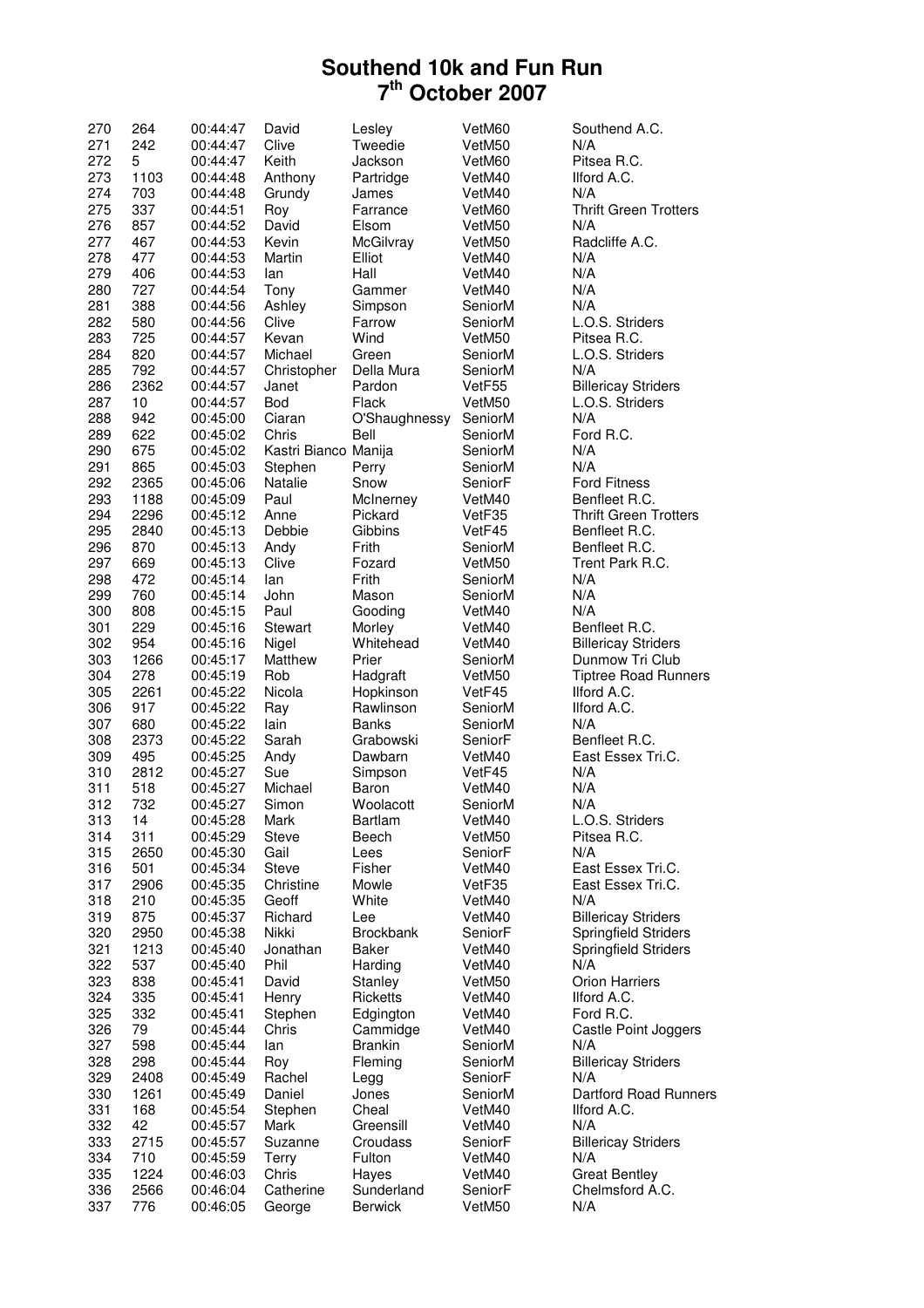| 270 | 264  | 00:44:47 | David                | Lesley           | VetM60  | Southend A.C.                |
|-----|------|----------|----------------------|------------------|---------|------------------------------|
| 271 | 242  | 00:44:47 | Clive                | Tweedie          | VetM50  | N/A                          |
| 272 | 5    | 00:44:47 | Keith                | Jackson          | VetM60  | Pitsea R.C.                  |
| 273 | 1103 | 00:44:48 | Anthony              | Partridge        | VetM40  | Ilford A.C.                  |
| 274 | 703  | 00:44:48 | Grundy               | James            | VetM40  | N/A                          |
| 275 | 337  | 00:44:51 | Roy                  | Farrance         | VetM60  | <b>Thrift Green Trotters</b> |
| 276 | 857  | 00:44:52 | David                | Elsom            | VetM50  | N/A                          |
| 277 | 467  | 00:44:53 | Kevin                | McGilvray        | VetM50  | Radcliffe A.C.               |
| 278 | 477  | 00:44:53 | Martin               | Elliot           | VetM40  | N/A                          |
| 279 | 406  | 00:44:53 | lan                  | Hall             | VetM40  | N/A                          |
| 280 | 727  | 00:44:54 | Tony                 | Gammer           | VetM40  | N/A                          |
| 281 | 388  | 00:44:56 | Ashley               | Simpson          | SeniorM | N/A                          |
| 282 | 580  | 00:44:56 | Clive                | Farrow           | SeniorM | L.O.S. Striders              |
| 283 | 725  | 00:44:57 | Kevan                | Wind             | VetM50  | Pitsea R.C.                  |
| 284 | 820  | 00:44:57 | Michael              | Green            | SeniorM | L.O.S. Striders              |
| 285 | 792  | 00:44:57 | Christopher          | Della Mura       | SeniorM | N/A                          |
| 286 | 2362 | 00:44:57 | Janet                | Pardon           | VetF55  | <b>Billericay Striders</b>   |
| 287 | 10   | 00:44:57 | Bod                  | Flack            | VetM50  | L.O.S. Striders              |
| 288 | 942  | 00:45:00 | Ciaran               | O'Shaughnessy    | SeniorM | N/A                          |
| 289 | 622  | 00:45:02 | Chris                | Bell             | SeniorM | Ford R.C.                    |
|     |      |          |                      |                  |         |                              |
| 290 | 675  | 00:45:02 | Kastri Bianco Manija |                  | SeniorM | N/A                          |
| 291 | 865  | 00:45:03 | Stephen              | Perry            | SeniorM | N/A                          |
| 292 | 2365 | 00:45:06 | Natalie              | Snow             | SeniorF | <b>Ford Fitness</b>          |
| 293 | 1188 | 00:45:09 | Paul                 | McInerney        | VetM40  | Benfleet R.C.                |
| 294 | 2296 | 00:45:12 | Anne                 | Pickard          | VetF35  | <b>Thrift Green Trotters</b> |
| 295 | 2840 | 00:45:13 | Debbie               | Gibbins          | VetF45  | Benfleet R.C.                |
| 296 | 870  | 00:45:13 | Andy                 | Frith            | SeniorM | Benfleet R.C.                |
| 297 | 669  | 00:45:13 | Clive                | Fozard           | VetM50  | Trent Park R.C.              |
| 298 | 472  | 00:45:14 | lan                  | Frith            | SeniorM | N/A                          |
| 299 | 760  | 00:45:14 | John                 | Mason            | SeniorM | N/A                          |
| 300 | 808  | 00:45:15 | Paul                 | Gooding          | VetM40  | N/A                          |
| 301 | 229  | 00:45:16 | Stewart              | Morley           | VetM40  | Benfleet R.C.                |
| 302 | 954  | 00:45:16 | Nigel                | Whitehead        | VetM40  | <b>Billericay Striders</b>   |
| 303 | 1266 | 00:45:17 | Matthew              | Prier            | SeniorM | Dunmow Tri Club              |
| 304 | 278  | 00:45:19 | Rob                  | Hadgraft         | VetM50  | <b>Tiptree Road Runners</b>  |
| 305 | 2261 | 00:45:22 | Nicola               | Hopkinson        | VetF45  | Ilford A.C.                  |
| 306 | 917  | 00:45:22 | Ray                  | Rawlinson        | SeniorM | Ilford A.C.                  |
| 307 | 680  | 00:45:22 | lain                 | <b>Banks</b>     | SeniorM | N/A                          |
| 308 | 2373 | 00:45:22 | Sarah                | Grabowski        | SeniorF | Benfleet R.C.                |
| 309 | 495  | 00:45:25 | Andy                 | Dawbarn          | VetM40  | East Essex Tri.C.            |
| 310 | 2812 | 00:45:27 | Sue                  | Simpson          | VetF45  | N/A                          |
| 311 | 518  | 00:45:27 | Michael              | Baron            | VetM40  | N/A                          |
| 312 | 732  | 00:45:27 | Simon                | Woolacott        | SeniorM | N/A                          |
| 313 | 14   | 00:45:28 | Mark                 | Bartlam          | VetM40  | L.O.S. Striders              |
| 314 | 311  | 00:45:29 | <b>Steve</b>         | Beech            | VetM50  | Pitsea R.C.                  |
| 315 | 2650 | 00:45:30 | Gail                 | Lees             | SeniorF | N/A                          |
| 316 | 501  | 00:45:34 | <b>Steve</b>         | Fisher           | VetM40  | East Essex Tri.C.            |
| 317 | 2906 | 00:45:35 | Christine            | Mowle            | VetF35  | East Essex Tri.C.            |
| 318 | 210  | 00:45:35 | Geoff                | White            | VetM40  | N/A                          |
| 319 | 875  | 00:45:37 | Richard              | Lee              | VetM40  | <b>Billericay Striders</b>   |
| 320 | 2950 | 00:45:38 | Nikki                | <b>Brockbank</b> | SeniorF | Springfield Striders         |
| 321 | 1213 | 00:45:40 | Jonathan             | <b>Baker</b>     | VetM40  | <b>Springfield Striders</b>  |
| 322 | 537  | 00:45:40 | Phil                 | Harding          | VetM40  | N/A                          |
| 323 | 838  | 00:45:41 | David                | Stanley          | VetM50  | <b>Orion Harriers</b>        |
| 324 | 335  |          | Henry                |                  | VetM40  | Ilford A.C.                  |
|     |      | 00:45:41 |                      | Ricketts         |         |                              |
| 325 | 332  | 00:45:41 | Stephen              | Edgington        | VetM40  | Ford R.C.                    |
| 326 | 79   | 00:45:44 | Chris                | Cammidge         | VetM40  | Castle Point Joggers         |
| 327 | 598  | 00:45:44 | lan                  | <b>Brankin</b>   | SeniorM | N/A                          |
| 328 | 298  | 00:45:44 | Roy                  | Fleming          | SeniorM | <b>Billericay Striders</b>   |
| 329 | 2408 | 00:45:49 | Rachel               | Legg             | SeniorF | N/A                          |
| 330 | 1261 | 00:45:49 | Daniel               | Jones            | SeniorM | <b>Dartford Road Runners</b> |
| 331 | 168  | 00:45:54 | Stephen              | Cheal            | VetM40  | Ilford A.C.                  |
| 332 | 42   | 00:45:57 | Mark                 | Greensill        | VetM40  | N/A                          |
| 333 | 2715 | 00:45:57 | Suzanne              | Croudass         | SeniorF | <b>Billericay Striders</b>   |
| 334 | 710  | 00:45:59 | Terry                | Fulton           | VetM40  | N/A                          |
| 335 | 1224 | 00:46:03 | Chris                | Hayes            | VetM40  | <b>Great Bentley</b>         |
| 336 | 2566 | 00:46:04 | Catherine            | Sunderland       | SeniorF | Chelmsford A.C.              |
| 337 | 776  | 00:46:05 | George               | <b>Berwick</b>   | VetM50  | N/A                          |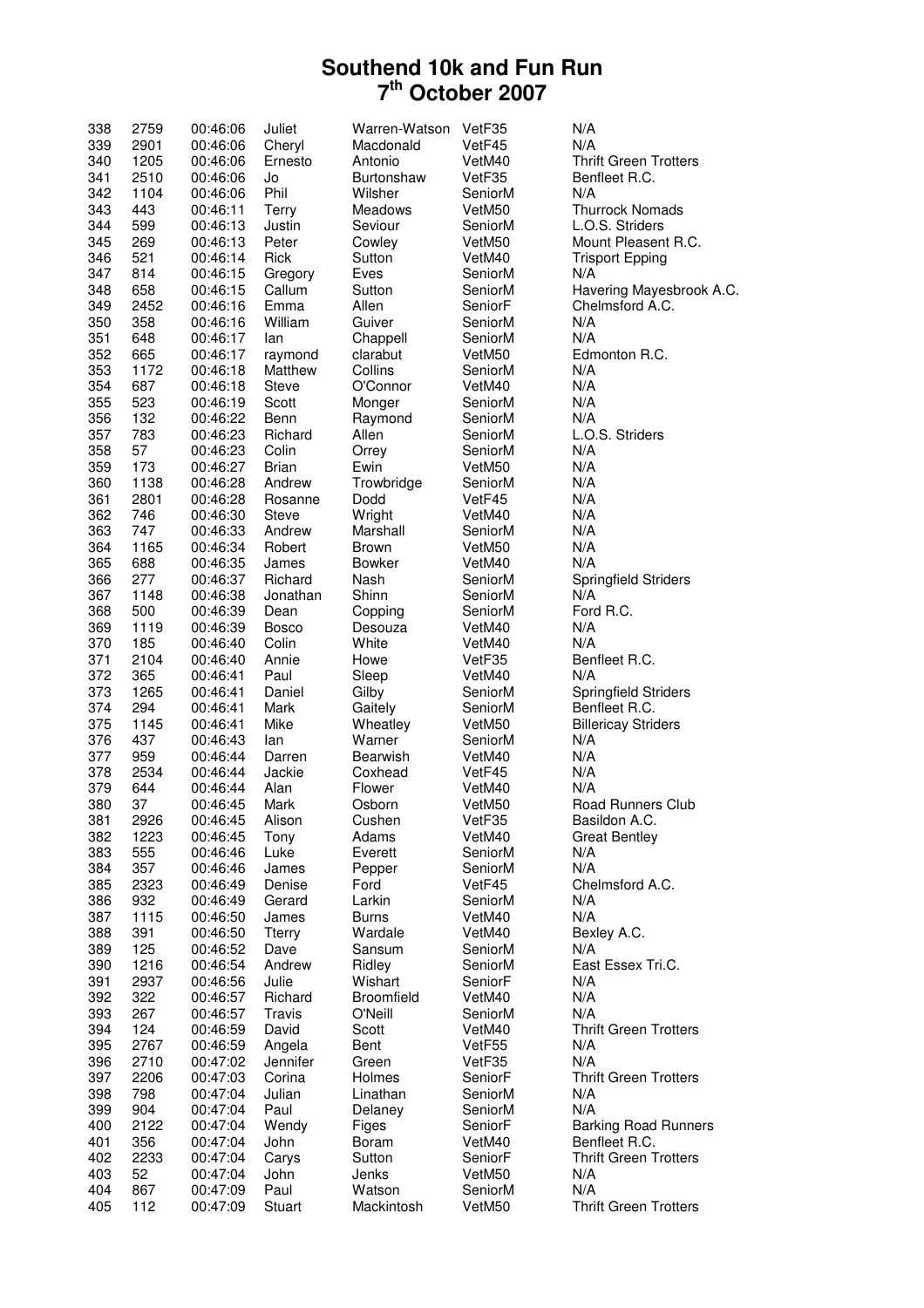| 338 | 2759 | 00:46:06 | Juliet        | Warren-Watson | VetF35  | N/A                          |
|-----|------|----------|---------------|---------------|---------|------------------------------|
| 339 | 2901 | 00:46:06 | Cheryl        | Macdonald     | VetF45  | N/A                          |
| 340 | 1205 | 00:46:06 | Ernesto       | Antonio       | VetM40  | <b>Thrift Green Trotters</b> |
| 341 | 2510 | 00:46:06 | Jo            | Burtonshaw    | VetF35  | Benfleet R.C.                |
| 342 | 1104 | 00:46:06 | Phil          | Wilsher       | SeniorM | N/A                          |
| 343 | 443  | 00:46:11 | Terry         | Meadows       | VetM50  | <b>Thurrock Nomads</b>       |
| 344 | 599  | 00:46:13 | Justin        | Seviour       | SeniorM | L.O.S. Striders              |
| 345 | 269  | 00:46:13 | Peter         | Cowley        | VetM50  | Mount Pleasent R.C.          |
| 346 | 521  | 00:46:14 | Rick          | Sutton        | VetM40  | <b>Trisport Epping</b>       |
|     |      |          |               |               |         |                              |
| 347 | 814  | 00:46:15 | Gregory       | Eves          | SeniorM | N/A                          |
| 348 | 658  | 00:46:15 | Callum        | Sutton        | SeniorM | Havering Mayesbrook A.C.     |
| 349 | 2452 | 00:46:16 | Emma          | Allen         | SeniorF | Chelmsford A.C.              |
| 350 | 358  | 00:46:16 | William       | Guiver        | SeniorM | N/A                          |
| 351 | 648  | 00:46:17 | lan           | Chappell      | SeniorM | N/A                          |
| 352 | 665  | 00:46:17 | raymond       | clarabut      | VetM50  | Edmonton R.C.                |
| 353 | 1172 | 00:46:18 | Matthew       | Collins       | SeniorM | N/A                          |
| 354 | 687  | 00:46:18 | <b>Steve</b>  | O'Connor      | VetM40  | N/A                          |
| 355 | 523  | 00:46:19 | Scott         | Monger        | SeniorM | N/A                          |
| 356 | 132  | 00:46:22 | Benn          | Raymond       | SeniorM | N/A                          |
| 357 | 783  | 00:46:23 | Richard       | Allen         | SeniorM | L.O.S. Striders              |
| 358 | 57   | 00:46:23 | Colin         | Orrey         | SeniorM | N/A                          |
| 359 | 173  | 00:46:27 | <b>Brian</b>  | Ewin          | VetM50  | N/A                          |
| 360 | 1138 | 00:46:28 | Andrew        | Trowbridge    | SeniorM | N/A                          |
| 361 | 2801 | 00:46:28 | Rosanne       | Dodd          | VetF45  | N/A                          |
| 362 | 746  | 00:46:30 | <b>Steve</b>  | Wright        | VetM40  | N/A                          |
| 363 | 747  | 00:46:33 | Andrew        | Marshall      | SeniorM | N/A                          |
| 364 |      |          |               | <b>Brown</b>  | VetM50  | N/A                          |
|     | 1165 | 00:46:34 | Robert        |               |         | N/A                          |
| 365 | 688  | 00:46:35 | James         | <b>Bowker</b> | VetM40  |                              |
| 366 | 277  | 00:46:37 | Richard       | Nash          | SeniorM | Springfield Striders         |
| 367 | 1148 | 00:46:38 | Jonathan      | Shinn         | SeniorM | N/A                          |
| 368 | 500  | 00:46:39 | Dean          | Copping       | SeniorM | Ford R.C.                    |
| 369 | 1119 | 00:46:39 | <b>Bosco</b>  | Desouza       | VetM40  | N/A                          |
| 370 | 185  | 00:46:40 | Colin         | White         | VetM40  | N/A                          |
| 371 | 2104 | 00:46:40 | Annie         | Howe          | VetF35  | Benfleet R.C.                |
| 372 | 365  | 00:46:41 | Paul          | Sleep         | VetM40  | N/A                          |
| 373 | 1265 | 00:46:41 | Daniel        | Gilby         | SeniorM | Springfield Striders         |
| 374 | 294  | 00:46:41 | Mark          | Gaitely       | SeniorM | Benfleet R.C.                |
| 375 | 1145 | 00:46:41 | Mike          | Wheatley      | VetM50  | <b>Billericay Striders</b>   |
| 376 | 437  | 00:46:43 | lan           | Warner        | SeniorM | N/A                          |
| 377 | 959  | 00:46:44 | Darren        | Bearwish      | VetM40  | N/A                          |
| 378 | 2534 | 00:46:44 | Jackie        | Coxhead       | VetF45  | N/A                          |
| 379 | 644  | 00:46:44 | Alan          | Flower        | VetM40  | N/A                          |
| 380 | 37   | 00:46:45 | Mark          | Osborn        | VetM50  | <b>Road Runners Club</b>     |
| 381 | 2926 | 00:46:45 | Alison        | Cushen        | VetF35  | Basildon A.C.                |
| 382 | 1223 | 00:46:45 | Tony          | Adams         | VetM40  | <b>Great Bentley</b>         |
| 383 | 555  | 00:46:46 | Luke          | Everett       | SeniorM | N/A                          |
| 384 | 357  | 00:46:46 | James         | Pepper        | SeniorM | N/A                          |
| 385 | 2323 | 00:46:49 | Denise        | Ford          | VetF45  | Chelmsford A.C.              |
| 386 | 932  | 00:46:49 | Gerard        | Larkin        | SeniorM | N/A                          |
| 387 | 1115 | 00:46:50 | James         | <b>Burns</b>  | VetM40  | N/A                          |
|     |      |          |               |               |         |                              |
| 388 | 391  | 00:46:50 | <b>Tterry</b> | Wardale       | VetM40  | Bexley A.C.                  |
| 389 | 125  | 00:46:52 | Dave          | Sansum        | SeniorM | N/A                          |
| 390 | 1216 | 00:46:54 | Andrew        | Ridley        | SeniorM | East Essex Tri.C.            |
| 391 | 2937 | 00:46:56 | Julie         | Wishart       | SeniorF | N/A                          |
| 392 | 322  | 00:46:57 | Richard       | Broomfield    | VetM40  | N/A                          |
| 393 | 267  | 00:46:57 | Travis        | O'Neill       | SeniorM | N/A                          |
| 394 | 124  | 00:46:59 | David         | Scott         | VetM40  | <b>Thrift Green Trotters</b> |
| 395 | 2767 | 00:46:59 | Angela        | Bent          | VetF55  | N/A                          |
| 396 | 2710 | 00:47:02 | Jennifer      | Green         | VetF35  | N/A                          |
| 397 | 2206 | 00:47:03 | Corina        | Holmes        | SeniorF | <b>Thrift Green Trotters</b> |
| 398 | 798  | 00:47:04 | Julian        | Linathan      | SeniorM | N/A                          |
| 399 | 904  | 00:47:04 | Paul          | Delaney       | SeniorM | N/A                          |
| 400 | 2122 | 00:47:04 | Wendy         | Figes         | SeniorF | <b>Barking Road Runners</b>  |
| 401 | 356  | 00:47:04 | John          | Boram         | VetM40  | Benfleet R.C.                |
| 402 | 2233 | 00:47:04 | Carys         | Sutton        | SeniorF | <b>Thrift Green Trotters</b> |
| 403 | 52   | 00:47:04 | John          | Jenks         | VetM50  | N/A                          |
| 404 | 867  | 00:47:09 | Paul          | Watson        | SeniorM | N/A                          |
|     |      |          |               |               |         |                              |
| 405 | 112  | 00:47:09 | Stuart        | Mackintosh    | VetM50  | <b>Thrift Green Trotters</b> |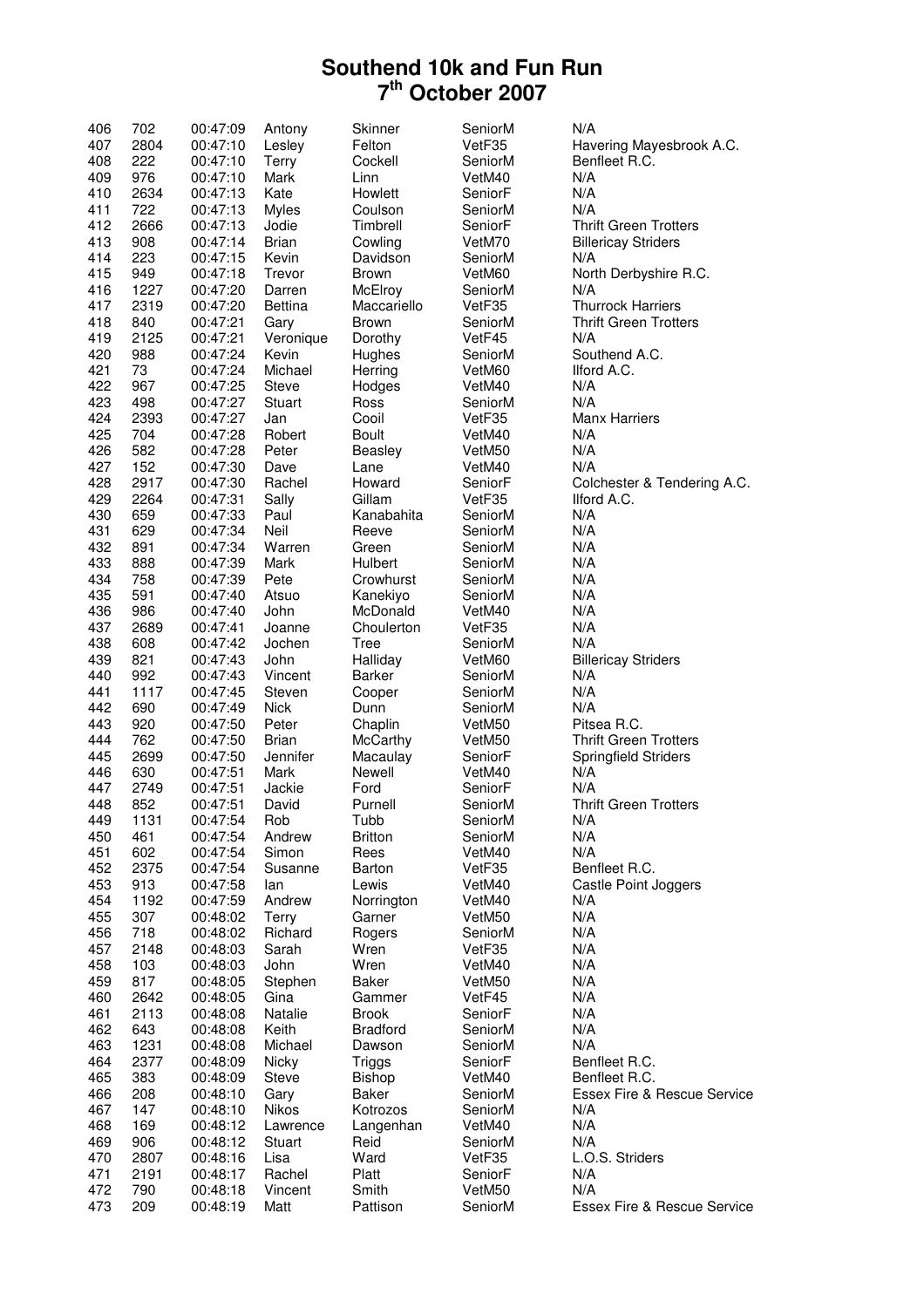| 406 | 702  | 00:47:09    | Antony         | Skinner         | SeniorM | N/A                                    |
|-----|------|-------------|----------------|-----------------|---------|----------------------------------------|
| 407 | 2804 | 00:47:10    | Lesley         | Felton          | VetF35  | Havering Mayesbrook A.C.               |
| 408 | 222  | 00:47:10    | Terry          | Cockell         | SeniorM | Benfleet R.C.                          |
| 409 | 976  | 00:47:10    | Mark           | Linn            | VetM40  | N/A                                    |
| 410 | 2634 | 00:47:13    | Kate           | Howlett         | SeniorF | N/A                                    |
| 411 | 722  | 00:47:13    | <b>Myles</b>   | Coulson         | SeniorM | N/A                                    |
| 412 | 2666 | 00:47:13    | Jodie          | Timbrell        | SeniorF | <b>Thrift Green Trotters</b>           |
| 413 | 908  | 00:47:14    | <b>Brian</b>   | Cowling         | VetM70  | <b>Billericay Striders</b>             |
| 414 | 223  | 00:47:15    | Kevin          | Davidson        | SeniorM | N/A                                    |
| 415 | 949  | 00:47:18    | Trevor         | <b>Brown</b>    | VetM60  | North Derbyshire R.C.                  |
| 416 | 1227 | 00:47:20    | Darren         | McElroy         | SeniorM | N/A                                    |
| 417 | 2319 | 00:47:20    | <b>Bettina</b> | Maccariello     | VetF35  | <b>Thurrock Harriers</b>               |
| 418 | 840  | 00:47:21    | Gary           | <b>Brown</b>    | SeniorM | <b>Thrift Green Trotters</b>           |
| 419 | 2125 | 00:47:21    | Veronique      | Dorothy         | VetF45  | N/A                                    |
| 420 | 988  | 00:47:24    | Kevin          | Hughes          | SeniorM | Southend A.C.                          |
| 421 | 73   | 00:47:24    | Michael        | Herring         | VetM60  | Ilford A.C.                            |
| 422 | 967  | 00:47:25    | <b>Steve</b>   | Hodges          | VetM40  | N/A                                    |
| 423 | 498  | 00:47:27    | Stuart         | Ross            | SeniorM | N/A                                    |
| 424 | 2393 | 00:47:27    | Jan            | Cooil           | VetF35  | <b>Manx Harriers</b>                   |
| 425 | 704  | 00:47:28    | Robert         | <b>Boult</b>    | VetM40  | N/A                                    |
| 426 | 582  | 00:47:28    | Peter          | Beasley         | VetM50  | N/A                                    |
| 427 | 152  | 00:47:30    | Dave           | Lane            | VetM40  | N/A                                    |
| 428 | 2917 | 00:47:30    | Rachel         | Howard          | SeniorF | Colchester & Tendering A.C.            |
| 429 | 2264 | 00:47:31    | Sally          | Gillam          | VetF35  | Ilford A.C.                            |
| 430 | 659  | 00:47:33    | Paul           | Kanabahita      | SeniorM | N/A                                    |
| 431 | 629  | 00:47:34    | Neil           | Reeve           | SeniorM | N/A                                    |
| 432 | 891  | 00:47:34    | Warren         | Green           | SeniorM | N/A                                    |
| 433 | 888  | 00:47:39    | Mark           | Hulbert         | SeniorM | N/A                                    |
| 434 | 758  | 00:47:39    | Pete           | Crowhurst       | SeniorM | N/A                                    |
| 435 | 591  | 00:47:40    | Atsuo          | Kanekiyo        | SeniorM | N/A                                    |
| 436 | 986  | 00:47:40    | John           | McDonald        | VetM40  | N/A                                    |
| 437 | 2689 | 00:47:41    | Joanne         | Choulerton      | VetF35  | N/A                                    |
| 438 | 608  | 00:47:42    | Jochen         | Tree            | SeniorM | N/A                                    |
| 439 | 821  | 00:47:43    | John           | Halliday        | VetM60  | <b>Billericay Striders</b>             |
| 440 | 992  | 00:47:43    | Vincent        | Barker          | SeniorM | N/A                                    |
| 441 | 1117 | 00:47:45    | Steven         | Cooper          | SeniorM | N/A                                    |
| 442 | 690  | 00:47:49    | <b>Nick</b>    | Dunn            | SeniorM | N/A                                    |
| 443 | 920  | 00:47:50    | Peter          | Chaplin         | VetM50  | Pitsea R.C.                            |
| 444 | 762  | 00:47:50    | <b>Brian</b>   | McCarthy        | VetM50  | <b>Thrift Green Trotters</b>           |
| 445 | 2699 | 00:47:50    | Jennifer       | Macaulay        | SeniorF | <b>Springfield Striders</b>            |
| 446 | 630  | 00:47:51    | Mark           | Newell          | VetM40  | N/A                                    |
| 447 | 2749 | 00:47:51    | Jackie         | Ford            | SeniorF | N/A                                    |
| 448 | 852  | 00:47:51    | David          | Purnell         | SeniorM | <b>Thrift Green Trotters</b>           |
| 449 | 1131 | $00:4$ /:54 | Rob            | Tubb            | SeniorM |                                        |
| 450 | 461  | 00:47:54    | Andrew         | <b>Britton</b>  | SeniorM | N/A<br>N/A                             |
| 451 | 602  | 00:47:54    | Simon          | Rees            | VetM40  | N/A                                    |
| 452 | 2375 | 00:47:54    | Susanne        | Barton          | VetF35  | Benfleet R.C.                          |
| 453 | 913  | 00:47:58    | lan            | Lewis           | VetM40  | Castle Point Joggers                   |
| 454 | 1192 | 00:47:59    | Andrew         | Norrington      | VetM40  | N/A                                    |
| 455 | 307  | 00:48:02    | Terry          | Garner          | VetM50  | N/A                                    |
| 456 | 718  | 00:48:02    | Richard        | Rogers          | SeniorM | N/A                                    |
| 457 | 2148 | 00:48:03    | Sarah          | Wren            | VetF35  | N/A                                    |
| 458 | 103  | 00:48:03    | John           | Wren            | VetM40  | N/A                                    |
| 459 | 817  | 00:48:05    | Stephen        | Baker           | VetM50  | N/A                                    |
| 460 | 2642 | 00:48:05    | Gina           | Gammer          | VetF45  | N/A                                    |
| 461 | 2113 | 00:48:08    | Natalie        | <b>Brook</b>    | SeniorF | N/A                                    |
| 462 | 643  | 00:48:08    | Keith          | <b>Bradford</b> | SeniorM | N/A                                    |
| 463 | 1231 | 00:48:08    | Michael        | Dawson          | SeniorM | N/A                                    |
| 464 | 2377 | 00:48:09    | Nicky          | Triggs          | SeniorF | Benfleet R.C.                          |
| 465 | 383  | 00:48:09    | <b>Steve</b>   | Bishop          | VetM40  | Benfleet R.C.                          |
| 466 | 208  | 00:48:10    | Gary           | Baker           | SeniorM | <b>Essex Fire &amp; Rescue Service</b> |
| 467 | 147  | 00:48:10    | Nikos          | Kotrozos        | SeniorM | N/A                                    |
| 468 | 169  | 00:48:12    | Lawrence       | Langenhan       | VetM40  | N/A                                    |
| 469 | 906  | 00:48:12    | Stuart         | Reid            | SeniorM | N/A                                    |
| 470 | 2807 | 00:48:16    | Lisa           | Ward            | VetF35  | L.O.S. Striders                        |
| 471 | 2191 | 00:48:17    | Rachel         | Platt           | SeniorF | N/A                                    |
| 472 | 790  | 00:48:18    | Vincent        | Smith           | VetM50  | N/A                                    |
| 473 | 209  | 00:48:19    | Matt           | Pattison        | SeniorM | Essex Fire & Rescue Service            |
|     |      |             |                |                 |         |                                        |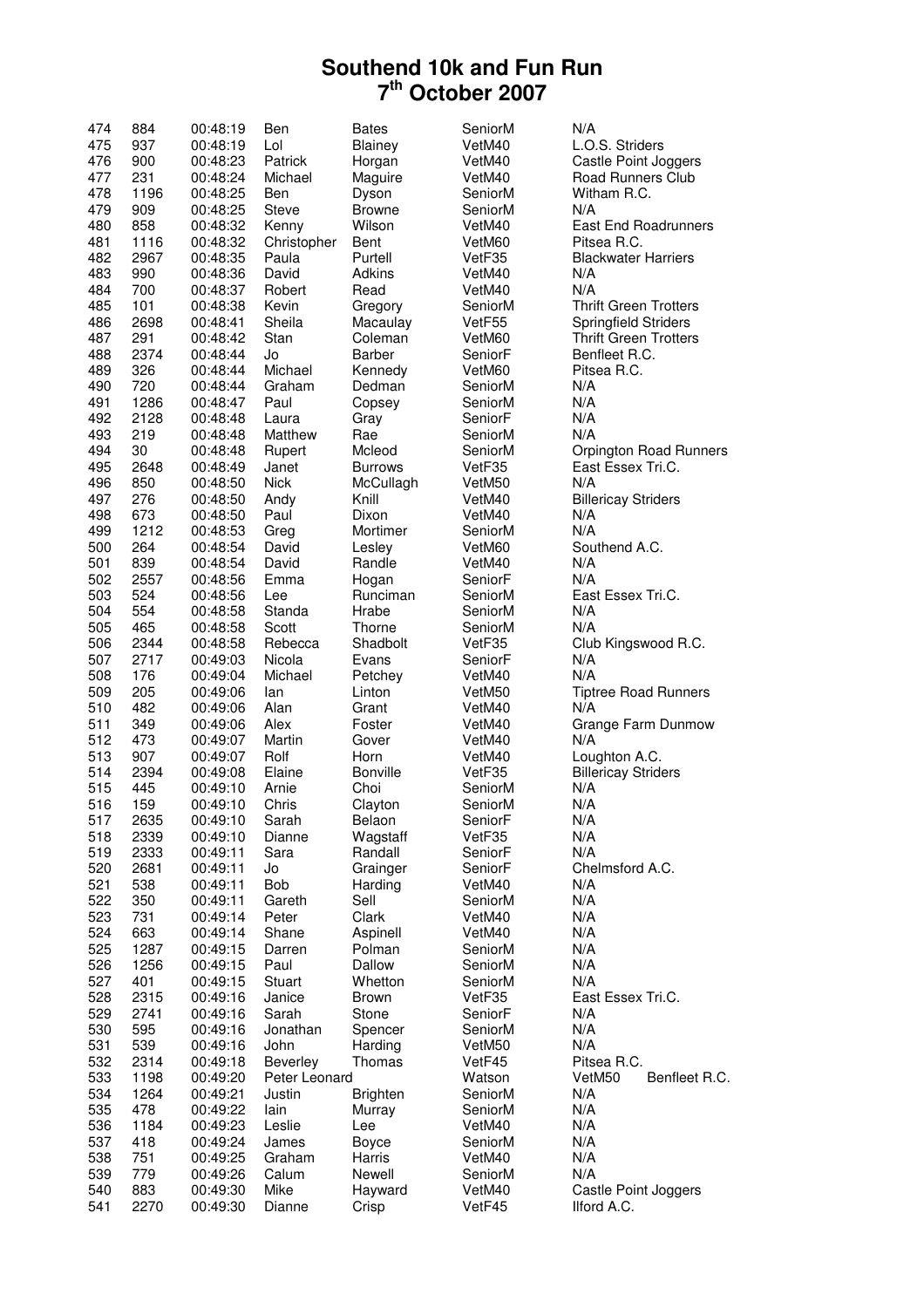| 474 | 884  | 00:48:19 | Ben           | <b>Bates</b>    | SeniorM | N/A                          |
|-----|------|----------|---------------|-----------------|---------|------------------------------|
| 475 | 937  | 00:48:19 | Lol           | Blainey         | VetM40  | L.O.S. Striders              |
| 476 | 900  | 00:48:23 | Patrick       | Horgan          | VetM40  | Castle Point Joggers         |
| 477 | 231  | 00:48:24 | Michael       | Maguire         | VetM40  | Road Runners Club            |
| 478 | 1196 | 00:48:25 | Ben           | Dyson           | SeniorM | Witham R.C.                  |
| 479 | 909  | 00:48:25 | <b>Steve</b>  | Browne          | SeniorM | N/A                          |
| 480 | 858  | 00:48:32 | Kenny         | Wilson          | VetM40  | East End Roadrunners         |
| 481 | 1116 | 00:48:32 | Christopher   | Bent            | VetM60  | Pitsea R.C.                  |
| 482 | 2967 | 00:48:35 | Paula         | Purtell         | VetF35  | <b>Blackwater Harriers</b>   |
| 483 | 990  | 00:48:36 | David         | Adkins          | VetM40  | N/A                          |
|     | 700  |          | Robert        |                 |         | N/A                          |
| 484 |      | 00:48:37 |               | Read            | VetM40  |                              |
| 485 | 101  | 00:48:38 | Kevin         | Gregory         | SeniorM | <b>Thrift Green Trotters</b> |
| 486 | 2698 | 00:48:41 | Sheila        | Macaulay        | VetF55  | <b>Springfield Striders</b>  |
| 487 | 291  | 00:48:42 | Stan          | Coleman         | VetM60  | <b>Thrift Green Trotters</b> |
| 488 | 2374 | 00:48:44 | Jo            | <b>Barber</b>   | SeniorF | Benfleet R.C.                |
| 489 | 326  | 00:48:44 | Michael       | Kennedy         | VetM60  | Pitsea R.C.                  |
| 490 | 720  | 00:48:44 | Graham        | Dedman          | SeniorM | N/A                          |
| 491 | 1286 | 00:48:47 | Paul          | Copsey          | SeniorM | N/A                          |
| 492 | 2128 | 00:48:48 | Laura         | Gray            | SeniorF | N/A                          |
| 493 | 219  | 00:48:48 | Matthew       | Rae             | SeniorM | N/A                          |
| 494 | 30   | 00:48:48 | Rupert        | Mcleod          | SeniorM | Orpington Road Runners       |
| 495 | 2648 | 00:48:49 | Janet         | <b>Burrows</b>  | VetF35  | East Essex Tri.C.            |
| 496 | 850  | 00:48:50 | <b>Nick</b>   | McCullagh       | VetM50  | N/A                          |
| 497 | 276  | 00:48:50 | Andy          | Knill           | VetM40  | <b>Billericay Striders</b>   |
| 498 | 673  | 00:48:50 | Paul          | Dixon           | VetM40  | N/A                          |
| 499 | 1212 | 00:48:53 | Greg          | Mortimer        | SeniorM | N/A                          |
| 500 | 264  | 00:48:54 | David         | Lesley          | VetM60  | Southend A.C.                |
| 501 | 839  | 00:48:54 | David         | Randle          | VetM40  | N/A                          |
| 502 | 2557 | 00:48:56 | Emma          | Hogan           | SeniorF | N/A                          |
| 503 | 524  | 00:48:56 | Lee           | Runciman        | SeniorM | East Essex Tri.C.            |
| 504 | 554  | 00:48:58 | Standa        | Hrabe           | SeniorM | N/A                          |
| 505 | 465  | 00:48:58 | Scott         | Thorne          | SeniorM | N/A                          |
| 506 | 2344 | 00:48:58 | Rebecca       | Shadbolt        | VetF35  | Club Kingswood R.C.          |
| 507 | 2717 | 00:49:03 | Nicola        | Evans           | SeniorF | N/A                          |
| 508 | 176  | 00:49:04 | Michael       | Petchey         | VetM40  | N/A                          |
| 509 | 205  | 00:49:06 | lan           | Linton          | VetM50  | <b>Tiptree Road Runners</b>  |
| 510 | 482  | 00:49:06 | Alan          | Grant           | VetM40  | N/A                          |
| 511 | 349  | 00:49:06 | Alex          | Foster          | VetM40  | Grange Farm Dunmow           |
| 512 | 473  | 00:49:07 | Martin        | Gover           | VetM40  | N/A                          |
| 513 |      | 00:49:07 |               |                 |         |                              |
|     | 907  |          | Rolf          | Horn            | VetM40  | Loughton A.C.                |
| 514 | 2394 | 00:49:08 | Elaine        | <b>Bonville</b> | VetF35  | <b>Billericay Striders</b>   |
| 515 | 445  | 00:49:10 | Arnie         | Choi            | SeniorM | N/A                          |
| 516 | 159  | 00:49:10 | Chris         | Clayton         | SeniorM | N/A                          |
| 517 | 2635 | 00:49:10 | Sarah         | Belaon          | SeniorF | N/A                          |
| 518 | 2339 | 00:49:10 | Dianne        | Wagstaff        | VetF35  | N/A                          |
| 519 | 2333 | 00:49:11 | Sara          | Randall         | SeniorF | N/A                          |
| 520 | 2681 | 00:49:11 | Jo            | Grainger        | SeniorF | Chelmsford A.C.              |
| 521 | 538  | 00:49:11 | Bob           | Harding         | VetM40  | N/A                          |
| 522 | 350  | 00:49:11 | Gareth        | Sell            | SeniorM | N/A                          |
| 523 | 731  | 00:49:14 | Peter         | Clark           | VetM40  | N/A                          |
| 524 | 663  | 00:49:14 | Shane         | Aspinell        | VetM40  | N/A                          |
| 525 | 1287 | 00:49:15 | Darren        | Polman          | SeniorM | N/A                          |
| 526 | 1256 | 00:49:15 | Paul          | Dallow          | SeniorM | N/A                          |
| 527 | 401  | 00:49:15 | Stuart        | Whetton         | SeniorM | N/A                          |
| 528 | 2315 | 00:49:16 | Janice        | <b>Brown</b>    | VetF35  | East Essex Tri.C.            |
| 529 | 2741 | 00:49:16 | Sarah         | Stone           | SeniorF | N/A                          |
| 530 | 595  | 00:49:16 | Jonathan      | Spencer         | SeniorM | N/A                          |
| 531 | 539  | 00:49:16 | John          | Harding         | VetM50  | N/A                          |
| 532 | 2314 | 00:49:18 | Beverley      | Thomas          | VetF45  | Pitsea R.C.                  |
| 533 | 1198 | 00:49:20 | Peter Leonard |                 | Watson  | Benfleet R.C.<br>VetM50      |
| 534 | 1264 | 00:49:21 | Justin        | <b>Brighten</b> | SeniorM | N/A                          |
| 535 | 478  | 00:49:22 | lain          | Murray          | SeniorM | N/A                          |
| 536 | 1184 | 00:49:23 | Leslie        | Lee             | VetM40  | N/A                          |
| 537 | 418  | 00:49:24 | James         | Boyce           | SeniorM | N/A                          |
| 538 | 751  | 00:49:25 | Graham        | Harris          | VetM40  | N/A                          |
| 539 | 779  | 00:49:26 | Calum         | Newell          | SeniorM | N/A                          |
| 540 | 883  | 00:49:30 | Mike          | Hayward         | VetM40  | Castle Point Joggers         |
| 541 | 2270 | 00:49:30 | Dianne        | Crisp           | VetF45  | Ilford A.C.                  |
|     |      |          |               |                 |         |                              |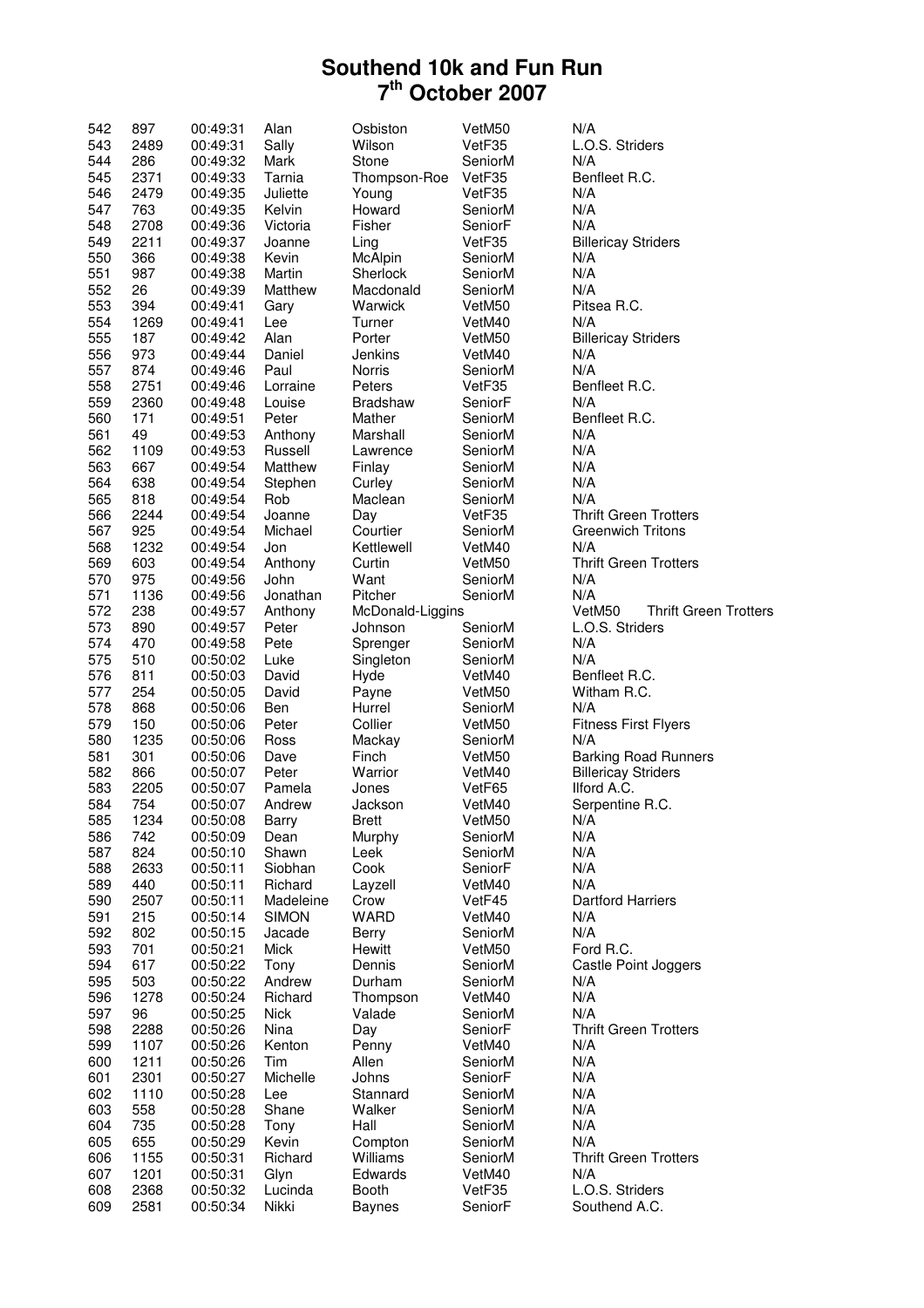| 542        | 897          | 00:49:31             | Alan             | Osbiston               | VetM50            | N/A                                    |
|------------|--------------|----------------------|------------------|------------------------|-------------------|----------------------------------------|
| 543        | 2489         | 00:49:31             | Sally            | Wilson                 | VetF35            | L.O.S. Striders                        |
| 544        | 286          | 00:49:32             | Mark             | Stone                  | SeniorM           | N/A                                    |
| 545        | 2371         | 00:49:33             | Tarnia           | Thompson-Roe           | VetF35            | Benfleet R.C.                          |
| 546        | 2479         | 00:49:35             | Juliette         | Young                  | VetF35            | N/A                                    |
| 547        | 763          | 00:49:35             | Kelvin           | Howard                 | SeniorM           | N/A                                    |
| 548        | 2708         | 00:49:36             | Victoria         | Fisher                 | SeniorF           | N/A                                    |
| 549        | 2211         | 00:49:37             | Joanne           | Ling                   | VetF35            | <b>Billericay Striders</b>             |
| 550        | 366          |                      |                  |                        |                   | N/A                                    |
|            |              | 00:49:38             | Kevin            | McAlpin                | SeniorM           |                                        |
| 551        | 987          | 00:49:38             | Martin           | Sherlock               | SeniorM           | N/A                                    |
| 552        | 26           | 00:49:39             | Matthew          | Macdonald              | SeniorM           | N/A                                    |
| 553        | 394          | 00:49:41             | Gary             | Warwick                | VetM50            | Pitsea R.C.                            |
| 554        | 1269         | 00:49:41             | Lee              | Turner                 | VetM40            | N/A                                    |
| 555        | 187          | 00:49:42             | Alan             | Porter                 | VetM50            | <b>Billericay Striders</b>             |
| 556        | 973          | 00:49:44             | Daniel           | Jenkins                | VetM40            | N/A                                    |
| 557        | 874          | 00:49:46             | Paul             | <b>Norris</b>          | SeniorM           | N/A                                    |
| 558        | 2751         | 00:49:46             | Lorraine         | Peters                 | VetF35            | Benfleet R.C.                          |
| 559        | 2360         | 00:49:48             | Louise           | <b>Bradshaw</b>        | SeniorF           | N/A                                    |
| 560        | 171          | 00:49:51             | Peter            | Mather                 | SeniorM           | Benfleet R.C.                          |
| 561        | 49           | 00:49:53             | Anthony          | Marshall               | SeniorM           | N/A                                    |
| 562        | 1109         | 00:49:53             | Russell          | Lawrence               | SeniorM           | N/A                                    |
| 563        |              |                      | Matthew          | Finlay                 |                   | N/A                                    |
|            | 667          | 00:49:54             |                  |                        | SeniorM           |                                        |
| 564        | 638          | 00:49:54             | Stephen          | Curley                 | SeniorM           | N/A                                    |
| 565        | 818          | 00:49:54             | Rob              | Maclean                | SeniorM           | N/A                                    |
| 566        | 2244         | 00:49:54             | Joanne           | Day                    | VetF35            | <b>Thrift Green Trotters</b>           |
| 567        | 925          | 00:49:54             | Michael          | Courtier               | SeniorM           | <b>Greenwich Tritons</b>               |
| 568        | 1232         | 00:49:54             | Jon              | Kettlewell             | VetM40            | N/A                                    |
| 569        | 603          | 00:49:54             | Anthony          | Curtin                 | VetM50            | <b>Thrift Green Trotters</b>           |
| 570        | 975          | 00:49:56             | John             | Want                   | SeniorM           | N/A                                    |
| 571        | 1136         | 00:49:56             | Jonathan         | Pitcher                | SeniorM           | N/A                                    |
| 572        | 238          | 00:49:57             | Anthony          | McDonald-Liggins       |                   | <b>Thrift Green Trotters</b><br>VetM50 |
| 573        | 890          | 00:49:57             | Peter            | Johnson                | SeniorM           | L.O.S. Striders                        |
|            |              |                      |                  |                        |                   |                                        |
| 574        | 470          | 00:49:58             | Pete             | Sprenger               | SeniorM           | N/A                                    |
| 575        | 510          | 00:50:02             | Luke             | Singleton              | SeniorM           | N/A                                    |
| 576        | 811          | 00:50:03             | David            | Hyde                   | VetM40            | Benfleet R.C.                          |
| 577        | 254          | 00:50:05             | David            | Payne                  | VetM50            | Witham R.C.                            |
| 578        | 868          | 00:50:06             | Ben              | Hurrel                 | SeniorM           | N/A                                    |
| 579        | 150          | 00:50:06             | Peter            | Collier                | VetM50            | <b>Fitness First Flyers</b>            |
| 580        | 1235         | 00:50:06             | Ross             | Mackay                 | SeniorM           | N/A                                    |
| 581        | 301          | 00:50:06             | Dave             | Finch                  | VetM50            | <b>Barking Road Runners</b>            |
| 582        | 866          | 00:50:07             | Peter            | Warrior                | VetM40            | <b>Billericay Striders</b>             |
| 583        | 2205         | 00:50:07             | Pamela           | Jones                  | VetF65            | Ilford A.C.                            |
| 584        | 754          | 00:50:07             | Andrew           | Jackson                | VetM40            | Serpentine R.C.                        |
| 585        | 1234         | 00:50:08             | <b>Barry</b>     | <b>Brett</b>           | VetM50            | N/A                                    |
| 586        | 742          | 00:50:09             | Dean             |                        | SeniorM           | N/A                                    |
|            |              |                      |                  | Murphy                 |                   |                                        |
| 587        | 824          | 00:50:10             | Shawn            | Leek                   | SeniorM           | N/A                                    |
| 588        | 2633         | 00:50:11             | Siobhan          | Cook                   | SeniorF           | N/A                                    |
| 589        | 440          | 00:50:11             | Richard          | Layzell                | VetM40            | N/A                                    |
| 590        | 2507         | 00:50:11             | Madeleine        | Crow                   | VetF45            | <b>Dartford Harriers</b>               |
| 591        | 215          | 00:50:14             | <b>SIMON</b>     | WARD                   | VetM40            | N/A                                    |
| 592        | 802          | 00:50:15             | Jacade           | <b>Berry</b>           | SeniorM           | N/A                                    |
| 593        | 701          | 00:50:21             | Mick             | Hewitt                 | VetM50            | Ford R.C.                              |
| 594        | 617          | 00:50:22             | Tony             | Dennis                 | SeniorM           | Castle Point Joggers                   |
| 595        | 503          | 00:50:22             | Andrew           | Durham                 | SeniorM           | N/A                                    |
| 596        | 1278         | 00:50:24             | Richard          | Thompson               | VetM40            | N/A                                    |
| 597        | 96           | 00:50:25             | <b>Nick</b>      | Valade                 | SeniorM           | N/A                                    |
| 598        | 2288         | 00:50:26             | Nina             | Day                    | SeniorF           | <b>Thrift Green Trotters</b>           |
| 599        | 1107         |                      | Kenton           | Penny                  |                   | N/A                                    |
|            |              | 00:50:26             |                  |                        | VetM40            |                                        |
| 600        | 1211         | 00:50:26             | Tim              | Allen                  | SeniorM           | N/A                                    |
| 601        | 2301         | 00:50:27             | Michelle         | Johns                  | SeniorF           | N/A                                    |
| 602        | 1110         | 00:50:28             | Lee              | Stannard               | SeniorM           | N/A                                    |
| 603        | 558          | 00:50:28             | Shane            | Walker                 | SeniorM           | N/A                                    |
| 604        | 735          | 00:50:28             | Tony             | Hall                   | SeniorM           | N/A                                    |
| 605        | 655          | 00:50:29             | Kevin            | Compton                | SeniorM           | N/A                                    |
| 606        | 1155         | 00:50:31             | Richard          | Williams               | SeniorM           | <b>Thrift Green Trotters</b>           |
| 607        |              |                      |                  |                        |                   |                                        |
|            |              |                      |                  |                        |                   |                                        |
|            | 1201         | 00:50:31             | Glyn             | Edwards                | VetM40            | N/A                                    |
| 608<br>609 | 2368<br>2581 | 00:50:32<br>00:50:34 | Lucinda<br>Nikki | Booth<br><b>Baynes</b> | VetF35<br>SeniorF | L.O.S. Striders<br>Southend A.C.       |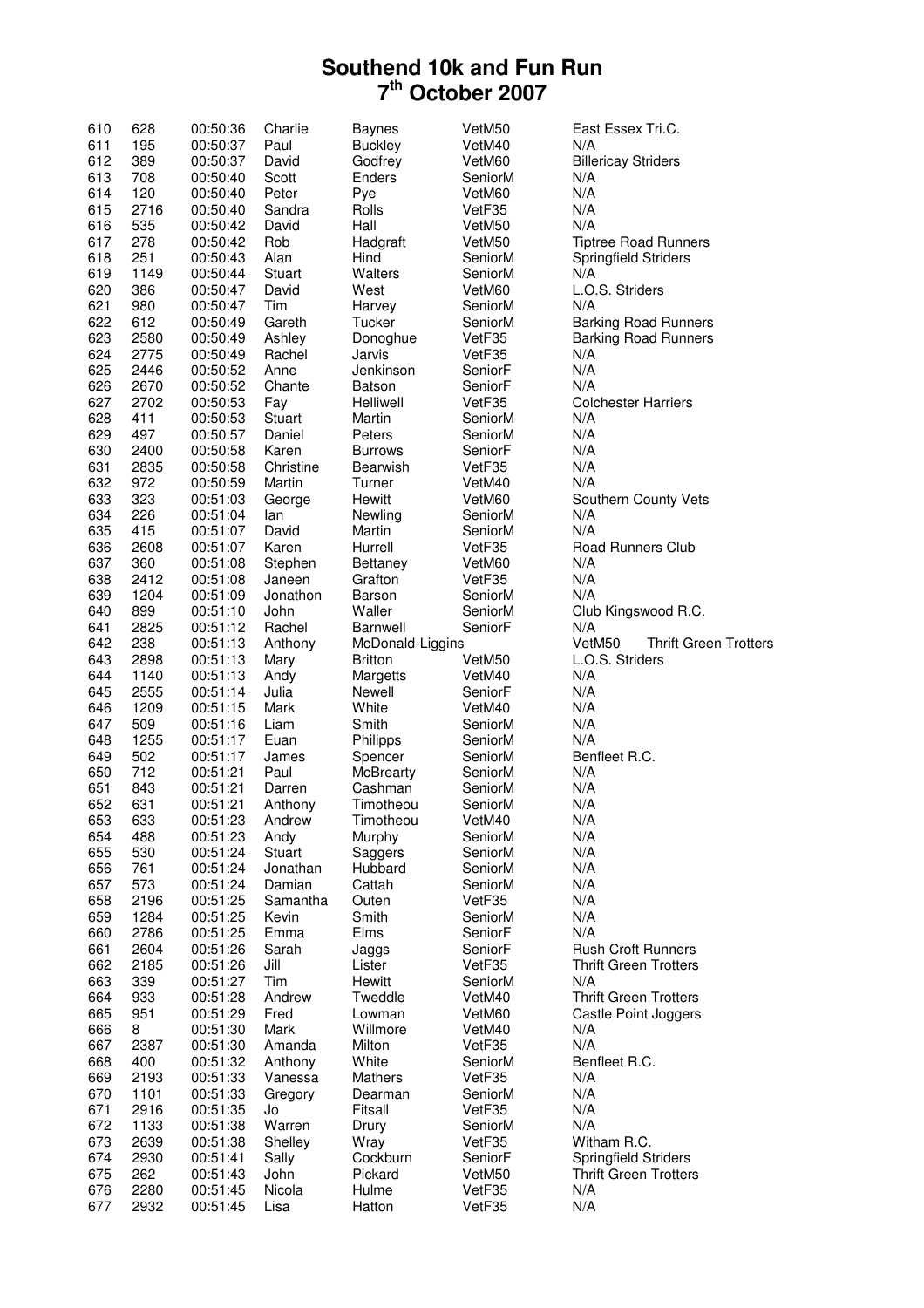| 610        | 628          | 00:50:36             | Charlie       | <b>Baynes</b>    | VetM50            | East Essex Tri.C.                                         |
|------------|--------------|----------------------|---------------|------------------|-------------------|-----------------------------------------------------------|
| 611        | 195          | 00:50:37             | Paul          | <b>Buckley</b>   | VetM40            | N/A                                                       |
| 612        | 389          | 00:50:37             | David         | Godfrey          | VetM60            | <b>Billericay Striders</b>                                |
| 613        | 708          | 00:50:40             | Scott         | Enders           | SeniorM           | N/A                                                       |
| 614        | 120          | 00:50:40             | Peter         | Pye              | VetM60            | N/A                                                       |
| 615        | 2716         | 00:50:40             | Sandra        | Rolls            | VetF35            | N/A                                                       |
| 616        | 535          | 00:50:42             | David         | Hall             | VetM50            | N/A                                                       |
| 617        | 278          | 00:50:42             | Rob           | Hadgraft         | VetM50            | <b>Tiptree Road Runners</b>                               |
| 618        | 251          | 00:50:43             | Alan          | Hind             | SeniorM           | <b>Springfield Striders</b>                               |
| 619        | 1149         | 00:50:44             | Stuart        | Walters          | SeniorM           | N/A                                                       |
| 620        | 386          | 00:50:47             | David         | West             | VetM60            | L.O.S. Striders                                           |
| 621        | 980          | 00:50:47             | Tim           | Harvey           | SeniorM           | N/A                                                       |
| 622        | 612          | 00:50:49             | Gareth        | Tucker           | SeniorM           | <b>Barking Road Runners</b>                               |
| 623        | 2580         | 00:50:49             | Ashley        | Donoghue         | VetF35            | <b>Barking Road Runners</b>                               |
| 624        | 2775         | 00:50:49             | Rachel        | Jarvis           | VetF35            | N/A                                                       |
| 625        | 2446         | 00:50:52             | Anne          | Jenkinson        | SeniorF           | N/A                                                       |
| 626        | 2670         | 00:50:52             | Chante        | Batson           | SeniorF           | N/A                                                       |
| 627        | 2702         | 00:50:53             | Fay           | Helliwell        | VetF35            | <b>Colchester Harriers</b>                                |
| 628        | 411          | 00:50:53             | Stuart        | Martin           | SeniorM           | N/A                                                       |
| 629        | 497          | 00:50:57             | Daniel        | Peters           | SeniorM           | N/A                                                       |
| 630        | 2400         | 00:50:58             | Karen         | <b>Burrows</b>   | SeniorF           | N/A                                                       |
| 631        | 2835         | 00:50:58             | Christine     | Bearwish         | VetF35            | N/A                                                       |
| 632        | 972          | 00:50:59             | Martin        | Turner           | VetM40            | N/A                                                       |
| 633        | 323          | 00:51:03             | George        | Hewitt           | VetM60            | Southern County Vets                                      |
| 634        | 226          | 00:51:04             | lan           | Newling          | SeniorM           | N/A                                                       |
| 635        | 415          | 00:51:07             | David         | Martin           | SeniorM           | N/A                                                       |
| 636        | 2608         | 00:51:07             | Karen         | Hurrell          | VetF35            | Road Runners Club                                         |
| 637        | 360          | 00:51:08             | Stephen       | Bettaney         | VetM60            | N/A                                                       |
| 638        | 2412         | 00:51:08             | Janeen        | Grafton          | VetF35            | N/A                                                       |
| 639        | 1204         | 00:51:09             | Jonathon      | Barson           | SeniorM           | N/A                                                       |
| 640        | 899          | 00:51:10             | John          | Waller           | SeniorM           | Club Kingswood R.C.                                       |
| 641        | 2825         | 00:51:12             | Rachel        | Barnwell         | SeniorF           | N/A                                                       |
| 642        | 238          | 00:51:13             | Anthony       | McDonald-Liggins |                   | VetM50<br><b>Thrift Green Trotters</b>                    |
| 643        | 2898         | 00:51:13             | Mary          | <b>Britton</b>   | VetM50            | L.O.S. Striders                                           |
| 644        | 1140         | 00:51:13             | Andy          | Margetts         | VetM40            | N/A                                                       |
| 645        | 2555         | 00:51:14             | Julia         | Newell           | SeniorF           | N/A                                                       |
| 646        | 1209         | 00:51:15             | Mark          | White            | VetM40            | N/A                                                       |
| 647        | 509          | 00:51:16             | Liam          | Smith            | SeniorM           | N/A                                                       |
| 648        | 1255         | 00:51:17             | Euan          | Philipps         | SeniorM           | N/A                                                       |
| 649        | 502          | 00:51:17             | James         | Spencer          | SeniorM           | Benfleet R.C.                                             |
| 650        | 712          | 00:51:21             | Paul          | McBrearty        | SeniorM           | N/A                                                       |
| 651        | 843          | 00:51:21             | Darren        | Cashman          | SeniorM           | N/A                                                       |
| 652        | 631          | 00:51:21             | Anthony       | Timotheou        | SeniorM           | N/A                                                       |
| 653        | 633          | 00:51:23             | Andrew        | Timotheou        | VetM40            | N/A                                                       |
| 654        | 488          | 00:51:23             | Andy          | Murphy           | SeniorM           | N/A                                                       |
| 655        | 530          | 00:51:24             | Stuart        | Saggers          | SeniorM           | N/A                                                       |
| 656        | 761          | 00:51:24             | Jonathan      | Hubbard          | SeniorM           | N/A                                                       |
| 657        | 573          | 00:51:24             | Damian        | Cattah           | SeniorM           | N/A                                                       |
| 658        | 2196         | 00:51:25             | Samantha      | Outen            | VetF35            | N/A                                                       |
| 659        | 1284         | 00:51:25             | Kevin         | Smith            | SeniorM           | N/A<br>N/A                                                |
| 660        | 2786         | 00:51:25             | Emma          | Elms             | SeniorF           |                                                           |
| 661<br>662 | 2604<br>2185 | 00:51:26<br>00:51:26 | Sarah<br>Jill | Jaggs<br>Lister  | SeniorF<br>VetF35 | <b>Rush Croft Runners</b><br><b>Thrift Green Trotters</b> |
| 663        | 339          | 00:51:27             | Tim           | Hewitt           | SeniorM           | N/A                                                       |
| 664        | 933          | 00:51:28             | Andrew        | Tweddle          | VetM40            | <b>Thrift Green Trotters</b>                              |
| 665        | 951          | 00:51:29             | Fred          | Lowman           | VetM60            | Castle Point Joggers                                      |
| 666        | 8            | 00:51:30             | Mark          | Willmore         | VetM40            | N/A                                                       |
| 667        | 2387         | 00:51:30             | Amanda        | Milton           | VetF35            | N/A                                                       |
| 668        | 400          | 00:51:32             | Anthony       | White            | SeniorM           | Benfleet R.C.                                             |
| 669        | 2193         | 00:51:33             | Vanessa       | Mathers          | VetF35            | N/A                                                       |
| 670        | 1101         | 00:51:33             | Gregory       | Dearman          | SeniorM           | N/A                                                       |
| 671        | 2916         | 00:51:35             | Jo            | Fitsall          | VetF35            | N/A                                                       |
| 672        | 1133         | 00:51:38             | Warren        | Drury            | SeniorM           | N/A                                                       |
| 673        | 2639         | 00:51:38             | Shelley       | Wray             | VetF35            | Witham R.C.                                               |
| 674        | 2930         | 00:51:41             | Sally         | Cockburn         | SeniorF           | Springfield Striders                                      |
| 675        | 262          | 00:51:43             | John          | Pickard          | VetM50            | <b>Thrift Green Trotters</b>                              |
| 676        | 2280         | 00:51:45             | Nicola        | Hulme            | VetF35            | N/A                                                       |
| 677        | 2932         | 00:51:45             | Lisa          | Hatton           | VetF35            | N/A                                                       |
|            |              |                      |               |                  |                   |                                                           |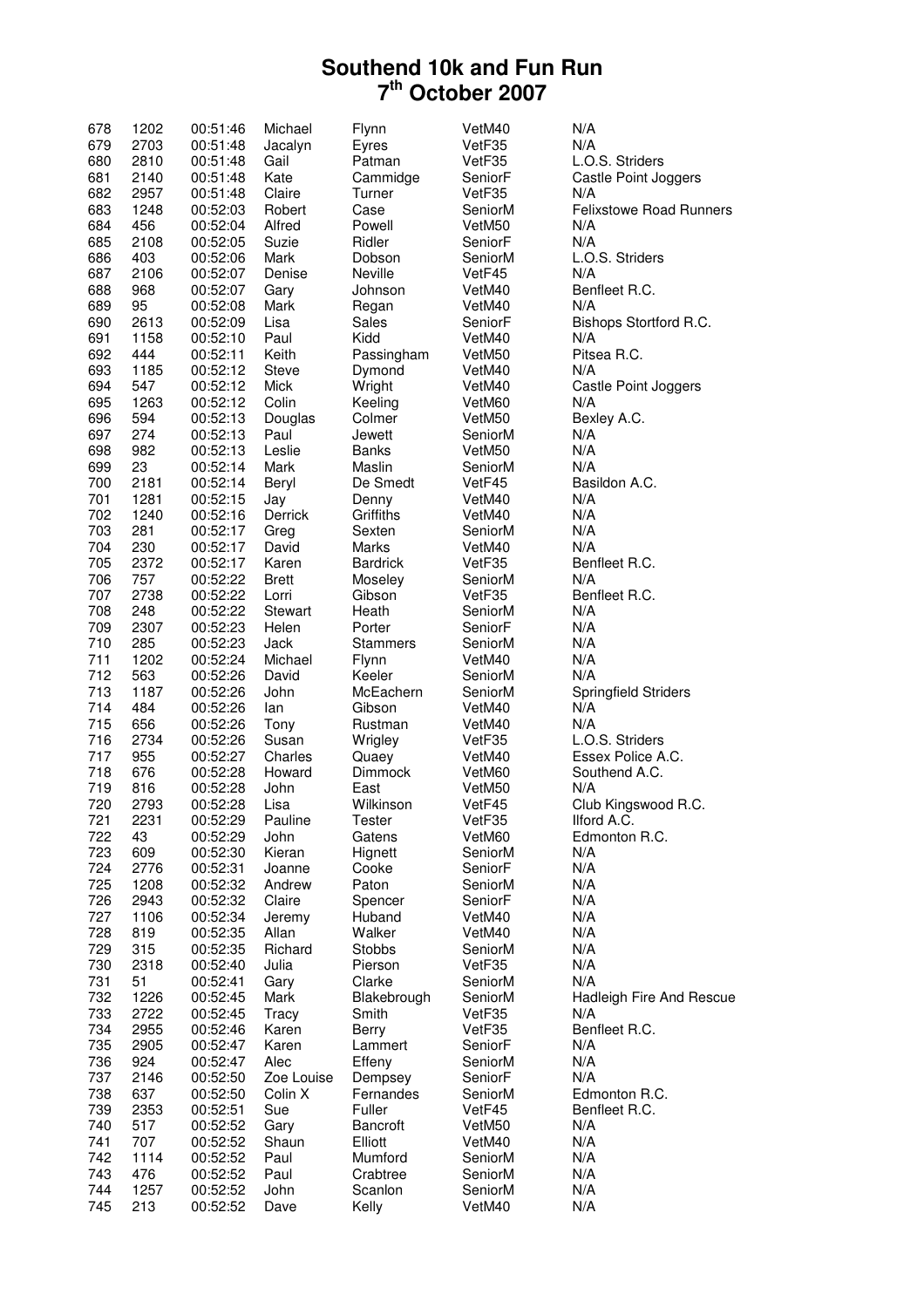| 678 | 1202 | 00:51:46             | Michael      | Flynn             | VetM40  | N/A                             |
|-----|------|----------------------|--------------|-------------------|---------|---------------------------------|
| 679 | 2703 | 00:51:48             | Jacalyn      | Eyres             | VetF35  | N/A                             |
| 680 | 2810 | 00:51:48             | Gail         | Patman            | VetF35  | L.O.S. Striders                 |
| 681 | 2140 | 00:51:48             | Kate         | Cammidge          | SeniorF | Castle Point Joggers            |
| 682 | 2957 | 00:51:48             | Claire       | Turner            | VetF35  | N/A                             |
| 683 | 1248 | 00:52:03             | Robert       | Case              | SeniorM | <b>Felixstowe Road Runners</b>  |
| 684 | 456  | 00:52:04             | Alfred       | Powell            | VetM50  | N/A                             |
| 685 | 2108 | 00:52:05             | Suzie        | Ridler            | SeniorF | N/A                             |
| 686 | 403  | 00:52:06             | Mark         | Dobson            | SeniorM | L.O.S. Striders                 |
| 687 | 2106 | 00:52:07             | Denise       | Neville           | VetF45  | N/A                             |
| 688 | 968  | 00:52:07             | Gary         | Johnson           | VetM40  | Benfleet R.C.                   |
| 689 | 95   | 00:52:08             | Mark         | Regan             | VetM40  | N/A                             |
| 690 | 2613 | 00:52:09             | Lisa         | Sales             | SeniorF | Bishops Stortford R.C.          |
| 691 | 1158 | 00:52:10             | Paul         | Kidd              | VetM40  | N/A                             |
| 692 | 444  | 00:52:11             | Keith        | Passingham        | VetM50  | Pitsea R.C.                     |
| 693 | 1185 | 00:52:12             | <b>Steve</b> | Dymond            | VetM40  | N/A                             |
| 694 | 547  | 00:52:12             | Mick         | Wright            | VetM40  | Castle Point Joggers            |
| 695 | 1263 |                      | Colin        |                   |         | N/A                             |
| 696 | 594  | 00:52:12<br>00:52:13 |              | Keeling<br>Colmer | VetM60  |                                 |
|     |      |                      | Douglas      |                   | VetM50  | Bexley A.C.                     |
| 697 | 274  | 00:52:13             | Paul         | Jewett            | SeniorM | N/A                             |
| 698 | 982  | 00:52:13             | Leslie       | <b>Banks</b>      | VetM50  | N/A                             |
| 699 | 23   | 00:52:14             | Mark         | Maslin            | SeniorM | N/A                             |
| 700 | 2181 | 00:52:14             | Beryl        | De Smedt          | VetF45  | Basildon A.C.                   |
| 701 | 1281 | 00:52:15             | Jay          | Denny             | VetM40  | N/A                             |
| 702 | 1240 | 00:52:16             | Derrick      | Griffiths         | VetM40  | N/A                             |
| 703 | 281  | 00:52:17             | Greg         | Sexten            | SeniorM | N/A                             |
| 704 | 230  | 00:52:17             | David        | Marks             | VetM40  | N/A                             |
| 705 | 2372 | 00:52:17             | Karen        | <b>Bardrick</b>   | VetF35  | Benfleet R.C.                   |
| 706 | 757  | 00:52:22             | <b>Brett</b> | Moseley           | SeniorM | N/A                             |
| 707 | 2738 | 00:52:22             | Lorri        | Gibson            | VetF35  | Benfleet R.C.                   |
| 708 | 248  | 00:52:22             | Stewart      | Heath             | SeniorM | N/A                             |
| 709 | 2307 | 00:52:23             | Helen        | Porter            | SeniorF | N/A                             |
| 710 | 285  | 00:52:23             | Jack         | <b>Stammers</b>   | SeniorM | N/A                             |
| 711 | 1202 | 00:52:24             | Michael      | Flynn             | VetM40  | N/A                             |
| 712 | 563  | 00:52:26             | David        | Keeler            | SeniorM | N/A                             |
| 713 | 1187 | 00:52:26             | John         | McEachern         | SeniorM | <b>Springfield Striders</b>     |
| 714 | 484  | 00:52:26             | lan          | Gibson            | VetM40  | N/A                             |
| 715 | 656  | 00:52:26             | Tony         | Rustman           | VetM40  | N/A                             |
| 716 | 2734 | 00:52:26             | Susan        | Wrigley           | VetF35  | L.O.S. Striders                 |
| 717 | 955  | 00:52:27             | Charles      | Quaey             | VetM40  | Essex Police A.C.               |
| 718 | 676  | 00:52:28             | Howard       | Dimmock           | VetM60  | Southend A.C.                   |
| 719 | 816  | 00:52:28             | John         | East              | VetM50  | N/A                             |
| 720 | 2793 | 00:52:28             | Lisa         | Wilkinson         | VetF45  | Club Kingswood R.C.             |
| 721 | 2231 | 00:52:29             | Pauline      | Tester            | VetF35  | Ilford A.C.                     |
| 722 | 43   | 00:52:29             | John         | Gatens            | VetM60  | Edmonton R.C.                   |
| 723 | 609  | 00:52:30             | Kieran       | Hignett           | SeniorM | N/A                             |
| 724 | 2776 | 00:52:31             | Joanne       | Cooke             | SeniorF | N/A                             |
| 725 | 1208 | 00:52:32             | Andrew       | Paton             | SeniorM | N/A                             |
| 726 | 2943 | 00:52:32             | Claire       | Spencer           | SeniorF | N/A                             |
| 727 | 1106 | 00:52:34             | Jeremy       | Huband            | VetM40  | N/A                             |
| 728 | 819  | 00:52:35             | Allan        | Walker            | VetM40  | N/A                             |
| 729 | 315  | 00:52:35             | Richard      | <b>Stobbs</b>     | SeniorM | N/A                             |
| 730 | 2318 | 00:52:40             | Julia        | Pierson           | VetF35  | N/A                             |
| 731 | 51   | 00:52:41             | Gary         | Clarke            | SeniorM | N/A                             |
| 732 | 1226 | 00:52:45             | Mark         | Blakebrough       | SeniorM | <b>Hadleigh Fire And Rescue</b> |
| 733 | 2722 | 00:52:45             | Tracy        | Smith             | VetF35  | N/A                             |
| 734 | 2955 | 00:52:46             | Karen        | Berry             | VetF35  | Benfleet R.C.                   |
| 735 | 2905 | 00:52:47             | Karen        | Lammert           | SeniorF | N/A                             |
| 736 | 924  | 00:52:47             | Alec         | Effeny            | SeniorM | N/A                             |
| 737 | 2146 | 00:52:50             | Zoe Louise   | Dempsey           | SeniorF | N/A                             |
| 738 | 637  | 00:52:50             | Colin X      | Fernandes         | SeniorM | Edmonton R.C.                   |
| 739 | 2353 | 00:52:51             | Sue          | Fuller            | VetF45  | Benfleet R.C.                   |
| 740 | 517  | 00:52:52             | Gary         | <b>Bancroft</b>   | VetM50  | N/A                             |
| 741 | 707  | 00:52:52             | Shaun        | Elliott           | VetM40  | N/A                             |
| 742 | 1114 | 00:52:52             | Paul         | Mumford           | SeniorM | N/A                             |
| 743 | 476  | 00:52:52             | Paul         | Crabtree          | SeniorM | N/A                             |
| 744 | 1257 | 00:52:52             | John         | Scanlon           | SeniorM | N/A                             |
| 745 | 213  | 00:52:52             | Dave         | Kelly             | VetM40  | N/A                             |
|     |      |                      |              |                   |         |                                 |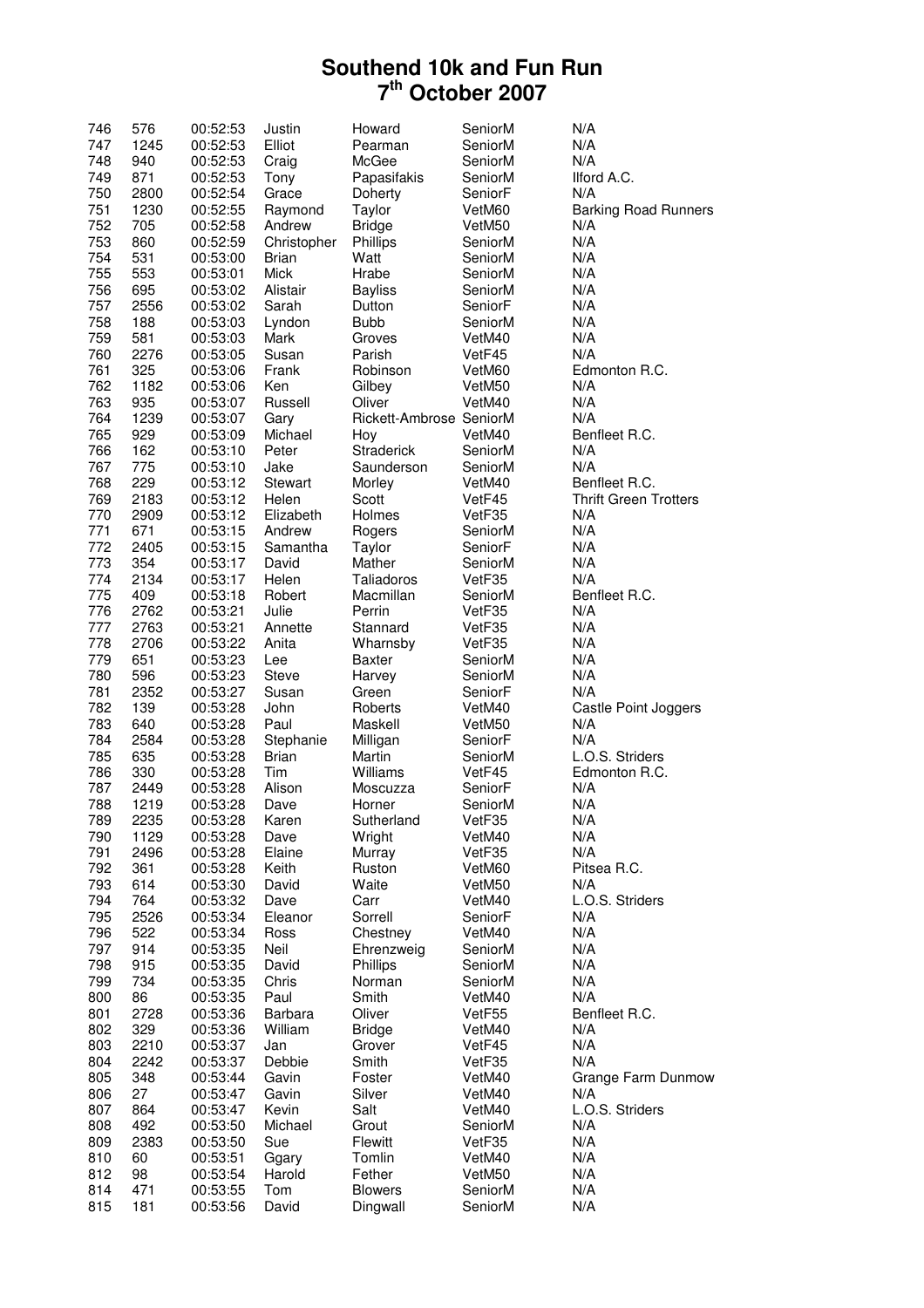| 746 | 576  | 00:52:53 | Justin       | Howard                  | SeniorM | N/A                          |
|-----|------|----------|--------------|-------------------------|---------|------------------------------|
| 747 | 1245 | 00:52:53 | Elliot       | Pearman                 | SeniorM | N/A                          |
| 748 | 940  | 00:52:53 | Craig        | McGee                   | SeniorM | N/A                          |
| 749 | 871  | 00:52:53 | Tony         | Papasifakis             | SeniorM | Ilford A.C.                  |
| 750 | 2800 | 00:52:54 | Grace        | Doherty                 | SeniorF | N/A                          |
| 751 | 1230 | 00:52:55 | Raymond      | Taylor                  | VetM60  | <b>Barking Road Runners</b>  |
| 752 | 705  | 00:52:58 | Andrew       | <b>Bridge</b>           | VetM50  | N/A                          |
| 753 | 860  | 00:52:59 | Christopher  | Phillips                | SeniorM | N/A                          |
| 754 | 531  | 00:53:00 | <b>Brian</b> | Watt                    | SeniorM | N/A                          |
| 755 | 553  | 00:53:01 | Mick         | Hrabe                   | SeniorM | N/A                          |
| 756 | 695  | 00:53:02 |              |                         | SeniorM | N/A                          |
|     |      |          | Alistair     | <b>Bayliss</b>          |         |                              |
| 757 | 2556 | 00:53:02 | Sarah        | Dutton                  | SeniorF | N/A                          |
| 758 | 188  | 00:53:03 | Lyndon       | <b>Bubb</b>             | SeniorM | N/A                          |
| 759 | 581  | 00:53:03 | Mark         | Groves                  | VetM40  | N/A                          |
| 760 | 2276 | 00:53:05 | Susan        | Parish                  | VetF45  | N/A                          |
| 761 | 325  | 00:53:06 | Frank        | Robinson                | VetM60  | Edmonton R.C.                |
| 762 | 1182 | 00:53:06 | Ken          | Gilbey                  | VetM50  | N/A                          |
| 763 | 935  | 00:53:07 | Russell      | Oliver                  | VetM40  | N/A                          |
| 764 | 1239 | 00:53:07 | Gary         | Rickett-Ambrose SeniorM |         | N/A                          |
| 765 | 929  | 00:53:09 | Michael      | Hoy                     | VetM40  | Benfleet R.C.                |
| 766 | 162  | 00:53:10 | Peter        | <b>Straderick</b>       | SeniorM | N/A                          |
| 767 | 775  | 00:53:10 | Jake         | Saunderson              | SeniorM | N/A                          |
| 768 | 229  | 00:53:12 | Stewart      | Morley                  | VetM40  | Benfleet R.C.                |
| 769 | 2183 | 00:53:12 | Helen        | Scott                   | VetF45  | <b>Thrift Green Trotters</b> |
| 770 | 2909 | 00:53:12 | Elizabeth    | Holmes                  | VetF35  | N/A                          |
| 771 | 671  | 00:53:15 | Andrew       | Rogers                  | SeniorM | N/A                          |
| 772 | 2405 | 00:53:15 | Samantha     | Taylor                  | SeniorF | N/A                          |
| 773 | 354  | 00:53:17 | David        | Mather                  | SeniorM | N/A                          |
| 774 | 2134 | 00:53:17 | Helen        | Taliadoros              | VetF35  | N/A                          |
| 775 | 409  | 00:53:18 | Robert       | Macmillan               | SeniorM | Benfleet R.C.                |
| 776 | 2762 | 00:53:21 | Julie        | Perrin                  | VetF35  | N/A                          |
| 777 | 2763 | 00:53:21 | Annette      | Stannard                | VetF35  | N/A                          |
| 778 | 2706 | 00:53:22 | Anita        | Wharnsby                | VetF35  | N/A                          |
| 779 |      |          | Lee          | <b>Baxter</b>           |         | N/A                          |
|     | 651  | 00:53:23 |              |                         | SeniorM |                              |
| 780 | 596  | 00:53:23 | <b>Steve</b> | Harvey                  | SeniorM | N/A                          |
| 781 | 2352 | 00:53:27 | Susan        | Green                   | SeniorF | N/A                          |
| 782 | 139  | 00:53:28 | John         | Roberts                 | VetM40  | Castle Point Joggers         |
| 783 | 640  | 00:53:28 | Paul         | Maskell                 | VetM50  | N/A                          |
| 784 | 2584 | 00:53:28 | Stephanie    | Milligan                | SeniorF | N/A                          |
| 785 | 635  | 00:53:28 | Brian        | Martin                  | SeniorM | L.O.S. Striders              |
| 786 | 330  | 00:53:28 | Tim          | Williams                | VetF45  | Edmonton R.C.                |
| 787 | 2449 | 00:53:28 | Alison       | Moscuzza                | SeniorF | N/A                          |
| 788 | 1219 | 00:53:28 | Dave         | Horner                  | SeniorM | N/A                          |
| 789 | 2235 | 00:53:28 | Karen        | Sutherland              | VetF35  | N/A                          |
| 790 | 1129 | 00:53:28 | Dave         | Wright                  | VetM40  | N/A                          |
| 791 | 2496 | 00:53:28 | Elaine       | Murray                  | VetF35  | N/A                          |
| 792 | 361  | 00:53:28 | Keith        | Ruston                  | VetM60  | Pitsea R.C.                  |
| 793 | 614  | 00:53:30 | David        | Waite                   | VetM50  | N/A                          |
| 794 | 764  | 00:53:32 | Dave         | Carr                    | VetM40  | L.O.S. Striders              |
| 795 | 2526 | 00:53:34 | Eleanor      | Sorrell                 | SeniorF | N/A                          |
| 796 | 522  | 00:53:34 | Ross         | Chestney                | VetM40  | N/A                          |
| 797 | 914  | 00:53:35 | Neil         | Ehrenzweig              | SeniorM | N/A                          |
| 798 | 915  | 00:53:35 | David        | Phillips                | SeniorM | N/A                          |
| 799 | 734  | 00:53:35 | Chris        | Norman                  | SeniorM | N/A                          |
| 800 | 86   | 00:53:35 | Paul         | Smith                   | VetM40  | N/A                          |
| 801 | 2728 | 00:53:36 | Barbara      | Oliver                  | VetF55  | Benfleet R.C.                |
| 802 | 329  | 00:53:36 | William      | <b>Bridge</b>           | VetM40  | N/A                          |
| 803 | 2210 | 00:53:37 | Jan          | Grover                  | VetF45  | N/A                          |
| 804 | 2242 | 00:53:37 | Debbie       | Smith                   | VetF35  | N/A                          |
| 805 | 348  | 00:53:44 | Gavin        | Foster                  | VetM40  | Grange Farm Dunmow           |
|     |      |          |              |                         |         |                              |
| 806 | 27   | 00:53:47 | Gavin        | Silver                  | VetM40  | N/A<br>L.O.S. Striders       |
| 807 | 864  | 00:53:47 | Kevin        | Salt                    | VetM40  |                              |
| 808 | 492  | 00:53:50 | Michael      | Grout                   | SeniorM | N/A                          |
| 809 | 2383 | 00:53:50 | Sue          | Flewitt                 | VetF35  | N/A                          |
| 810 | 60   | 00:53:51 | Ggary        | Tomlin                  | VetM40  | N/A                          |
| 812 | 98   | 00:53:54 | Harold       | Fether                  | VetM50  | N/A                          |
| 814 | 471  | 00:53:55 | Tom          | <b>Blowers</b>          | SeniorM | N/A                          |
| 815 | 181  | 00:53:56 | David        | Dingwall                | SeniorM | N/A                          |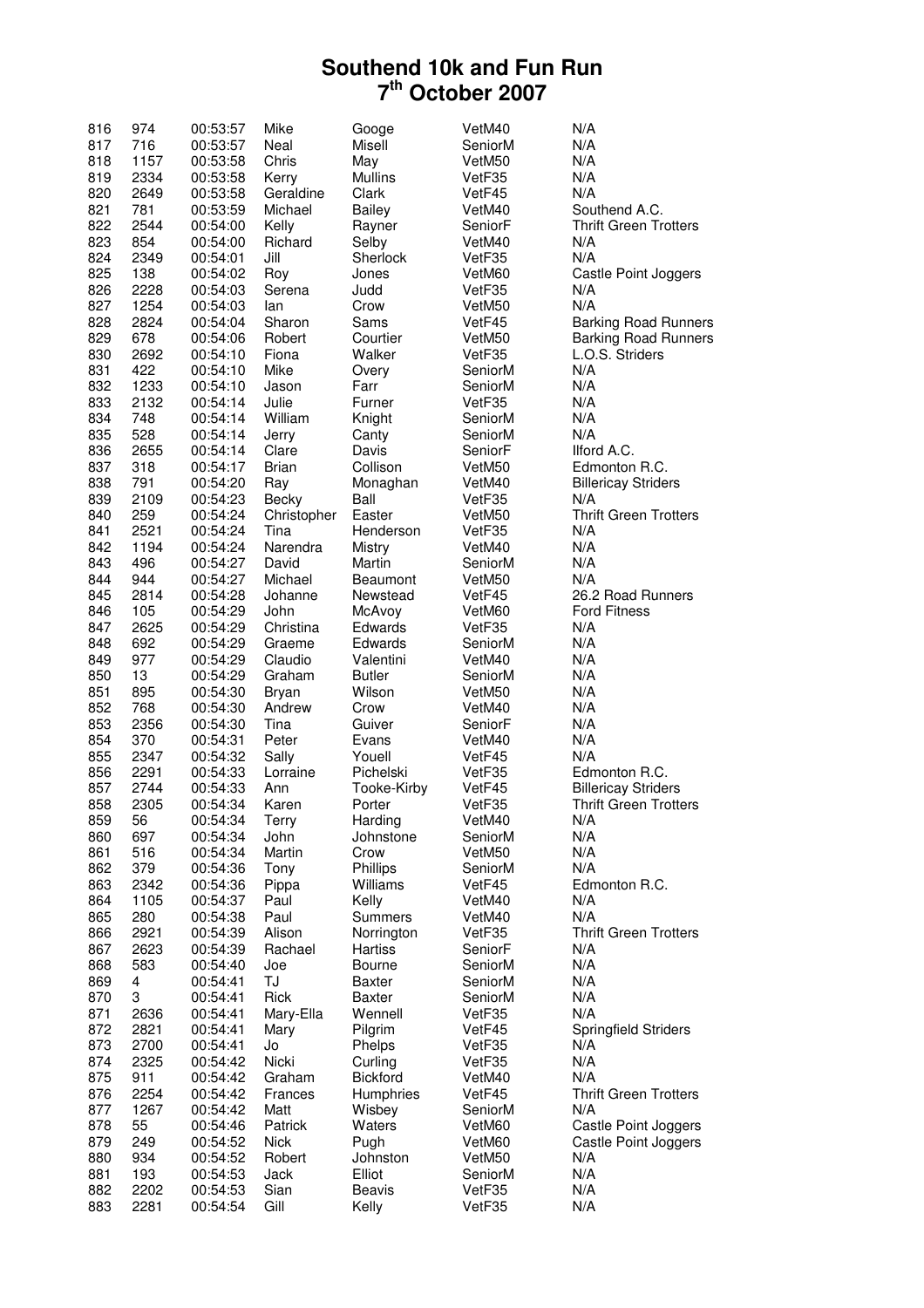| 816 | 974  | 00:53:57 | Mike         | Googe           | VetM40  | N/A                          |
|-----|------|----------|--------------|-----------------|---------|------------------------------|
| 817 | 716  | 00:53:57 | Neal         | Misell          | SeniorM | N/A                          |
| 818 | 1157 | 00:53:58 | Chris        | May             | VetM50  | N/A                          |
| 819 | 2334 | 00:53:58 | Kerry        | <b>Mullins</b>  | VetF35  | N/A                          |
| 820 | 2649 | 00:53:58 | Geraldine    | Clark           | VetF45  | N/A                          |
| 821 | 781  | 00:53:59 | Michael      | <b>Bailey</b>   | VetM40  | Southend A.C.                |
| 822 | 2544 | 00:54:00 | Kelly        | Rayner          | SeniorF | <b>Thrift Green Trotters</b> |
| 823 | 854  | 00:54:00 | Richard      | Selby           | VetM40  | N/A                          |
| 824 | 2349 | 00:54:01 | Jill         | Sherlock        | VetF35  | N/A                          |
| 825 | 138  | 00:54:02 | Roy          | Jones           | VetM60  | Castle Point Joggers         |
|     |      |          |              |                 |         |                              |
| 826 | 2228 | 00:54:03 | Serena       | Judd            | VetF35  | N/A<br>N/A                   |
| 827 | 1254 | 00:54:03 | lan          | Crow            | VetM50  |                              |
| 828 | 2824 | 00:54:04 | Sharon       | Sams            | VetF45  | <b>Barking Road Runners</b>  |
| 829 | 678  | 00:54:06 | Robert       | Courtier        | VetM50  | <b>Barking Road Runners</b>  |
| 830 | 2692 | 00:54:10 | Fiona        | Walker          | VetF35  | L.O.S. Striders              |
| 831 | 422  | 00:54:10 | Mike         | Overy           | SeniorM | N/A                          |
| 832 | 1233 | 00:54:10 | Jason        | Farr            | SeniorM | N/A                          |
| 833 | 2132 | 00:54:14 | Julie        | Furner          | VetF35  | N/A                          |
| 834 | 748  | 00:54:14 | William      | Knight          | SeniorM | N/A                          |
| 835 | 528  | 00:54:14 | Jerry        | Canty           | SeniorM | N/A                          |
| 836 | 2655 | 00:54:14 | Clare        | Davis           | SeniorF | Ilford A.C.                  |
| 837 | 318  | 00:54:17 | <b>Brian</b> | Collison        | VetM50  | Edmonton R.C.                |
| 838 | 791  | 00:54:20 | Ray          | Monaghan        | VetM40  | <b>Billericay Striders</b>   |
| 839 | 2109 | 00:54:23 | Becky        | Ball            | VetF35  | N/A                          |
| 840 | 259  | 00:54:24 | Christopher  | Easter          | VetM50  | <b>Thrift Green Trotters</b> |
|     |      |          |              |                 |         |                              |
| 841 | 2521 | 00:54:24 | Tina         | Henderson       | VetF35  | N/A                          |
| 842 | 1194 | 00:54:24 | Narendra     | Mistry          | VetM40  | N/A                          |
| 843 | 496  | 00:54:27 | David        | Martin          | SeniorM | N/A                          |
| 844 | 944  | 00:54:27 | Michael      | <b>Beaumont</b> | VetM50  | N/A                          |
| 845 | 2814 | 00:54:28 | Johanne      | Newstead        | VetF45  | 26.2 Road Runners            |
| 846 | 105  | 00:54:29 | John         | McAvoy          | VetM60  | <b>Ford Fitness</b>          |
| 847 | 2625 | 00:54:29 | Christina    | Edwards         | VetF35  | N/A                          |
| 848 | 692  | 00:54:29 | Graeme       | Edwards         | SeniorM | N/A                          |
| 849 | 977  | 00:54:29 | Claudio      | Valentini       | VetM40  | N/A                          |
| 850 | 13   | 00:54:29 | Graham       | <b>Butler</b>   | SeniorM | N/A                          |
| 851 | 895  | 00:54:30 | Bryan        | Wilson          | VetM50  | N/A                          |
| 852 | 768  | 00:54:30 | Andrew       | Crow            | VetM40  | N/A                          |
| 853 | 2356 | 00:54:30 | Tina         | Guiver          | SeniorF | N/A                          |
| 854 | 370  | 00:54:31 | Peter        | Evans           | VetM40  | N/A                          |
| 855 | 2347 | 00:54:32 | Sally        | Youell          | VetF45  | N/A                          |
| 856 | 2291 | 00:54:33 | Lorraine     | Pichelski       | VetF35  | Edmonton R.C.                |
| 857 |      |          | Ann          |                 | VetF45  | <b>Billericay Striders</b>   |
|     | 2744 | 00:54:33 |              | Tooke-Kirby     |         | <b>Thrift Green Trotters</b> |
| 858 | 2305 | 00:54:34 | Karen        | Porter          | VetF35  |                              |
| 859 | 56   | 00:54:34 | Terry        | Harding         | VetM40  | N/A                          |
| 860 | 697  | 00:54:34 | John         | Johnstone       | SeniorM | N/A                          |
| 861 | 516  | 00:54:34 | Martin       | Crow            | VetM50  | N/A                          |
| 862 | 379  | 00:54:36 | Tony         | Phillips        | SeniorM | N/A                          |
| 863 | 2342 | 00:54:36 | Pippa        | Williams        | VetF45  | Edmonton R.C.                |
| 864 | 1105 | 00:54:37 | Paul         | Kelly           | VetM40  | N/A                          |
| 865 | 280  | 00:54:38 | Paul         | Summers         | VetM40  | N/A                          |
| 866 | 2921 | 00:54:39 | Alison       | Norrington      | VetF35  | <b>Thrift Green Trotters</b> |
| 867 | 2623 | 00:54:39 | Rachael      | <b>Hartiss</b>  | SeniorF | N/A                          |
| 868 | 583  | 00:54:40 | Joe          | <b>Bourne</b>   | SeniorM | N/A                          |
| 869 | 4    | 00:54:41 | TJ           | Baxter          | SeniorM | N/A                          |
| 870 | 3    | 00:54:41 | Rick         | Baxter          | SeniorM | N/A                          |
| 871 | 2636 | 00:54:41 | Mary-Ella    | Wennell         | VetF35  | N/A                          |
|     |      |          | Mary         | Pilgrim         |         |                              |
| 872 | 2821 | 00:54:41 |              |                 | VetF45  | <b>Springfield Striders</b>  |
| 873 | 2700 | 00:54:41 | Jo           | Phelps          | VetF35  | N/A                          |
| 874 | 2325 | 00:54:42 | Nicki        | Curling         | VetF35  | N/A                          |
| 875 | 911  | 00:54:42 | Graham       | <b>Bickford</b> | VetM40  | N/A                          |
| 876 | 2254 | 00:54:42 | Frances      | Humphries       | VetF45  | <b>Thrift Green Trotters</b> |
| 877 | 1267 | 00:54:42 | Matt         | Wisbey          | SeniorM | N/A                          |
| 878 | 55   | 00:54:46 | Patrick      | Waters          | VetM60  | Castle Point Joggers         |
| 879 | 249  | 00:54:52 | <b>Nick</b>  | Pugh            | VetM60  | Castle Point Joggers         |
| 880 | 934  | 00:54:52 | Robert       | Johnston        | VetM50  | N/A                          |
| 881 | 193  | 00:54:53 | Jack         | Elliot          | SeniorM | N/A                          |
| 882 | 2202 | 00:54:53 | Sian         | <b>Beavis</b>   | VetF35  | N/A                          |
| 883 | 2281 | 00:54:54 | Gill         | Kelly           | VetF35  | N/A                          |
|     |      |          |              |                 |         |                              |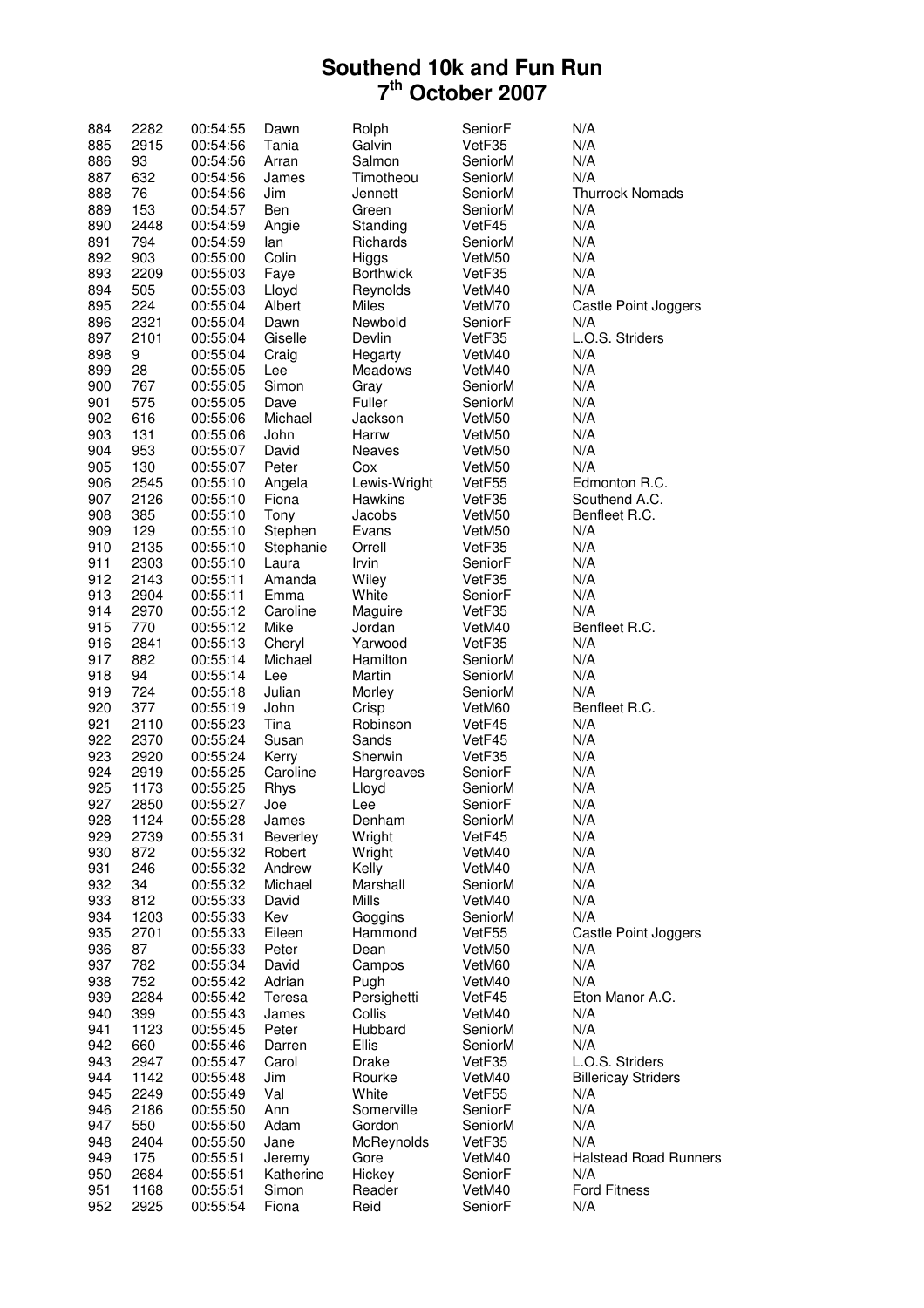| 884 | 2282 | 00:54:55 | Dawn      | Rolph            | SeniorF | N/A                          |
|-----|------|----------|-----------|------------------|---------|------------------------------|
| 885 | 2915 | 00:54:56 | Tania     | Galvin           | VetF35  | N/A                          |
| 886 | 93   | 00:54:56 | Arran     | Salmon           | SeniorM | N/A                          |
| 887 | 632  | 00:54:56 | James     | Timotheou        | SeniorM | N/A                          |
| 888 | 76   | 00:54:56 | Jim       | Jennett          | SeniorM | <b>Thurrock Nomads</b>       |
| 889 | 153  | 00:54:57 | Ben       | Green            | SeniorM | N/A                          |
|     |      |          |           |                  |         |                              |
| 890 | 2448 | 00:54:59 | Angie     | Standing         | VetF45  | N/A                          |
| 891 | 794  | 00:54:59 | lan       | Richards         | SeniorM | N/A                          |
| 892 | 903  | 00:55:00 | Colin     | Higgs            | VetM50  | N/A                          |
| 893 | 2209 | 00:55:03 | Faye      | <b>Borthwick</b> | VetF35  | N/A                          |
| 894 | 505  | 00:55:03 | Lloyd     | Reynolds         | VetM40  | N/A                          |
| 895 | 224  | 00:55:04 | Albert    | <b>Miles</b>     | VetM70  | Castle Point Joggers         |
| 896 | 2321 | 00:55:04 | Dawn      | Newbold          | SeniorF | N/A                          |
| 897 | 2101 | 00:55:04 | Giselle   | Devlin           | VetF35  | L.O.S. Striders              |
| 898 | 9    | 00:55:04 | Craig     | Hegarty          | VetM40  | N/A                          |
| 899 | 28   | 00:55:05 | Lee       | Meadows          | VetM40  | N/A                          |
|     | 767  |          | Simon     |                  |         | N/A                          |
| 900 |      | 00:55:05 |           | Gray             | SeniorM |                              |
| 901 | 575  | 00:55:05 | Dave      | Fuller           | SeniorM | N/A                          |
| 902 | 616  | 00:55:06 | Michael   | Jackson          | VetM50  | N/A                          |
| 903 | 131  | 00:55:06 | John      | Harrw            | VetM50  | N/A                          |
| 904 | 953  | 00:55:07 | David     | Neaves           | VetM50  | N/A                          |
| 905 | 130  | 00:55:07 | Peter     | Cox              | VetM50  | N/A                          |
| 906 | 2545 | 00:55:10 | Angela    | Lewis-Wright     | VetF55  | Edmonton R.C.                |
| 907 | 2126 | 00:55:10 | Fiona     | <b>Hawkins</b>   | VetF35  | Southend A.C.                |
| 908 | 385  | 00:55:10 | Tony      | Jacobs           | VetM50  | Benfleet R.C.                |
| 909 | 129  | 00:55:10 | Stephen   | Evans            | VetM50  | N/A                          |
|     | 2135 |          |           |                  | VetF35  | N/A                          |
| 910 |      | 00:55:10 | Stephanie | Orrell           |         |                              |
| 911 | 2303 | 00:55:10 | Laura     | Irvin            | SeniorF | N/A                          |
| 912 | 2143 | 00:55:11 | Amanda    | Wiley            | VetF35  | N/A                          |
| 913 | 2904 | 00:55:11 | Emma      | White            | SeniorF | N/A                          |
| 914 | 2970 | 00:55:12 | Caroline  | Maguire          | VetF35  | N/A                          |
| 915 | 770  | 00:55:12 | Mike      | Jordan           | VetM40  | Benfleet R.C.                |
| 916 | 2841 | 00:55:13 | Cheryl    | Yarwood          | VetF35  | N/A                          |
| 917 | 882  | 00:55:14 | Michael   | Hamilton         | SeniorM | N/A                          |
| 918 | 94   | 00:55:14 | Lee       | Martin           | SeniorM | N/A                          |
| 919 | 724  | 00:55:18 | Julian    | Morley           | SeniorM | N/A                          |
| 920 | 377  | 00:55:19 | John      | Crisp            | VetM60  | Benfleet R.C.                |
| 921 | 2110 |          | Tina      | Robinson         | VetF45  | N/A                          |
|     |      | 00:55:23 |           |                  |         |                              |
| 922 | 2370 | 00:55:24 | Susan     | Sands            | VetF45  | N/A                          |
| 923 | 2920 | 00:55:24 | Kerry     | Sherwin          | VetF35  | N/A                          |
| 924 | 2919 | 00:55:25 | Caroline  | Hargreaves       | SeniorF | N/A                          |
| 925 | 1173 | 00:55:25 | Rhys      | Lloyd            | SeniorM | N/A                          |
| 927 | 2850 | 00:55:27 | Joe       | Lee              | SeniorF | N/A                          |
| 928 | 1124 | 00:55:28 | James     | Denham           | SeniorM | N/A                          |
| 929 | 2739 | 00:55:31 | Beverley  | Wright           | VetF45  | N/A                          |
| 930 | 872  | 00:55:32 | Robert    | Wright           | VetM40  | N/A                          |
| 931 | 246  | 00:55:32 | Andrew    | Kelly            | VetM40  | N/A                          |
| 932 | 34   | 00:55:32 | Michael   | Marshall         | SeniorM | N/A                          |
| 933 | 812  | 00:55:33 | David     | Mills            | VetM40  | N/A                          |
|     |      |          | Kev       |                  |         | N/A                          |
| 934 | 1203 | 00:55:33 |           | Goggins          | SeniorM |                              |
| 935 | 2701 | 00:55:33 | Eileen    | Hammond          | VetF55  | Castle Point Joggers         |
| 936 | 87   | 00:55:33 | Peter     | Dean             | VetM50  | N/A                          |
| 937 | 782  | 00:55:34 | David     | Campos           | VetM60  | N/A                          |
| 938 | 752  | 00:55:42 | Adrian    | Pugh             | VetM40  | N/A                          |
| 939 | 2284 | 00:55:42 | Teresa    | Persighetti      | VetF45  | Eton Manor A.C.              |
| 940 | 399  | 00:55:43 | James     | Collis           | VetM40  | N/A                          |
| 941 | 1123 | 00:55:45 | Peter     | Hubbard          | SeniorM | N/A                          |
| 942 | 660  | 00:55:46 | Darren    | <b>Ellis</b>     | SeniorM | N/A                          |
| 943 | 2947 | 00:55:47 | Carol     | Drake            | VetF35  | L.O.S. Striders              |
| 944 | 1142 | 00:55:48 | Jim       | Rourke           | VetM40  | <b>Billericay Striders</b>   |
|     |      |          | Val       | White            |         | N/A                          |
| 945 | 2249 | 00:55:49 |           |                  | VetF55  |                              |
| 946 | 2186 | 00:55:50 | Ann       | Somerville       | SeniorF | N/A                          |
| 947 | 550  | 00:55:50 | Adam      | Gordon           | SeniorM | N/A                          |
| 948 | 2404 | 00:55:50 | Jane      | McReynolds       | VetF35  | N/A                          |
| 949 | 175  | 00:55:51 | Jeremy    | Gore             | VetM40  | <b>Halstead Road Runners</b> |
| 950 | 2684 | 00:55:51 | Katherine | Hickey           | SeniorF | N/A                          |
| 951 | 1168 | 00:55:51 | Simon     | Reader           | VetM40  | <b>Ford Fitness</b>          |
| 952 | 2925 | 00:55:54 | Fiona     | Reid             | SeniorF | N/A                          |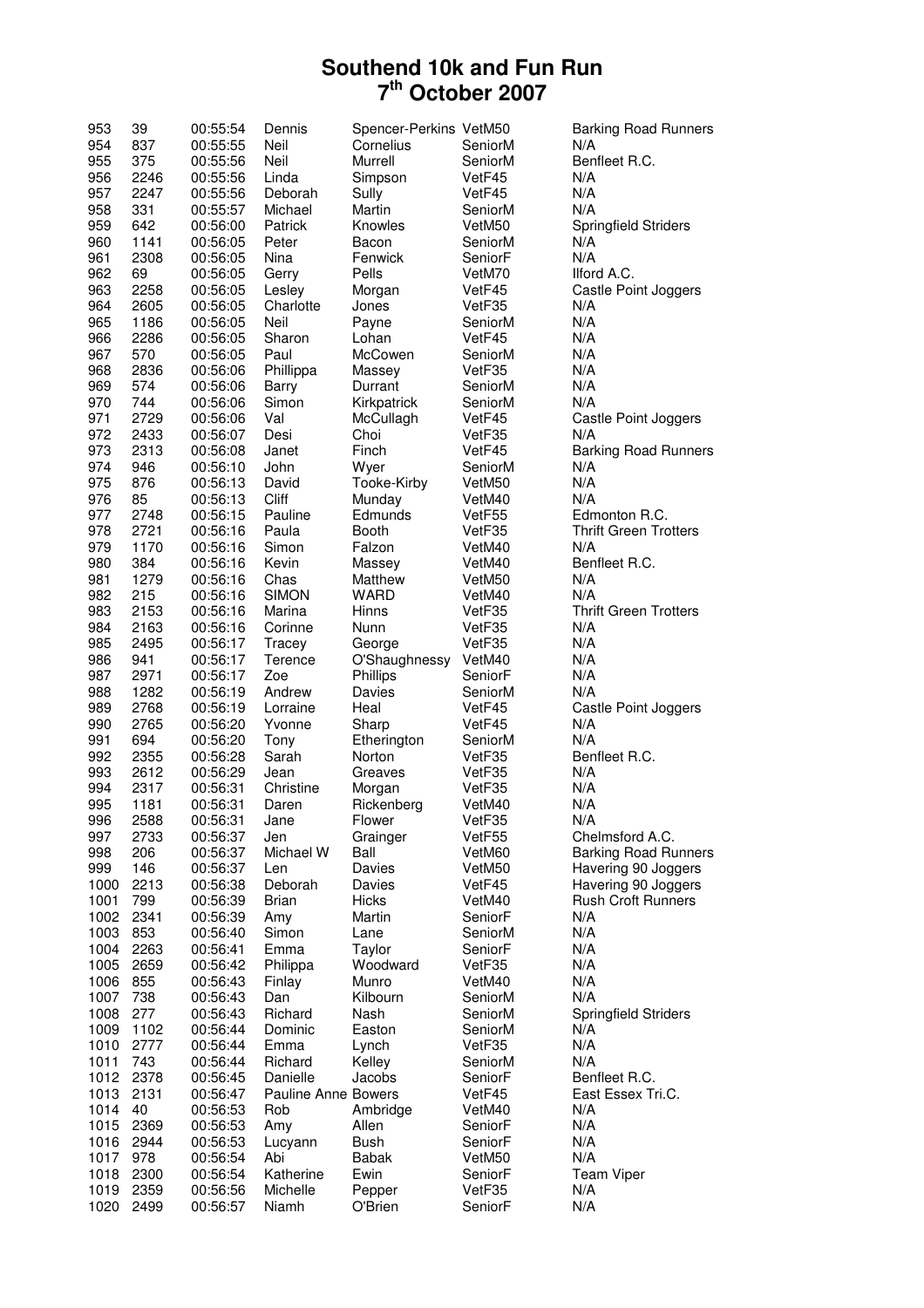| 953  | 39           | 00:55:54 | Dennis              | Spencer-Perkins VetM50 |                    | <b>Barking Road Runners</b>  |
|------|--------------|----------|---------------------|------------------------|--------------------|------------------------------|
| 954  | 837          | 00:55:55 | Neil                | Cornelius              | SeniorM            | N/A                          |
| 955  | 375          | 00:55:56 | Neil                | Murrell                | SeniorM            | Benfleet R.C.                |
| 956  | 2246         | 00:55:56 | Linda               | Simpson                | VetF45             | N/A                          |
| 957  | 2247         | 00:55:56 | Deborah             | Sully                  | VetF45             | N/A                          |
| 958  | 331          | 00:55:57 | Michael             | Martin                 | SeniorM            | N/A                          |
| 959  | 642          | 00:56:00 | Patrick             | Knowles                | VetM50             | <b>Springfield Striders</b>  |
| 960  | 1141         | 00:56:05 | Peter               | Bacon                  | SeniorM            | N/A                          |
| 961  | 2308         | 00:56:05 | Nina                | Fenwick                | SeniorF            | N/A                          |
|      |              |          |                     |                        |                    |                              |
| 962  | 69           | 00:56:05 | Gerry               | Pells                  | VetM70             | Ilford A.C.                  |
| 963  | 2258         | 00:56:05 | Lesley              | Morgan                 | VetF45             | Castle Point Joggers         |
| 964  | 2605         | 00:56:05 | Charlotte           | Jones                  | VetF35             | N/A                          |
| 965  | 1186         | 00:56:05 | Neil                | Payne                  | SeniorM            | N/A                          |
| 966  | 2286         | 00:56:05 | Sharon              | Lohan                  | VetF45             | N/A                          |
| 967  | 570          | 00:56:05 | Paul                | McCowen                | SeniorM            | N/A                          |
| 968  | 2836         | 00:56:06 | Phillippa           | Massey                 | VetF35             | N/A                          |
| 969  | 574          | 00:56:06 | Barry               | Durrant                | SeniorM            | N/A                          |
| 970  | 744          | 00:56:06 | Simon               | Kirkpatrick            | SeniorM            | N/A                          |
| 971  | 2729         | 00:56:06 | Val                 | McCullagh              | VetF45             | Castle Point Joggers         |
| 972  | 2433         | 00:56:07 | Desi                | Choi                   | VetF35             | N/A                          |
| 973  | 2313         | 00:56:08 | Janet               | Finch                  | VetF45             | <b>Barking Road Runners</b>  |
| 974  | 946          | 00:56:10 | John                | Wyer                   | SeniorM            | N/A                          |
| 975  | 876          |          | David               | Tooke-Kirby            |                    | N/A                          |
|      |              | 00:56:13 |                     |                        | VetM50             |                              |
| 976  | 85           | 00:56:13 | Cliff               | Munday                 | VetM40             | N/A                          |
| 977  | 2748         | 00:56:15 | Pauline             | Edmunds                | VetF55             | Edmonton R.C.                |
| 978  | 2721         | 00:56:16 | Paula               | <b>Booth</b>           | VetF35             | <b>Thrift Green Trotters</b> |
| 979  | 1170         | 00:56:16 | Simon               | Falzon                 | VetM40             | N/A                          |
| 980  | 384          | 00:56:16 | Kevin               | Massey                 | VetM40             | Benfleet R.C.                |
| 981  | 1279         | 00:56:16 | Chas                | Matthew                | VetM50             | N/A                          |
| 982  | 215          | 00:56:16 | <b>SIMON</b>        | <b>WARD</b>            | VetM40             | N/A                          |
| 983  | 2153         | 00:56:16 | Marina              | Hinns                  | VetF35             | <b>Thrift Green Trotters</b> |
| 984  | 2163         | 00:56:16 | Corinne             | Nunn                   | VetF35             | N/A                          |
| 985  | 2495         | 00:56:17 | Tracey              | George                 | VetF35             | N/A                          |
| 986  | 941          | 00:56:17 | Terence             | O'Shaughnessy          | VetM40             | N/A                          |
| 987  | 2971         | 00:56:17 | Zoe                 | Phillips               | SeniorF            | N/A                          |
| 988  | 1282         | 00:56:19 | Andrew              | Davies                 | SeniorM            | N/A                          |
|      |              |          | Lorraine            | Heal                   |                    |                              |
| 989  | 2768         | 00:56:19 |                     |                        | VetF45             | Castle Point Joggers         |
| 990  | 2765         | 00:56:20 | Yvonne              | Sharp                  | VetF45             | N/A                          |
| 991  | 694          | 00:56:20 | Tony                | Etherington            | SeniorM            | N/A                          |
| 992  | 2355         | 00:56:28 | Sarah               | Norton                 | VetF35             | Benfleet R.C.                |
| 993  | 2612         | 00:56:29 | Jean                | Greaves                | VetF35             | N/A                          |
| 994  | 2317         | 00:56:31 | Christine           | Morgan                 | VetF35             | N/A                          |
| 995  | 1181         | 00:56:31 | Daren               | Rickenberg             | VetM40             | N/A                          |
| 996  | 2588         | 00:56:31 | Jane                | Flower                 | VetF35             | N/A                          |
| 997  | 2733         | 00:56:37 | Jen                 | Grainger               | VetF <sub>55</sub> | Chelmsford A.C.              |
| 998  | 206          | 00:56:37 | Michael W           | Ball                   | VetM60             | <b>Barking Road Runners</b>  |
| 999  | 146          | 00:56:37 | Len                 | Davies                 | VetM50             | Havering 90 Joggers          |
| 1000 | 2213         | 00:56:38 | Deborah             | Davies                 | VetF45             | Havering 90 Joggers          |
| 1001 | 799          | 00:56:39 | <b>Brian</b>        | Hicks                  | VetM40             | <b>Rush Croft Runners</b>    |
| 1002 | 2341         |          |                     | Martin                 | SeniorF            | N/A                          |
|      | 853          | 00:56:39 | Amy<br>Simon        |                        |                    | N/A                          |
| 1003 |              | 00:56:40 |                     | Lane                   | SeniorM            |                              |
| 1004 | 2263         | 00:56:41 | Emma                | Taylor                 | SeniorF            | N/A                          |
| 1005 | 2659         | 00:56:42 | Philippa            | Woodward               | VetF35             | N/A                          |
| 1006 | 855          | 00:56:43 | Finlay              | Munro                  | VetM40             | N/A                          |
| 1007 | 738          | 00:56:43 | Dan                 | Kilbourn               | SeniorM            | N/A                          |
| 1008 | 277          | 00:56:43 | Richard             | Nash                   | SeniorM            | <b>Springfield Striders</b>  |
| 1009 | 1102         | 00:56:44 | Dominic             | Easton                 | SeniorM            | N/A                          |
| 1010 | 2777         | 00:56:44 | Emma                | Lynch                  | VetF35             | N/A                          |
| 1011 | 743          | 00:56:44 | Richard             | Kelley                 | SeniorM            | N/A                          |
| 1012 | 2378         | 00:56:45 | Danielle            | Jacobs                 | SeniorF            | Benfleet R.C.                |
| 1013 | 2131         | 00:56:47 | Pauline Anne Bowers |                        | VetF45             | East Essex Tri.C.            |
| 1014 | 40           | 00:56:53 | Rob                 |                        | VetM40             | N/A                          |
|      |              |          |                     | Ambridge               |                    |                              |
| 1015 | 2369         | 00:56:53 | Amy                 | Allen                  | SeniorF            | N/A                          |
| 1016 | 2944         | 00:56:53 | Lucyann             | Bush                   | SeniorF            | N/A                          |
| 1017 | 978          | 00:56:54 | Abi                 | Babak                  | VetM50             | N/A                          |
| 1018 | 2300         | 00:56:54 | Katherine           | Ewin                   | SeniorF            | <b>Team Viper</b>            |
| 1019 |              | 00:56:56 |                     | Pepper                 | VetF35             | N/A                          |
| 1020 | 2359<br>2499 |          | Michelle<br>Niamh   | O'Brien                | SeniorF            | N/A                          |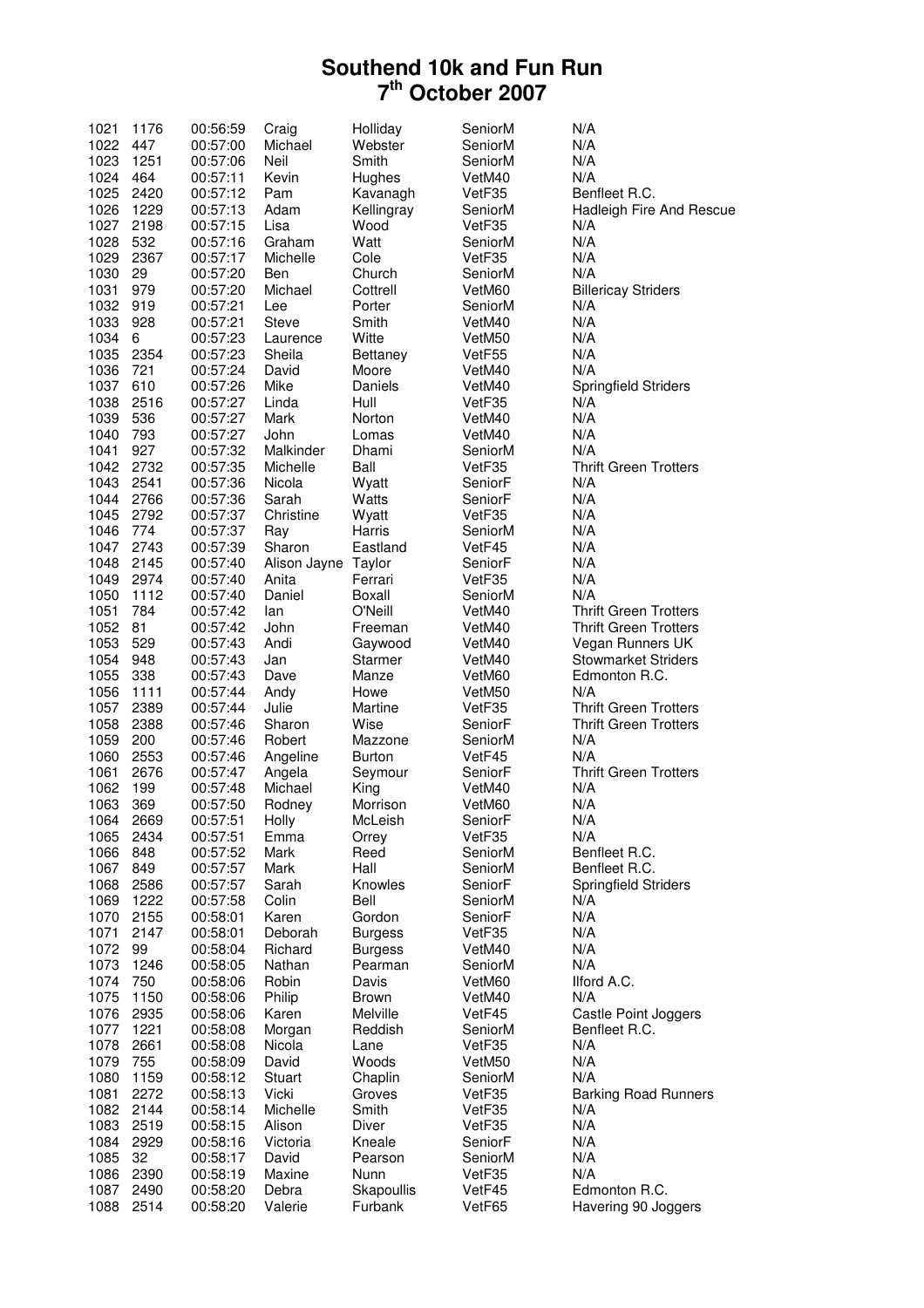| 1021 | 1176 | 00:56:59 | Craig               | Holliday       | SeniorM | N/A                          |
|------|------|----------|---------------------|----------------|---------|------------------------------|
| 1022 | 447  | 00:57:00 | Michael             | Webster        | SeniorM | N/A                          |
| 1023 | 1251 | 00:57:06 | Neil                | Smith          | SeniorM | N/A                          |
| 1024 | 464  | 00:57:11 | Kevin               | Hughes         | VetM40  | N/A                          |
| 1025 | 2420 | 00:57:12 | Pam                 | Kavanagh       | VetF35  | Benfleet R.C.                |
| 1026 | 1229 | 00:57:13 | Adam                | Kellingray     | SeniorM | Hadleigh Fire And Rescue     |
| 1027 | 2198 | 00:57:15 | Lisa                | Wood           | VetF35  | N/A                          |
| 1028 | 532  | 00:57:16 | Graham              | Watt           | SeniorM | N/A                          |
| 1029 | 2367 | 00:57:17 | Michelle            | Cole           | VetF35  | N/A                          |
| 1030 | 29   | 00:57:20 | Ben                 | Church         | SeniorM | N/A                          |
| 1031 | 979  | 00:57:20 | Michael             | Cottrell       | VetM60  | <b>Billericay Striders</b>   |
| 1032 | 919  | 00:57:21 | Lee                 | Porter         | SeniorM | N/A                          |
| 1033 | 928  | 00:57:21 | <b>Steve</b>        | Smith          | VetM40  | N/A                          |
| 1034 | 6    | 00:57:23 | Laurence            | Witte          | VetM50  | N/A                          |
| 1035 | 2354 |          | Sheila              |                |         | N/A                          |
| 1036 |      | 00:57:23 |                     | Bettaney       | VetF55  | N/A                          |
|      | 721  | 00:57:24 | David               | Moore          | VetM40  |                              |
| 1037 | 610  | 00:57:26 | Mike                | Daniels        | VetM40  | <b>Springfield Striders</b>  |
| 1038 | 2516 | 00:57:27 | Linda               | Hull           | VetF35  | N/A                          |
| 1039 | 536  | 00:57:27 | Mark                | Norton         | VetM40  | N/A                          |
| 1040 | 793  | 00:57:27 | John                | Lomas          | VetM40  | N/A                          |
| 1041 | 927  | 00:57:32 | Malkinder           | Dhami          | SeniorM | N/A                          |
| 1042 | 2732 | 00:57:35 | Michelle            | Ball           | VetF35  | <b>Thrift Green Trotters</b> |
| 1043 | 2541 | 00:57:36 | Nicola              | Wyatt          | SeniorF | N/A                          |
| 1044 | 2766 | 00:57:36 | Sarah               | Watts          | SeniorF | N/A                          |
| 1045 | 2792 | 00:57:37 | Christine           | Wyatt          | VetF35  | N/A                          |
| 1046 | 774  | 00:57:37 | Ray                 | Harris         | SeniorM | N/A                          |
| 1047 | 2743 | 00:57:39 | Sharon              | Eastland       | VetF45  | N/A                          |
| 1048 | 2145 | 00:57:40 | Alison Jayne Taylor |                | SeniorF | N/A                          |
| 1049 | 2974 | 00:57:40 | Anita               | Ferrari        | VetF35  | N/A                          |
| 1050 | 1112 | 00:57:40 | Daniel              | Boxall         | SeniorM | N/A                          |
| 1051 | 784  | 00:57:42 | lan                 | O'Neill        | VetM40  | <b>Thrift Green Trotters</b> |
| 1052 | 81   | 00:57:42 | John                | Freeman        | VetM40  | <b>Thrift Green Trotters</b> |
| 1053 | 529  | 00:57:43 | Andi                | Gaywood        | VetM40  | Vegan Runners UK             |
| 1054 | 948  | 00:57:43 | Jan                 | <b>Starmer</b> | VetM40  | <b>Stowmarket Striders</b>   |
| 1055 | 338  | 00:57:43 | Dave                | Manze          | VetM60  | Edmonton R.C.                |
| 1056 | 1111 | 00:57:44 | Andy                | Howe           | VetM50  | N/A                          |
| 1057 | 2389 | 00:57:44 | Julie               | Martine        | VetF35  | <b>Thrift Green Trotters</b> |
| 1058 | 2388 | 00:57:46 | Sharon              | Wise           | SeniorF | <b>Thrift Green Trotters</b> |
| 1059 | 200  | 00:57:46 | Robert              | Mazzone        | SeniorM | N/A                          |
| 1060 | 2553 |          |                     | <b>Burton</b>  |         | N/A                          |
|      |      | 00:57:46 | Angeline            |                | VetF45  |                              |
| 1061 | 2676 | 00:57:47 | Angela              | Seymour        | SeniorF | <b>Thrift Green Trotters</b> |
| 1062 | 199  | 00:57:48 | Michael             | King           | VetM40  | N/A                          |
| 1063 | 369  | 00:57:50 | Rodney              | Morrison       | VetM60  | N/A                          |
| 1064 | 2669 | 00:57:51 | Holly               | McLeish        | SeniorF | N/A                          |
| 1065 | 2434 | 00:57:51 | Emma                | Orrey          | VetF35  | N/A                          |
| 1066 | 848  | 00:57:52 | Mark                | Reed           | SeniorM | Benfleet R.C.                |
| 1067 | 849  | 00:57:57 | Mark                | Hall           | SeniorM | Benfleet R.C.                |
| 1068 | 2586 | 00:57:57 | Sarah               | Knowles        | SeniorF | <b>Springfield Striders</b>  |
| 1069 | 1222 | 00:57:58 | Colin               | Bell           | SeniorM | N/A                          |
| 1070 | 2155 | 00:58:01 | Karen               | Gordon         | SeniorF | N/A                          |
| 1071 | 2147 | 00:58:01 | Deborah             | <b>Burgess</b> | VetF35  | N/A                          |
| 1072 | 99   | 00:58:04 | Richard             | <b>Burgess</b> | VetM40  | N/A                          |
| 1073 | 1246 | 00:58:05 | Nathan              | Pearman        | SeniorM | N/A                          |
| 1074 | 750  | 00:58:06 | Robin               | Davis          | VetM60  | Ilford A.C.                  |
| 1075 | 1150 | 00:58:06 | Philip              | <b>Brown</b>   | VetM40  | N/A                          |
| 1076 | 2935 | 00:58:06 | Karen               | Melville       | VetF45  | Castle Point Joggers         |
| 1077 | 1221 | 00:58:08 | Morgan              | Reddish        | SeniorM | Benfleet R.C.                |
| 1078 | 2661 | 00:58:08 | Nicola              | Lane           | VetF35  | N/A                          |
| 1079 | 755  | 00:58:09 | David               | Woods          | VetM50  | N/A                          |
| 1080 | 1159 | 00:58:12 | Stuart              | Chaplin        | SeniorM | N/A                          |
| 1081 | 2272 | 00:58:13 | Vicki               | Groves         | VetF35  | <b>Barking Road Runners</b>  |
| 1082 | 2144 | 00:58:14 | Michelle            | Smith          | VetF35  | N/A                          |
| 1083 | 2519 | 00:58:15 | Alison              | Diver          | VetF35  | N/A                          |
| 1084 | 2929 | 00:58:16 | Victoria            | Kneale         | SeniorF | N/A                          |
| 1085 | 32   | 00:58:17 | David               | Pearson        | SeniorM | N/A                          |
| 1086 | 2390 | 00:58:19 | Maxine              | Nunn           | VetF35  | N/A                          |
| 1087 | 2490 | 00:58:20 | Debra               | Skapoullis     | VetF45  | Edmonton R.C.                |
| 1088 | 2514 | 00:58:20 | Valerie             | Furbank        | VetF65  | Havering 90 Joggers          |
|      |      |          |                     |                |         |                              |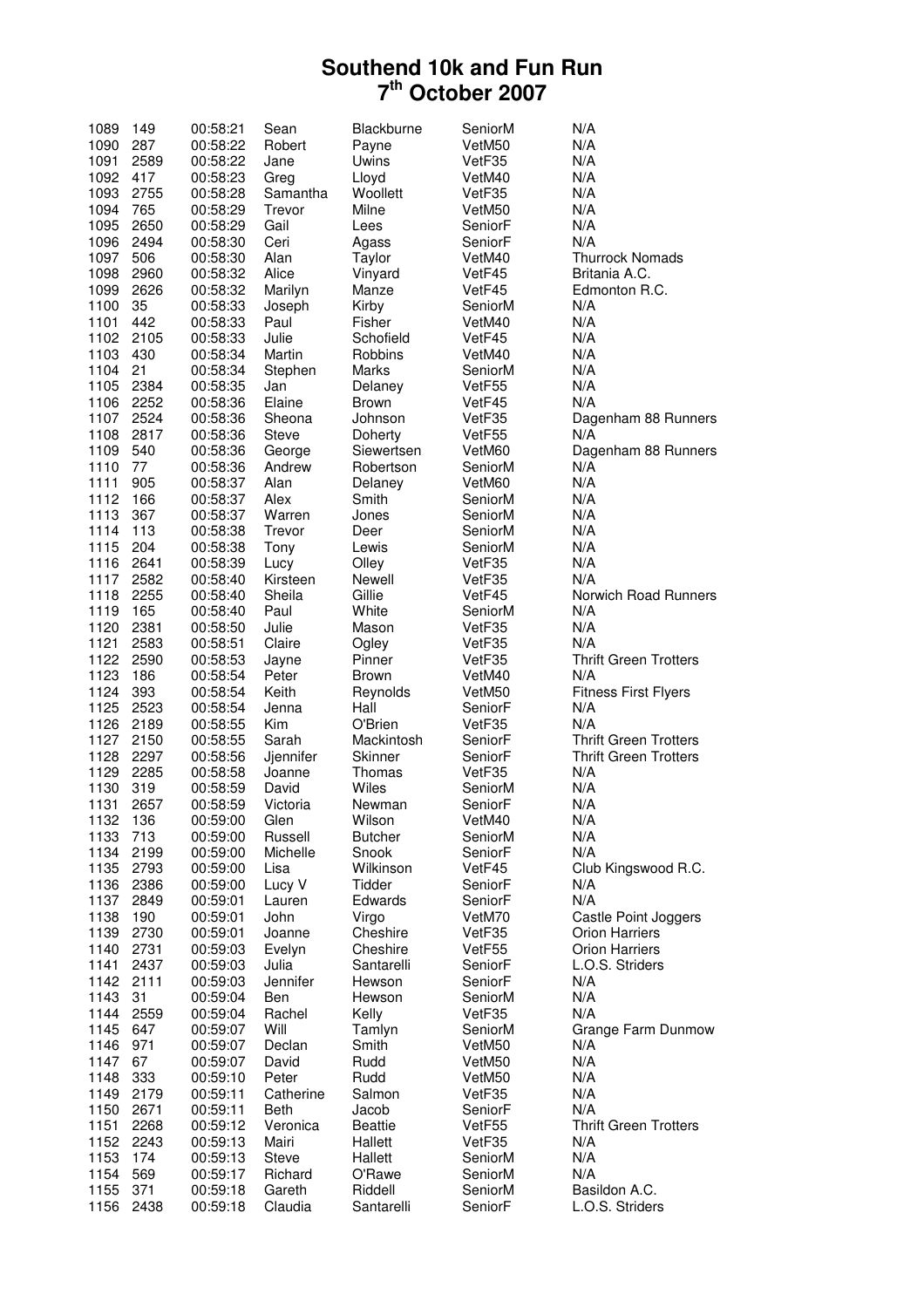| 1089     | 149  | 00:58:21 | Sean         | Blackburne     | SeniorM | N/A                          |
|----------|------|----------|--------------|----------------|---------|------------------------------|
| 1090     | 287  | 00:58:22 | Robert       | Payne          | VetM50  | N/A                          |
| 1091     | 2589 | 00:58:22 | Jane         | Uwins          | VetF35  | N/A                          |
| 1092     | 417  | 00:58:23 | Greg         | Lloyd          | VetM40  | N/A                          |
| 1093     | 2755 | 00:58:28 | Samantha     | Woollett       | VetF35  | N/A                          |
| 1094     | 765  | 00:58:29 | Trevor       | Milne          | VetM50  | N/A                          |
| 1095     | 2650 | 00:58:29 | Gail         | Lees           | SeniorF | N/A                          |
| 1096     | 2494 | 00:58:30 | Ceri         | Agass          | SeniorF | N/A                          |
| 1097     | 506  | 00:58:30 | Alan         | Taylor         | VetM40  | <b>Thurrock Nomads</b>       |
| 1098     | 2960 | 00:58:32 | Alice        | Vinyard        | VetF45  | Britania A.C.                |
| 1099     | 2626 | 00:58:32 | Marilyn      | Manze          | VetF45  | Edmonton R.C.                |
| 1100     | 35   | 00:58:33 | Joseph       | Kirby          | SeniorM | N/A                          |
| 1101     | 442  | 00:58:33 | Paul         | Fisher         | VetM40  | N/A                          |
| 1102     | 2105 | 00:58:33 | Julie        | Schofield      | VetF45  | N/A                          |
| 1103     | 430  | 00:58:34 | Martin       | Robbins        | VetM40  | N/A                          |
| 1104     | 21   | 00:58:34 | Stephen      | Marks          | SeniorM | N/A                          |
| 1105     | 2384 | 00:58:35 | Jan          | Delaney        | VetF55  | N/A                          |
| 1106     | 2252 | 00:58:36 | Elaine       | <b>Brown</b>   | VetF45  | N/A                          |
| 1107     | 2524 | 00:58:36 | Sheona       | Johnson        | VetF35  | Dagenham 88 Runners          |
| 1108     | 2817 | 00:58:36 | <b>Steve</b> | Doherty        | VetF55  | N/A                          |
| 1109     | 540  | 00:58:36 | George       | Siewertsen     | VetM60  | Dagenham 88 Runners          |
| 1110     | 77   | 00:58:36 | Andrew       | Robertson      | SeniorM | N/A                          |
| 1111     | 905  | 00:58:37 | Alan         | Delaney        | VetM60  | N/A                          |
| 1112     | 166  | 00:58:37 | Alex         | Smith          | SeniorM | N/A                          |
| 1113     | 367  | 00:58:37 | Warren       | Jones          | SeniorM | N/A                          |
| 1114     | 113  | 00:58:38 | Trevor       | Deer           | SeniorM | N/A                          |
| 1115     | 204  | 00:58:38 | Tony         | Lewis          | SeniorM | N/A                          |
| 1116     | 2641 | 00:58:39 | Lucy         | Olley          | VetF35  | N/A                          |
| 1117     | 2582 | 00:58:40 | Kirsteen     | Newell         | VetF35  | N/A                          |
| 1118     | 2255 | 00:58:40 | Sheila       | Gillie         | VetF45  | Norwich Road Runners         |
| 1119     | 165  | 00:58:40 | Paul         | White          | SeniorM | N/A                          |
| 1120     | 2381 | 00:58:50 | Julie        | Mason          | VetF35  | N/A                          |
| 1121     | 2583 | 00:58:51 | Claire       | Ogley          | VetF35  | N/A                          |
| 1122     | 2590 | 00:58:53 | Jayne        | Pinner         | VetF35  | <b>Thrift Green Trotters</b> |
| 1123     | 186  | 00:58:54 | Peter        | <b>Brown</b>   | VetM40  | N/A                          |
| 1124     | 393  | 00:58:54 | Keith        | Reynolds       | VetM50  | <b>Fitness First Flyers</b>  |
| 1125     | 2523 | 00:58:54 | Jenna        | Hall           | SeniorF | N/A                          |
| 1126     | 2189 | 00:58:55 | Kim          | O'Brien        | VetF35  | N/A                          |
| 1127     | 2150 | 00:58:55 | Sarah        | Mackintosh     | SeniorF | <b>Thrift Green Trotters</b> |
| 1128     | 2297 | 00:58:56 | Jjennifer    | Skinner        | SeniorF | <b>Thrift Green Trotters</b> |
| 1129     | 2285 | 00:58:58 | Joanne       | Thomas         | VetF35  | N/A                          |
| 1130     | 319  | 00:58:59 | David        | Wiles          | SeniorM | N/A                          |
| 1131     | 2657 | 00:58:59 | Victoria     | Newman         | SeniorF | N/A                          |
| 1132 136 |      | 00:59:00 | Glen         | Wilson         | VetM40  | N/A                          |
| 1133     | 713  | 00:59:00 | Russell      | <b>Butcher</b> | SeniorM | N/A                          |
| 1134     | 2199 | 00:59:00 | Michelle     | Snook          | SeniorF | N/A                          |
| 1135     | 2793 | 00:59:00 | Lisa         | Wilkinson      | VetF45  | Club Kingswood R.C.          |
| 1136     | 2386 | 00:59:00 | Lucy V       | Tidder         | SeniorF | N/A                          |
| 1137     | 2849 | 00:59:01 | Lauren       | Edwards        | SeniorF | N/A                          |
| 1138     | 190  | 00:59:01 | John         | Virgo          | VetM70  | Castle Point Joggers         |
| 1139     | 2730 | 00:59:01 | Joanne       | Cheshire       | VetF35  | <b>Orion Harriers</b>        |
| 1140     | 2731 | 00:59:03 | Evelyn       | Cheshire       | VetF55  | <b>Orion Harriers</b>        |
| 1141     | 2437 | 00:59:03 | Julia        | Santarelli     | SeniorF | L.O.S. Striders              |
| 1142     | 2111 | 00:59:03 | Jennifer     | Hewson         | SeniorF | N/A                          |
| 1143     | 31   | 00:59:04 | Ben          | Hewson         | SeniorM | N/A                          |
| 1144     | 2559 | 00:59:04 | Rachel       | Kelly          | VetF35  | N/A                          |
| 1145     | 647  | 00:59:07 | Will         | Tamlyn         | SeniorM | Grange Farm Dunmow           |
| 1146     | 971  | 00:59:07 | Declan       | Smith          | VetM50  | N/A                          |
| 1147     | 67   | 00:59:07 | David        | Rudd           | VetM50  | N/A                          |
| 1148     | 333  | 00:59:10 | Peter        | Rudd           | VetM50  | N/A                          |
| 1149     | 2179 | 00:59:11 | Catherine    | Salmon         | VetF35  | N/A                          |
| 1150     | 2671 | 00:59:11 | Beth         | Jacob          | SeniorF | N/A                          |
| 1151     | 2268 | 00:59:12 | Veronica     | <b>Beattie</b> | VetF55  | <b>Thrift Green Trotters</b> |
| 1152     | 2243 | 00:59:13 | Mairi        | Hallett        | VetF35  | N/A                          |
| 1153     | 174  | 00:59:13 | <b>Steve</b> | Hallett        | SeniorM | N/A                          |
| 1154     | 569  | 00:59:17 | Richard      | O'Rawe         | SeniorM | N/A                          |
| 1155     | 371  | 00:59:18 | Gareth       | Riddell        | SeniorM | Basildon A.C.                |
| 1156     | 2438 | 00:59:18 | Claudia      | Santarelli     | SeniorF | L.O.S. Striders              |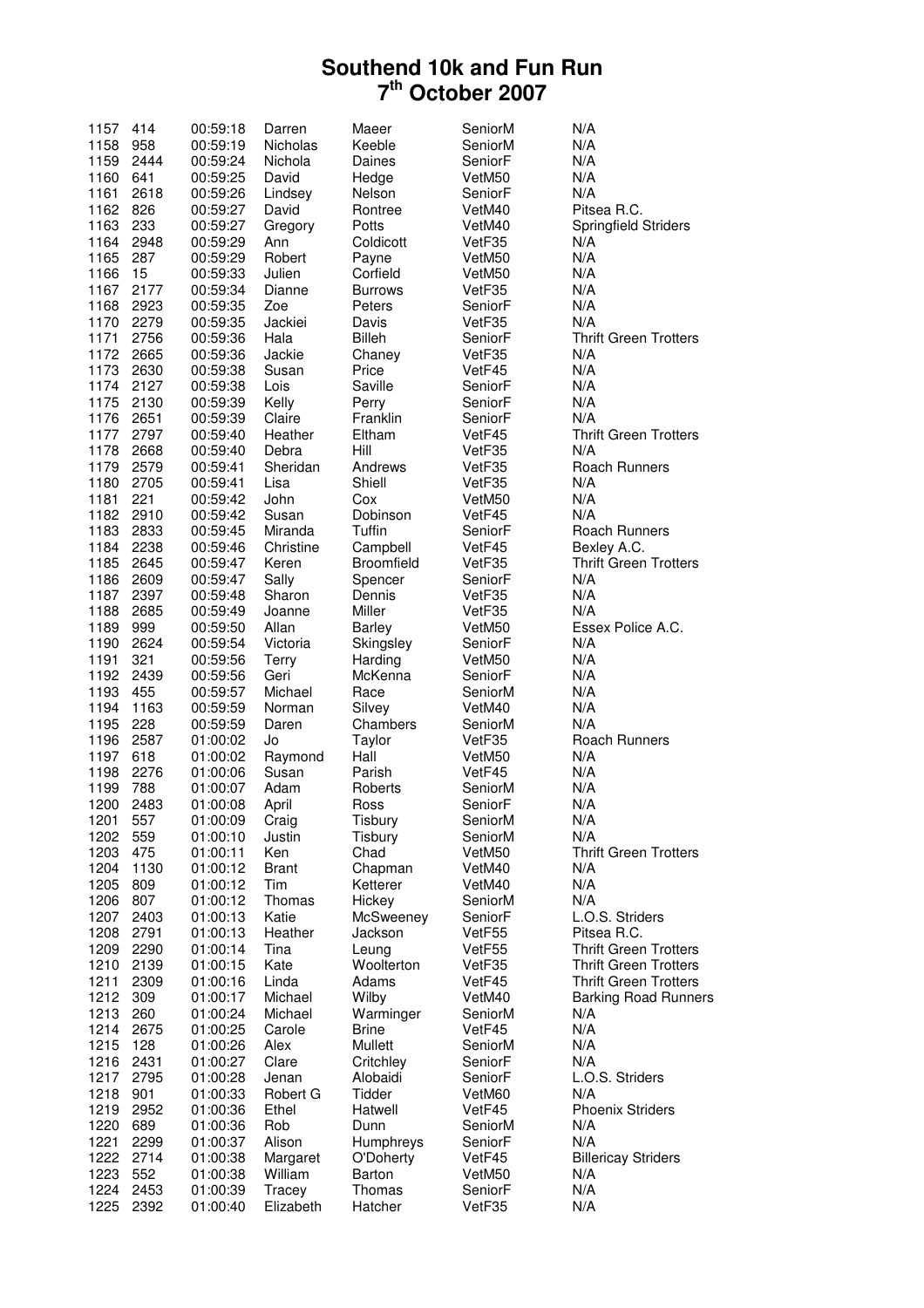| 1157         | 414         | 00:59:18             | Darren          | Maeer              | SeniorM           | N/A                          |
|--------------|-------------|----------------------|-----------------|--------------------|-------------------|------------------------------|
| 1158         | 958         | 00:59:19             | <b>Nicholas</b> | Keeble             | SeniorM           | N/A                          |
| 1159         | 2444        | 00:59:24             | Nichola         | Daines             | SeniorF           | N/A                          |
| 1160         | 641         | 00:59:25             | David           | Hedge              | VetM50            | N/A                          |
| 1161         | 2618        | 00:59:26             | Lindsey         | Nelson             | SeniorF           | N/A                          |
| 1162         | 826         | 00:59:27             | David           | Rontree            | VetM40            | Pitsea R.C.                  |
| 1163         | 233         | 00:59:27             | Gregory         | Potts              | VetM40            | Springfield Striders         |
| 1164         | 2948        | 00:59:29             | Ann             | Coldicott          | VetF35            | N/A                          |
| 1165         | 287         | 00:59:29             | Robert          | Payne              | VetM50            | N/A                          |
| 1166         | 15          | 00:59:33             | Julien          | Corfield           | VetM50            | N/A                          |
| 1167         | 2177        | 00:59:34             | Dianne          | <b>Burrows</b>     | VetF35            | N/A                          |
| 1168         | 2923        | 00:59:35             | Zoe             | Peters             | SeniorF           | N/A                          |
| 1170         | 2279        | 00:59:35             | Jackiei         | Davis              | VetF35            | N/A                          |
| 1171         | 2756        | 00:59:36             | Hala            | <b>Billeh</b>      | SeniorF           | <b>Thrift Green Trotters</b> |
| 1172         | 2665        | 00:59:36             | Jackie          | Chaney             | VetF35            | N/A                          |
| 1173         | 2630        | 00:59:38             | Susan           | Price              | VetF45            | N/A                          |
| 1174         | 2127        | 00:59:38             | Lois            | Saville            | SeniorF           | N/A                          |
| 1175         | 2130        | 00:59:39             | Kelly           | Perry              | SeniorF           | N/A                          |
| 1176         | 2651        | 00:59:39             | Claire          | Franklin           | SeniorF           | N/A                          |
| 1177         | 2797        | 00:59:40             | Heather         | Eltham             | VetF45            | <b>Thrift Green Trotters</b> |
| 1178         | 2668        | 00:59:40             | Debra           | Hill               | VetF35            | N/A                          |
| 1179         | 2579        | 00:59:41             | Sheridan        | Andrews            | VetF35            | Roach Runners                |
| 1180         | 2705        | 00:59:41             | Lisa            | Shiell             | VetF35            | N/A                          |
| 1181         | 221         | 00:59:42             | John            | Cox                | VetM50            | N/A                          |
| 1182         | 2910        | 00:59:42             | Susan           | Dobinson           | VetF45            | N/A                          |
| 1183         | 2833        | 00:59:45             | Miranda         | Tuffin             | SeniorF           | Roach Runners                |
| 1184         | 2238        | 00:59:46             | Christine       | Campbell           | VetF45            | Bexley A.C.                  |
| 1185         | 2645        | 00:59:47             | Keren           | <b>Broomfield</b>  | VetF35            | <b>Thrift Green Trotters</b> |
| 1186         | 2609        | 00:59:47             | Sally           | Spencer            | SeniorF           | N/A                          |
| 1187         | 2397        | 00:59:48             | Sharon          | Dennis             | VetF35            | N/A                          |
| 1188         | 2685        | 00:59:49             | Joanne          | Miller             | VetF35            | N/A                          |
| 1189         | 999         | 00:59:50             | Allan           | <b>Barley</b>      | VetM50            | Essex Police A.C.            |
| 1190         | 2624        | 00:59:54             | Victoria        | Skingsley          | SeniorF           | N/A                          |
| 1191         | 321         | 00:59:56             | <b>Terry</b>    | Harding            | VetM50            | N/A                          |
| 1192         | 2439        | 00:59:56             | Geri            | McKenna            | SeniorF           | N/A                          |
| 1193         | 455         | 00:59:57             | Michael         | Race               | SeniorM           | N/A                          |
| 1194         | 1163        | 00:59:59             | Norman<br>Daren | Silvey<br>Chambers | VetM40            | N/A<br>N/A                   |
| 1195<br>1196 | 228<br>2587 | 00:59:59<br>01:00:02 | Jo              | Taylor             | SeniorM<br>VetF35 | Roach Runners                |
| 1197         | 618         | 01:00:02             | Raymond         | Hall               | VetM50            | N/A                          |
| 1198         | 2276        | 01:00:06             | Susan           | Parish             | VetF45            | N/A                          |
| 1199         | 788         | 01:00:07             | Adam            | Roberts            | SeniorM           | N/A                          |
| 1200         | 2483        | 01:00:08             | April           | Ross               | SeniorF           | N/A                          |
| 1201         | 557         | 01:00:09             | Craig           | Tisbury            | SeniorM           | N/A                          |
| 1202         | 559         | 01:00:10             | Justin          | Tisbury            | SeniorM           | N/A                          |
| 1203         | 475         | 01:00:11             | Ken             | Chad               | VetM50            | <b>Thrift Green Trotters</b> |
| 1204         | 1130        | 01:00:12             | <b>Brant</b>    | Chapman            | VetM40            | N/A                          |
| 1205         | 809         | 01:00:12             | Tim             | Ketterer           | VetM40            | N/A                          |
| 1206         | 807         | 01:00:12             | Thomas          | Hickey             | SeniorM           | N/A                          |
| 1207         | 2403        | 01:00:13             | Katie           | McSweeney          | SeniorF           | L.O.S. Striders              |
| 1208         | 2791        | 01:00:13             | Heather         | Jackson            | VetF55            | Pitsea R.C.                  |
| 1209         | 2290        | 01:00:14             | Tina            | Leung              | VetF55            | <b>Thrift Green Trotters</b> |
| 1210         | 2139        | 01:00:15             | Kate            | Woolterton         | VetF35            | <b>Thrift Green Trotters</b> |
| 1211         | 2309        | 01:00:16             | Linda           | Adams              | VetF45            | <b>Thrift Green Trotters</b> |
| 1212         | 309         | 01:00:17             | Michael         | Wilby              | VetM40            | <b>Barking Road Runners</b>  |
| 1213         | 260         | 01:00:24             | Michael         | Warminger          | SeniorM           | N/A                          |
| 1214         | 2675        | 01:00:25             | Carole          | <b>Brine</b>       | VetF45            | N/A                          |
| 1215         | 128         | 01:00:26             | Alex            | Mullett            | SeniorM           | N/A                          |
| 1216         | 2431        | 01:00:27             | Clare           | Critchley          | SeniorF           | N/A                          |
| 1217         | 2795        | 01:00:28             | Jenan           | Alobaidi           | SeniorF           | L.O.S. Striders              |
| 1218         | 901         | 01:00:33             | Robert G        | Tidder             | VetM60            | N/A                          |
| 1219         | 2952        | 01:00:36             | Ethel           | Hatwell            | VetF45            | <b>Phoenix Striders</b>      |
| 1220         | 689         | 01:00:36             | Rob             | Dunn               | SeniorM           | N/A                          |
| 1221         | 2299        | 01:00:37             | Alison          | Humphreys          | SeniorF           | N/A                          |
| 1222         | 2714        | 01:00:38             | Margaret        | O'Doherty          | VetF45            | <b>Billericay Striders</b>   |
| 1223         | 552         | 01:00:38             | William         | <b>Barton</b>      | VetM50            | N/A                          |
| 1224         | 2453        | 01:00:39             | Tracey          | Thomas             | SeniorF           | N/A                          |
| 1225         | 2392        | 01:00:40             | Elizabeth       | Hatcher            | VetF35            | N/A                          |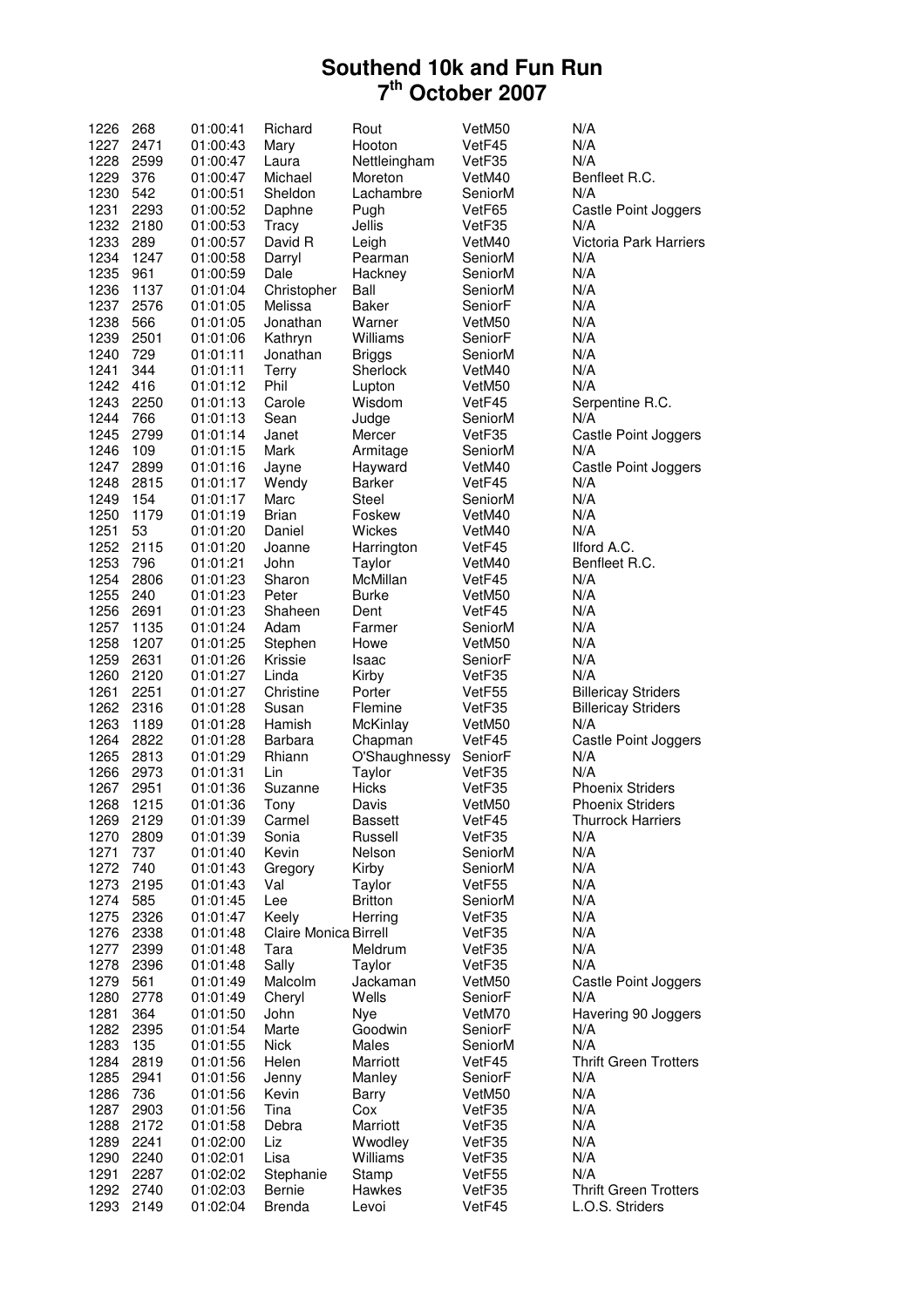| 1226         | 268          | 01:00:41             | Richard                 | Rout            | VetM50           | N/A                                             |
|--------------|--------------|----------------------|-------------------------|-----------------|------------------|-------------------------------------------------|
| 1227         | 2471         | 01:00:43             | Mary                    | Hooton          | VetF45           | N/A                                             |
|              |              |                      |                         |                 |                  |                                                 |
| 1228         | 2599         | 01:00:47             | Laura                   | Nettleingham    | VetF35           | N/A                                             |
| 1229         | 376          | 01:00:47             | Michael                 | Moreton         | VetM40           | Benfleet R.C.                                   |
| 1230         | 542          | 01:00:51             | Sheldon                 | Lachambre       | SeniorM          | N/A                                             |
| 1231         | 2293         | 01:00:52             | Daphne                  | Pugh            | VetF65           | Castle Point Joggers                            |
| 1232         |              | 01:00:53             | Tracy                   |                 |                  | N/A                                             |
|              | 2180         |                      |                         | Jellis          | VetF35           |                                                 |
| 1233         | 289          | 01:00:57             | David R                 | Leigh           | VetM40           | Victoria Park Harriers                          |
| 1234         | 1247         | 01:00:58             | Darryl                  | Pearman         | SeniorM          | N/A                                             |
| 1235         | 961          | 01:00:59             | Dale                    | Hackney         | SeniorM          | N/A                                             |
| 1236         | 1137         | 01:01:04             | Christopher             | Ball            | SeniorM          | N/A                                             |
|              |              |                      |                         |                 |                  |                                                 |
| 1237         | 2576         | 01:01:05             | Melissa                 | Baker           | SeniorF          | N/A                                             |
| 1238         | 566          | 01:01:05             | Jonathan                | Warner          | VetM50           | N/A                                             |
| 1239         | 2501         | 01:01:06             | Kathryn                 | Williams        | SeniorF          | N/A                                             |
| 1240         | 729          | 01:01:11             | Jonathan                | Briggs          | SeniorM          | N/A                                             |
|              |              |                      |                         |                 |                  |                                                 |
| 1241         | 344          | 01:01:11             | Terry                   | Sherlock        | VetM40           | N/A                                             |
| 1242         | 416          | 01:01:12             | Phil                    | Lupton          | VetM50           | N/A                                             |
| 1243         | 2250         | 01:01:13             | Carole                  | Wisdom          | VetF45           | Serpentine R.C.                                 |
| 1244         | 766          | 01:01:13             | Sean                    | Judge           | SeniorM          | N/A                                             |
|              |              |                      |                         |                 |                  |                                                 |
| 1245         | 2799         | 01:01:14             | Janet                   | Mercer          | VetF35           | Castle Point Joggers                            |
| 1246         | 109          | 01:01:15             | Mark                    | Armitage        | SeniorM          | N/A                                             |
| 1247         | 2899         | 01:01:16             | Jayne                   | Hayward         | VetM40           | Castle Point Joggers                            |
| 1248         | 2815         | 01:01:17             | Wendy                   | Barker          | VetF45           | N/A                                             |
| 1249         | 154          |                      | Marc                    | Steel           | SeniorM          | N/A                                             |
|              |              | 01:01:17             |                         |                 |                  |                                                 |
| 1250         | 1179         | 01:01:19             | <b>Brian</b>            | Foskew          | VetM40           | N/A                                             |
| 1251         | 53           | 01:01:20             | Daniel                  | Wickes          | VetM40           | N/A                                             |
| 1252         | 2115         | 01:01:20             | Joanne                  | Harrington      | VetF45           | Ilford A.C.                                     |
| 1253         | 796          | 01:01:21             | John                    | Taylor          | VetM40           | Benfleet R.C.                                   |
|              |              |                      |                         |                 |                  |                                                 |
| 1254         | 2806         | 01:01:23             | Sharon                  | McMillan        | VetF45           | N/A                                             |
| 1255         | 240          | 01:01:23             | Peter                   | <b>Burke</b>    | VetM50           | N/A                                             |
| 1256         | 2691         | 01:01:23             | Shaheen                 | Dent            | VetF45           | N/A                                             |
| 1257         | 1135         | 01:01:24             | Adam                    | Farmer          | SeniorM          | N/A                                             |
|              |              |                      |                         |                 |                  |                                                 |
| 1258         | 1207         | 01:01:25             | Stephen                 | Howe            | VetM50           | N/A                                             |
| 1259         | 2631         | 01:01:26             | Krissie                 | Isaac           | SeniorF          | N/A                                             |
| 1260         | 2120         | 01:01:27             | Linda                   | Kirby           | VetF35           | N/A                                             |
| 1261         | 2251         | 01:01:27             | Christine               | Porter          | VetF55           | <b>Billericay Striders</b>                      |
| 1262         | 2316         | 01:01:28             | Susan                   | Flemine         | VetF35           |                                                 |
|              |              |                      |                         |                 |                  | <b>Billericay Striders</b>                      |
| 1263         | 1189         | 01:01:28             | Hamish                  | McKinlay        | VetM50           | N/A                                             |
| 1264         | 2822         | 01:01:28             | Barbara                 | Chapman         | VetF45           | Castle Point Joggers                            |
| 1265         | 2813         | 01:01:29             | Rhiann                  | O'Shaughnessy   | SeniorF          | N/A                                             |
| 1266         | 2973         | 01:01:31             | Lin                     | Taylor          | VetF35           | N/A                                             |
|              |              |                      | Suzanne                 |                 | VetF35           | <b>Phoenix Striders</b>                         |
| 1267         | 2951         |                      |                         | Hicks           |                  |                                                 |
| 1268         |              | 01:01:36             |                         |                 |                  |                                                 |
| 1269         | 1215         | 01:01:36             | Tony                    | Davis           | VetM50           | <b>Phoenix Striders</b>                         |
|              |              |                      |                         |                 |                  |                                                 |
|              | 2129         | 01:01:39             | Carmel                  | <b>Bassett</b>  | VetF45           | <b>Thurrock Harriers</b>                        |
| 1270         | 2809         | 01:01:39             | Sonia                   | Russell         | VetF35           | N/A                                             |
| 1271         | 737          | 01:01:40             | Kevin                   | Nelson          | SeniorM          | N/A                                             |
| 1272         | 740          | 01:01:43             | Gregory                 | Kirby           | SeniorM          | N/A                                             |
| 1273         | 2195         | 01:01:43             | Val                     | Taylor          | VetF55           | N/A                                             |
|              |              |                      |                         |                 |                  |                                                 |
| 1274         | 585          | 01:01:45             | Lee                     | <b>Britton</b>  | SeniorM          | N/A                                             |
| 1275         | 2326         | 01:01:47             | Keely                   | Herring         | VetF35           | N/A                                             |
| 1276         | 2338         | 01:01:48             | Claire Monica Birrell   |                 | VetF35           | N/A                                             |
| 1277         | 2399         | 01:01:48             | Tara                    | Meldrum         | VetF35           | N/A                                             |
| 1278         | 2396         | 01:01:48             | Sally                   | Taylor          | VetF35           | N/A                                             |
|              |              |                      |                         |                 |                  |                                                 |
| 1279         | 561          | 01:01:49             | Malcolm                 | Jackaman        | VetM50           | Castle Point Joggers                            |
| 1280         | 2778         | 01:01:49             | Cheryl                  | Wells           | SeniorF          | N/A                                             |
| 1281         | 364          | 01:01:50             | John                    | Nye             | VetM70           | Havering 90 Joggers                             |
| 1282         | 2395         | 01:01:54             | Marte                   | Goodwin         | SeniorF          | N/A                                             |
|              |              |                      |                         |                 |                  |                                                 |
| 1283         | 135          | 01:01:55             | Nick                    | Males           | SeniorM          | N/A                                             |
| 1284         | 2819         | 01:01:56             | Helen                   | Marriott        | VetF45           | <b>Thrift Green Trotters</b>                    |
| 1285         | 2941         | 01:01:56             | Jenny                   | Manley          | SeniorF          | N/A                                             |
| 1286         | 736          | 01:01:56             | Kevin                   | Barry           | VetM50           | N/A                                             |
| 1287         | 2903         |                      | Tina                    | Cox             | VetF35           | N/A                                             |
|              |              | 01:01:56             |                         |                 |                  |                                                 |
| 1288         | 2172         | 01:01:58             | Debra                   | Marriott        | VetF35           | N/A                                             |
| 1289         | 2241         | 01:02:00             | Liz                     | Wwodley         | VetF35           | N/A                                             |
| 1290         | 2240         | 01:02:01             | Lisa                    | Williams        | VetF35           | N/A                                             |
| 1291         | 2287         | 01:02:02             |                         |                 | VetF55           | N/A                                             |
|              |              |                      | Stephanie               | Stamp           |                  |                                                 |
| 1292<br>1293 | 2740<br>2149 | 01:02:03<br>01:02:04 | Bernie<br><b>Brenda</b> | Hawkes<br>Levoi | VetF35<br>VetF45 | <b>Thrift Green Trotters</b><br>L.O.S. Striders |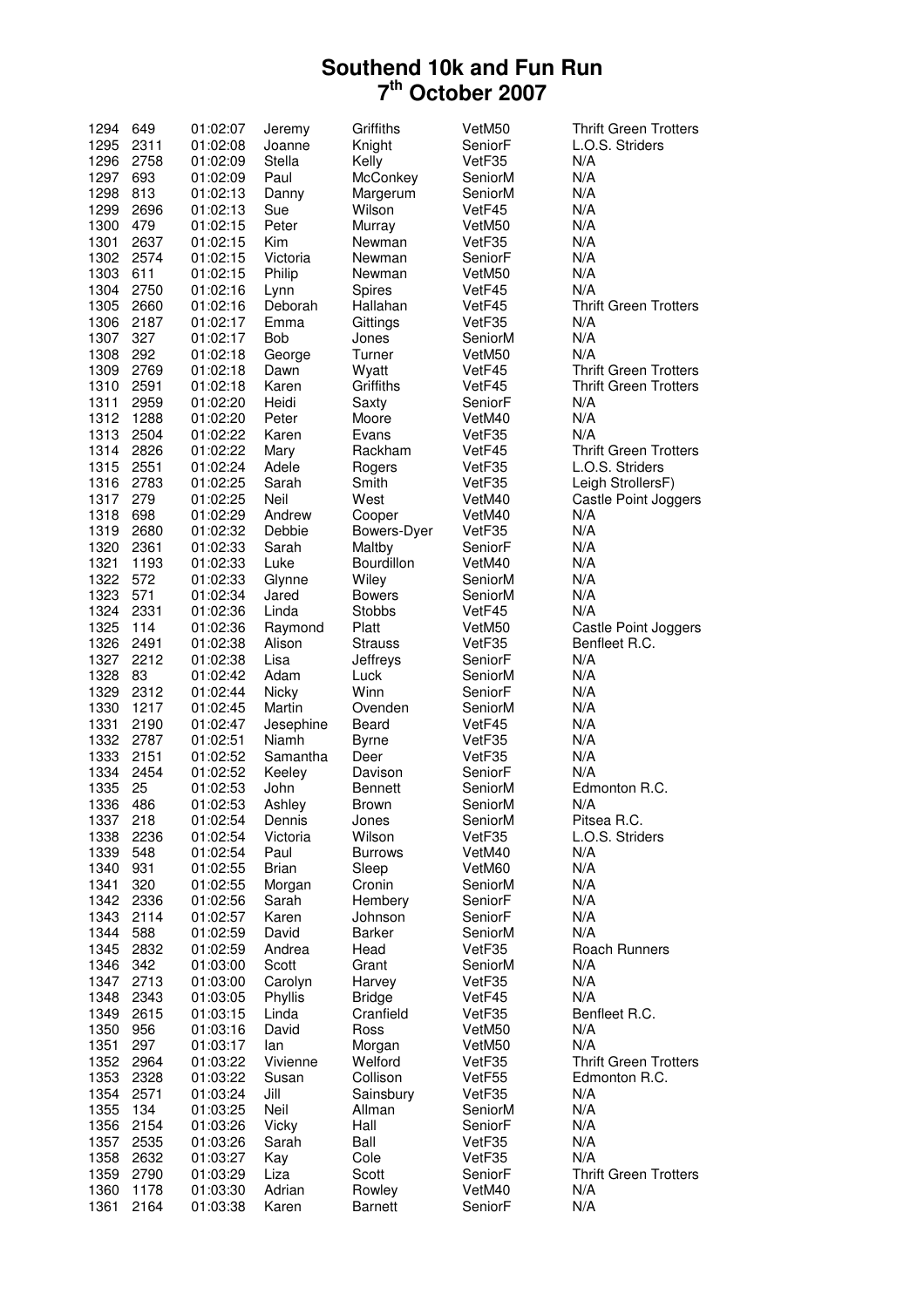| 1294         | 649          | 01:02:07             | Jeremy         | Griffiths      | VetM50            | <b>Thrift Green Trotters</b> |
|--------------|--------------|----------------------|----------------|----------------|-------------------|------------------------------|
| 1295         | 2311         | 01:02:08             | Joanne         | Knight         | SeniorF           | L.O.S. Striders              |
| 1296         | 2758         | 01:02:09             | Stella         | Kelly          | VetF35            | N/A                          |
| 1297         | 693          | 01:02:09             | Paul           | McConkey       | SeniorM           | N/A                          |
| 1298         | 813          | 01:02:13             | Danny          | Margerum       | SeniorM           | N/A                          |
| 1299         | 2696         | 01:02:13             | Sue            | Wilson         | VetF45            | N/A                          |
| 1300         | 479          | 01:02:15             | Peter          | Murray         | VetM50            | N/A                          |
| 1301         | 2637         | 01:02:15             | Kim            | Newman         | VetF35            | N/A                          |
|              | 1302 2574    | 01:02:15             | Victoria       | Newman         | SeniorF           | N/A                          |
| 1303         | 611          | 01:02:15             | Philip         | Newman         | VetM50            | N/A                          |
| 1304         | 2750         | 01:02:16             | Lynn           | Spires         | VetF45            | N/A                          |
| 1305         | 2660         | 01:02:16             | Deborah        | Hallahan       | VetF45            | <b>Thrift Green Trotters</b> |
| 1306         | 2187         | 01:02:17             | Emma           | Gittings       | VetF35            | N/A                          |
| 1307         | 327          | 01:02:17             | Bob            | Jones          | SeniorM           | N/A                          |
| 1308         | 292          | 01:02:18             | George         | Turner         | VetM50            | N/A                          |
| 1309         | 2769         | 01:02:18             | Dawn           | Wyatt          | VetF45            | <b>Thrift Green Trotters</b> |
| 1310         | 2591         | 01:02:18             | Karen          | Griffiths      | VetF45            | <b>Thrift Green Trotters</b> |
| 1311         | 2959         | 01:02:20             | Heidi          | Saxty          | SeniorF           | N/A                          |
| 1312         | 1288         | 01:02:20             | Peter          | Moore          | VetM40            | N/A                          |
| 1313         | 2504         | 01:02:22             | Karen          | Evans          | VetF35            | N/A                          |
| 1314         | 2826         | 01:02:22             | Mary           | Rackham        | VetF45            | <b>Thrift Green Trotters</b> |
| 1315         | 2551         | 01:02:24             | Adele          | Rogers         | VetF35            | L.O.S. Striders              |
| 1316         | 2783         | 01:02:25             | Sarah          | Smith          | VetF35            | Leigh StrollersF)            |
| 1317         | 279          | 01:02:25             | Neil           | West           | VetM40            | Castle Point Joggers         |
| 1318         | 698          | 01:02:29             | Andrew         | Cooper         | VetM40            | N/A                          |
| 1319         | 2680         | 01:02:32             | Debbie         | Bowers-Dyer    | VetF35            | N/A                          |
| 1320         | 2361         | 01:02:33             | Sarah          | Maltby         | SeniorF           | N/A                          |
| 1321         | 1193         | 01:02:33             | Luke           | Bourdillon     | VetM40            | N/A                          |
| 1322         | 572          | 01:02:33             | Glynne         | Wiley          | SeniorM           | N/A                          |
| 1323         | 571          | 01:02:34             | Jared          | <b>Bowers</b>  | SeniorM           | N/A                          |
| 1324         | 2331         | 01:02:36             | Linda          | <b>Stobbs</b>  | VetF45            | N/A                          |
| 1325         | 114          | 01:02:36             | Raymond        | Platt          | VetM50            | Castle Point Joggers         |
| 1326         | 2491         | 01:02:38             | Alison         | <b>Strauss</b> | VetF35            | Benfleet R.C.                |
| 1327         | 2212         | 01:02:38             | Lisa           | Jeffreys       | SeniorF           | N/A                          |
| 1328         | 83           | 01:02:42             | Adam           | Luck           | SeniorM           | N/A                          |
| 1329         | 2312         | 01:02:44             | Nicky          | Winn           | SeniorF           | N/A                          |
| 1330         | 1217         | 01:02:45             | Martin         | Ovenden        | SeniorM           | N/A                          |
| 1331         | 2190         | 01:02:47             | Jesephine      | Beard          | VetF45            | N/A                          |
| 1332         | 2787         | 01:02:51             | Niamh          | <b>Byrne</b>   | VetF35            | N/A                          |
| 1333         | 2151         | 01:02:52             | Samantha       | Deer           | VetF35            | N/A                          |
| 1334         | 2454         | 01:02:52             | Keeley         | Davison        | SeniorF           | N/A                          |
| 1335         | 25           | 01:02:53             | John           | Bennett        | SeniorM           | Edmonton R.C.                |
| 1336         | 486          | 01:02:53             | Ashley         | <b>Brown</b>   | SeniorM           | N/A                          |
| 1337         | 218          | 01:02:54             | Dennis         | Jones          | SeniorM           | Pitsea R.C.                  |
| 1338         | 2236         | 01:02:54             | Victoria       | Wilson         | VetF35            | L.O.S. Striders              |
| 1339         | 548          | 01:02:54             | Paul           | <b>Burrows</b> | VetM40            | N/A                          |
| 1340         | 931          | 01:02:55             | <b>Brian</b>   | Sleep          | VetM60            | N/A                          |
| 1341         | 320          | 01:02:55             | Morgan         | Cronin         | SeniorM           | N/A                          |
| 1342         | 2336         | 01:02:56             | Sarah          | Hembery        | SeniorF           | N/A                          |
| 1343         | 2114         | 01:02:57             | Karen          | Johnson        | SeniorF           | N/A                          |
| 1344<br>1345 |              |                      |                |                |                   |                              |
|              | 588          | 01:02:59             | David          | Barker         | SeniorM           | N/A                          |
|              | 2832         | 01:02:59             | Andrea         | Head           | VetF35            | <b>Roach Runners</b>         |
| 1346         | 342          | 01:03:00             | Scott          | Grant          | SeniorM           | N/A                          |
| 1347         | 2713         | 01:03:00             | Carolyn        | Harvey         | VetF35            | N/A                          |
| 1348         | 2343         | 01:03:05             | Phyllis        | <b>Bridge</b>  | VetF45            | N/A                          |
| 1349         | 2615         | 01:03:15             | Linda          | Cranfield      | VetF35            | Benfleet R.C.                |
| 1350         | 956          | 01:03:16             | David          | Ross           | VetM50            | N/A                          |
| 1351         | 297          | 01:03:17             | lan            | Morgan         | VetM50            | N/A                          |
| 1352         | 2964         | 01:03:22             | Vivienne       | Welford        | VetF35            | <b>Thrift Green Trotters</b> |
| 1353         | 2328         | 01:03:22             | Susan          | Collison       | VetF55            | Edmonton R.C.                |
| 1354         | 2571         | 01:03:24             | Jill           | Sainsbury      | VetF35            | N/A                          |
| 1355         | 134          | 01:03:25             | Neil           | Allman         | SeniorM           | N/A                          |
| 1356         | 2154         | 01:03:26             | Vicky<br>Sarah | Hall           | SeniorF<br>VetF35 | N/A                          |
| 1357         | 2535         | 01:03:26             |                | Ball           |                   | N/A<br>N/A                   |
| 1358<br>1359 | 2632<br>2790 | 01:03:27<br>01:03:29 | Kay<br>Liza    | Cole<br>Scott  | VetF35<br>SeniorF | <b>Thrift Green Trotters</b> |
| 1360         | 1178         | 01:03:30             | Adrian         | Rowley         | VetM40            | N/A                          |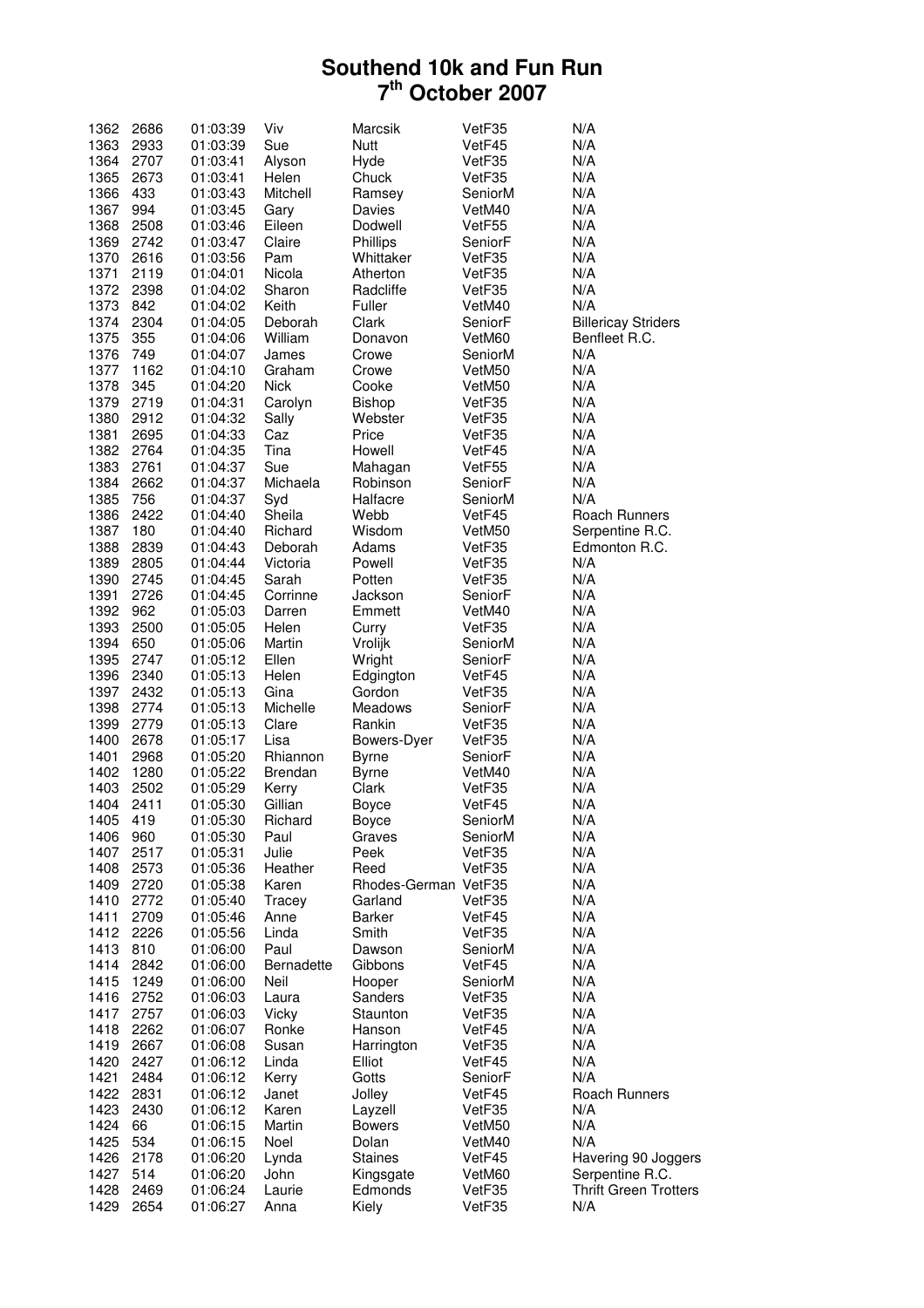| 1362 | 2686 | 01:03:39 | Viv               | Marcsik              | VetF35  | N/A                          |
|------|------|----------|-------------------|----------------------|---------|------------------------------|
| 1363 | 2933 | 01:03:39 | Sue               | <b>Nutt</b>          | VetF45  | N/A                          |
| 1364 | 2707 | 01:03:41 | Alyson            | Hyde                 | VetF35  | N/A                          |
| 1365 | 2673 | 01:03:41 | Helen             | Chuck                | VetF35  | N/A                          |
| 1366 | 433  | 01:03:43 | Mitchell          | Ramsey               | SeniorM | N/A                          |
| 1367 | 994  | 01:03:45 | Gary              | Davies               | VetM40  | N/A                          |
| 1368 | 2508 | 01:03:46 | Eileen            | Dodwell              | VetF55  | N/A                          |
| 1369 | 2742 | 01:03:47 | Claire            | Phillips             | SeniorF | N/A                          |
| 1370 | 2616 |          |                   |                      |         | N/A                          |
|      |      | 01:03:56 | Pam               | Whittaker            | VetF35  |                              |
| 1371 | 2119 | 01:04:01 | Nicola            | Atherton             | VetF35  | N/A                          |
| 1372 | 2398 | 01:04:02 | Sharon            | Radcliffe            | VetF35  | N/A                          |
| 1373 | 842  | 01:04:02 | Keith             | Fuller               | VetM40  | N/A                          |
| 1374 | 2304 | 01:04:05 | Deborah           | Clark                | SeniorF | <b>Billericay Striders</b>   |
| 1375 | 355  | 01:04:06 | William           | Donavon              | VetM60  | Benfleet R.C.                |
| 1376 | 749  | 01:04:07 | James             | Crowe                | SeniorM | N/A                          |
| 1377 | 1162 | 01:04:10 | Graham            | Crowe                | VetM50  | N/A                          |
| 1378 | 345  | 01:04:20 | <b>Nick</b>       | Cooke                | VetM50  | N/A                          |
| 1379 | 2719 | 01:04:31 | Carolyn           | Bishop               | VetF35  | N/A                          |
| 1380 | 2912 | 01:04:32 | Sally             | Webster              | VetF35  | N/A                          |
| 1381 | 2695 | 01:04:33 | Caz               | Price                | VetF35  | N/A                          |
| 1382 | 2764 | 01:04:35 | Tina              | Howell               | VetF45  | N/A                          |
| 1383 | 2761 | 01:04:37 | Sue               | Mahagan              | VetF55  | N/A                          |
|      |      |          |                   |                      |         |                              |
| 1384 | 2662 | 01:04:37 | Michaela          | Robinson             | SeniorF | N/A                          |
| 1385 | 756  | 01:04:37 | Syd               | Halfacre             | SeniorM | N/A                          |
| 1386 | 2422 | 01:04:40 | Sheila            | Webb                 | VetF45  | Roach Runners                |
| 1387 | 180  | 01:04:40 | Richard           | Wisdom               | VetM50  | Serpentine R.C.              |
| 1388 | 2839 | 01:04:43 | Deborah           | Adams                | VetF35  | Edmonton R.C.                |
| 1389 | 2805 | 01:04:44 | Victoria          | Powell               | VetF35  | N/A                          |
| 1390 | 2745 | 01:04:45 | Sarah             | Potten               | VetF35  | N/A                          |
| 1391 | 2726 | 01:04:45 | Corrinne          | Jackson              | SeniorF | N/A                          |
| 1392 | 962  | 01:05:03 | Darren            | Emmett               | VetM40  | N/A                          |
| 1393 | 2500 | 01:05:05 | Helen             | Curry                | VetF35  | N/A                          |
| 1394 | 650  | 01:05:06 | Martin            | Vrolijk              | SeniorM | N/A                          |
| 1395 | 2747 | 01:05:12 | Ellen             | Wright               | SeniorF | N/A                          |
| 1396 | 2340 | 01:05:13 | Helen             | Edgington            | VetF45  | N/A                          |
| 1397 | 2432 | 01:05:13 | Gina              | Gordon               | VetF35  | N/A                          |
| 1398 | 2774 |          | Michelle          |                      |         | N/A                          |
|      |      | 01:05:13 |                   | Meadows              | SeniorF |                              |
| 1399 | 2779 | 01:05:13 | Clare             | Rankin               | VetF35  | N/A                          |
| 1400 | 2678 | 01:05:17 | Lisa              | Bowers-Dyer          | VetF35  | N/A                          |
| 1401 | 2968 | 01:05:20 | Rhiannon          | <b>Byrne</b>         | SeniorF | N/A                          |
| 1402 | 1280 | 01:05:22 | <b>Brendan</b>    | <b>Byrne</b>         | VetM40  | N/A                          |
| 1403 | 2502 | 01:05:29 | Kerry             | Clark                | VetF35  | N/A                          |
| 1404 | 2411 | 01:05:30 | Gillian           | <b>Boyce</b>         | VetF45  | N/A                          |
| 1405 | 419  | 01:05:30 | Richard           | Boyce                | SeniorM | N/A                          |
| 1406 | 960  | 01:05:30 | Paul              | Graves               | SeniorM | N/A                          |
| 1407 | 2517 | 01:05:31 | Julie             | Peek                 | VetF35  | N/A                          |
| 1408 | 2573 | 01:05:36 | Heather           | Reed                 | VetF35  | N/A                          |
| 1409 | 2720 | 01:05:38 | Karen             | Rhodes-German VetF35 |         | N/A                          |
| 1410 | 2772 | 01:05:40 | Tracey            | Garland              | VetF35  | N/A                          |
| 1411 | 2709 | 01:05:46 | Anne              | Barker               | VetF45  | N/A                          |
| 1412 | 2226 |          | Linda             | Smith                |         | N/A                          |
|      |      | 01:05:56 |                   |                      | VetF35  |                              |
| 1413 | 810  | 01:06:00 | Paul              | Dawson               | SeniorM | N/A                          |
| 1414 | 2842 | 01:06:00 | <b>Bernadette</b> | Gibbons              | VetF45  | N/A                          |
| 1415 | 1249 | 01:06:00 | Neil              | Hooper               | SeniorM | N/A                          |
| 1416 | 2752 | 01:06:03 | Laura             | Sanders              | VetF35  | N/A                          |
| 1417 | 2757 | 01:06:03 | Vicky             | Staunton             | VetF35  | N/A                          |
| 1418 | 2262 | 01:06:07 | Ronke             | Hanson               | VetF45  | N/A                          |
| 1419 | 2667 | 01:06:08 | Susan             | Harrington           | VetF35  | N/A                          |
| 1420 | 2427 | 01:06:12 | Linda             | Elliot               | VetF45  | N/A                          |
| 1421 | 2484 | 01:06:12 | Kerry             | Gotts                | SeniorF | N/A                          |
| 1422 | 2831 | 01:06:12 | Janet             | Jolley               | VetF45  | Roach Runners                |
| 1423 | 2430 | 01:06:12 | Karen             | Layzell              | VetF35  | N/A                          |
| 1424 | 66   | 01:06:15 | Martin            | <b>Bowers</b>        | VetM50  | N/A                          |
| 1425 | 534  |          | Noel              | Dolan                |         | N/A                          |
|      |      | 01:06:15 |                   |                      | VetM40  |                              |
| 1426 | 2178 | 01:06:20 | Lynda             | <b>Staines</b>       | VetF45  | Havering 90 Joggers          |
| 1427 | 514  | 01:06:20 | John              | Kingsgate            | VetM60  | Serpentine R.C.              |
| 1428 | 2469 | 01:06:24 | Laurie            | Edmonds              | VetF35  | <b>Thrift Green Trotters</b> |
| 1429 | 2654 | 01:06:27 | Anna              | Kiely                | VetF35  | N/A                          |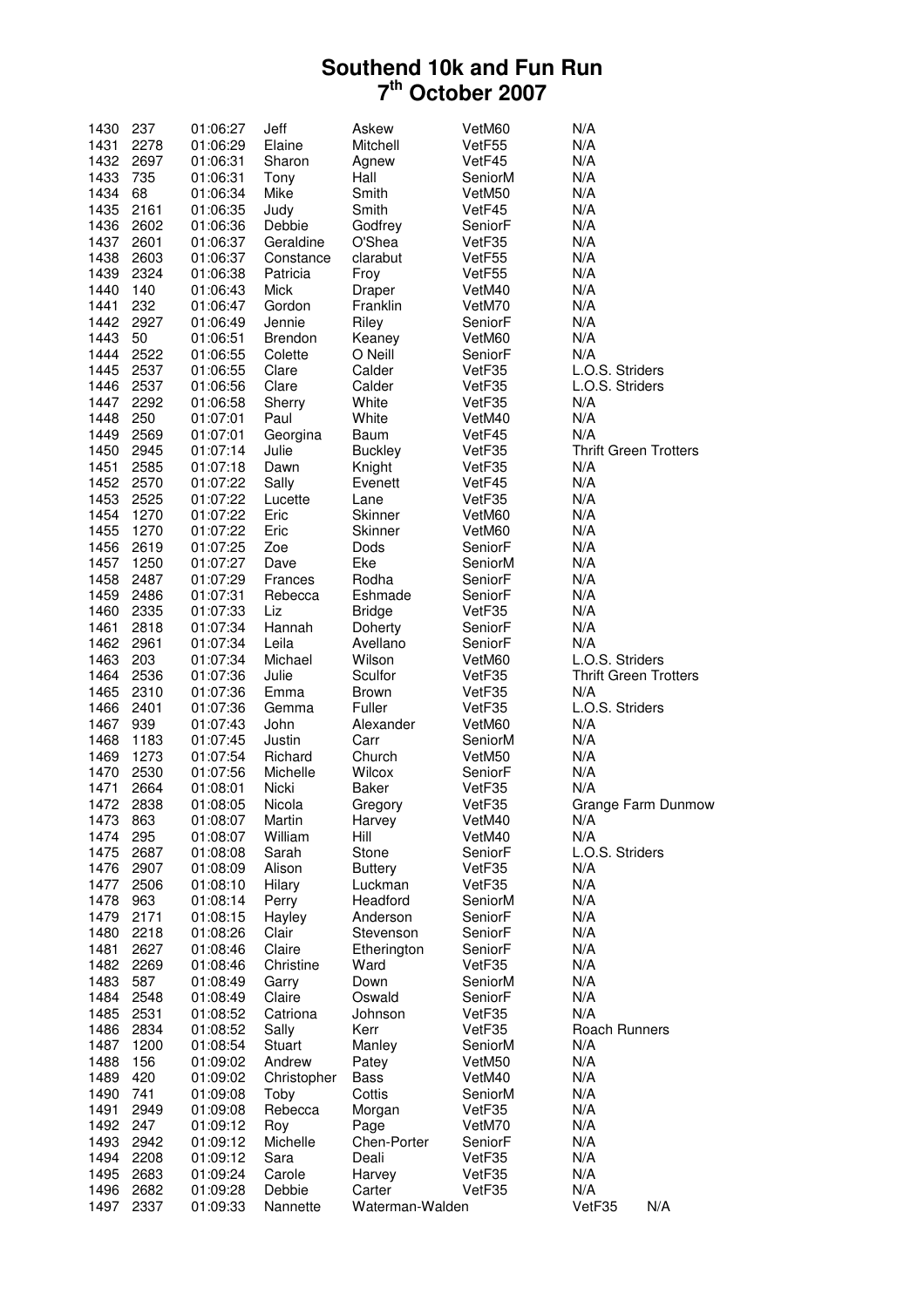| 1430         | 237          | 01:06:27             | Jeff              | Askew           | VetM60            | N/A                          |
|--------------|--------------|----------------------|-------------------|-----------------|-------------------|------------------------------|
| 1431         | 2278         | 01:06:29             | Elaine            | Mitchell        | VetF55            | N/A                          |
| 1432         | 2697         | 01:06:31             | Sharon            | Agnew           | VetF45            | N/A                          |
| 1433         | 735          | 01:06:31             | Tony              | Hall            | SeniorM           | N/A                          |
| 1434         | 68           | 01:06:34             | Mike              | Smith           | VetM50            | N/A                          |
| 1435         | 2161         | 01:06:35             | Judy              | Smith           | VetF45            | N/A                          |
| 1436         | 2602         | 01:06:36             | Debbie            | Godfrey         | SeniorF           | N/A                          |
| 1437         | 2601         | 01:06:37             | Geraldine         | O'Shea          | VetF35            | N/A                          |
| 1438         | 2603         | 01:06:37             | Constance         | clarabut        | VetF55            | N/A                          |
| 1439         | 2324         | 01:06:38             | Patricia          | Froy            | VetF55            | N/A                          |
| 1440         | 140          | 01:06:43             | <b>Mick</b>       | Draper          | VetM40            | N/A                          |
| 1441         | 232          | 01:06:47             | Gordon            | Franklin        | VetM70            | N/A                          |
| 1442         | 2927         | 01:06:49             | Jennie            | Riley           | SeniorF           | N/A                          |
| 1443         | 50           | 01:06:51             | <b>Brendon</b>    | Keaney          | VetM60            | N/A                          |
| 1444         | 2522         | 01:06:55             | Colette           | O Neill         | SeniorF           | N/A                          |
| 1445         | 2537         | 01:06:55             | Clare             | Calder          | VetF35            | L.O.S. Striders              |
| 1446         | 2537         | 01:06:56             | Clare             | Calder          | VetF35            | L.O.S. Striders              |
| 1447         | 2292         | 01:06:58             | Sherry            | White           | VetF35            | N/A                          |
| 1448         | 250          | 01:07:01             | Paul              | White           | VetM40            | N/A                          |
| 1449         | 2569         | 01:07:01             | Georgina          | Baum            | VetF45            | N/A                          |
| 1450         | 2945         | 01:07:14             | Julie             | <b>Buckley</b>  | VetF35            | <b>Thrift Green Trotters</b> |
| 1451         | 2585         | 01:07:18             | Dawn              | Knight          | VetF35            | N/A                          |
| 1452         | 2570         | 01:07:22             | Sally             | Evenett         | VetF45            | N/A                          |
| 1453         | 2525         | 01:07:22             | Lucette           | Lane            | VetF35            | N/A                          |
| 1454         | 1270         | 01:07:22             | Eric              | Skinner         | VetM60            | N/A                          |
| 1455         | 1270         | 01:07:22             | Eric              | Skinner         | VetM60            | N/A                          |
| 1456         | 2619         | 01:07:25             | Zoe               | Dods            | SeniorF           | N/A                          |
| 1457         | 1250         | 01:07:27             | Dave              | Eke             | SeniorM           | N/A                          |
| 1458         | 2487         | 01:07:29             | Frances           | Rodha           | SeniorF           | N/A                          |
| 1459         | 2486         | 01:07:31             | Rebecca           | Eshmade         | SeniorF           | N/A                          |
| 1460         | 2335         | 01:07:33             | Liz               | <b>Bridge</b>   | VetF35            | N/A                          |
| 1461         | 2818         | 01:07:34             | Hannah            | Doherty         | SeniorF           | N/A                          |
| 1462         | 2961         | 01:07:34             | Leila             | Avellano        | SeniorF           | N/A                          |
| 1463         | 203          | 01:07:34             | Michael           | Wilson          | VetM60            | L.O.S. Striders              |
| 1464         | 2536         | 01:07:36             | Julie             | Sculfor         | VetF35            | <b>Thrift Green Trotters</b> |
| 1465         | 2310         | 01:07:36             | Emma              | <b>Brown</b>    | VetF35            | N/A                          |
| 1466         | 2401         | 01:07:36<br>01:07:43 | Gemma             | Fuller          | VetF35            | L.O.S. Striders              |
| 1467         | 939          | 01:07:45             | John              | Alexander       | VetM60            | N/A<br>N/A                   |
| 1468         | 1183<br>1273 |                      | Justin            | Carr<br>Church  | SeniorM           | N/A                          |
| 1469<br>1470 | 2530         | 01:07:54             | Richard           | Wilcox          | VetM50            | N/A                          |
| 1471         | 2664         | 01:07:56<br>01:08:01 | Michelle<br>Nicki | Baker           | SeniorF<br>VetF35 | N/A                          |
| 1472         | 2838         | 01:08:05             | Nicola            | Gregory         | VetF35            |                              |
| 1473         | 863          | 01:08:07             | Martin            | Harvey          | VetM40            | Grange Farm Dunmow<br>N/A    |
| 1474         | 295          | 01:08:07             | William           | Hill            | VetM40            | N/A                          |
| 1475         | 2687         | 01:08:08             | Sarah             | Stone           | SeniorF           | L.O.S. Striders              |
| 1476         | 2907         | 01:08:09             | Alison            | <b>Buttery</b>  | VetF35            | N/A                          |
| 1477         | 2506         | 01:08:10             | Hilary            | Luckman         | VetF35            | N/A                          |
| 1478         | 963          | 01:08:14             | Perry             | Headford        | SeniorM           | N/A                          |
| 1479         | 2171         | 01:08:15             | Hayley            | Anderson        | SeniorF           | N/A                          |
| 1480         | 2218         | 01:08:26             | Clair             | Stevenson       | SeniorF           | N/A                          |
| 1481         | 2627         | 01:08:46             | Claire            | Etherington     | SeniorF           | N/A                          |
| 1482         | 2269         | 01:08:46             | Christine         | Ward            | VetF35            | N/A                          |
| 1483         | 587          | 01:08:49             | Garry             | Down            | SeniorM           | N/A                          |
| 1484         | 2548         | 01:08:49             | Claire            | Oswald          | SeniorF           | N/A                          |
| 1485         | 2531         | 01:08:52             | Catriona          | Johnson         | VetF35            | N/A                          |
| 1486         | 2834         | 01:08:52             | Sally             | Kerr            | VetF35            | Roach Runners                |
| 1487         | 1200         | 01:08:54             | Stuart            | Manley          | SeniorM           | N/A                          |
| 1488         | 156          | 01:09:02             | Andrew            | Patey           | VetM50            | N/A                          |
| 1489         | 420          | 01:09:02             | Christopher       | Bass            | VetM40            | N/A                          |
| 1490         | 741          | 01:09:08             | Toby              | Cottis          | SeniorM           | N/A                          |
| 1491         | 2949         | 01:09:08             | Rebecca           | Morgan          | VetF35            | N/A                          |
| 1492         | 247          | 01:09:12             | Roy               | Page            | VetM70            | N/A                          |
| 1493         | 2942         | 01:09:12             | Michelle          | Chen-Porter     | SeniorF           | N/A                          |
| 1494         | 2208         | 01:09:12             | Sara              | Deali           | VetF35            | N/A                          |
| 1495         | 2683         | 01:09:24             | Carole            | Harvey          | VetF35            | N/A                          |
| 1496         | 2682         | 01:09:28             | Debbie            | Carter          | VetF35            | N/A                          |
| 1497         | 2337         | 01:09:33             | Nannette          | Waterman-Walden |                   | N/A<br>VetF35                |
|              |              |                      |                   |                 |                   |                              |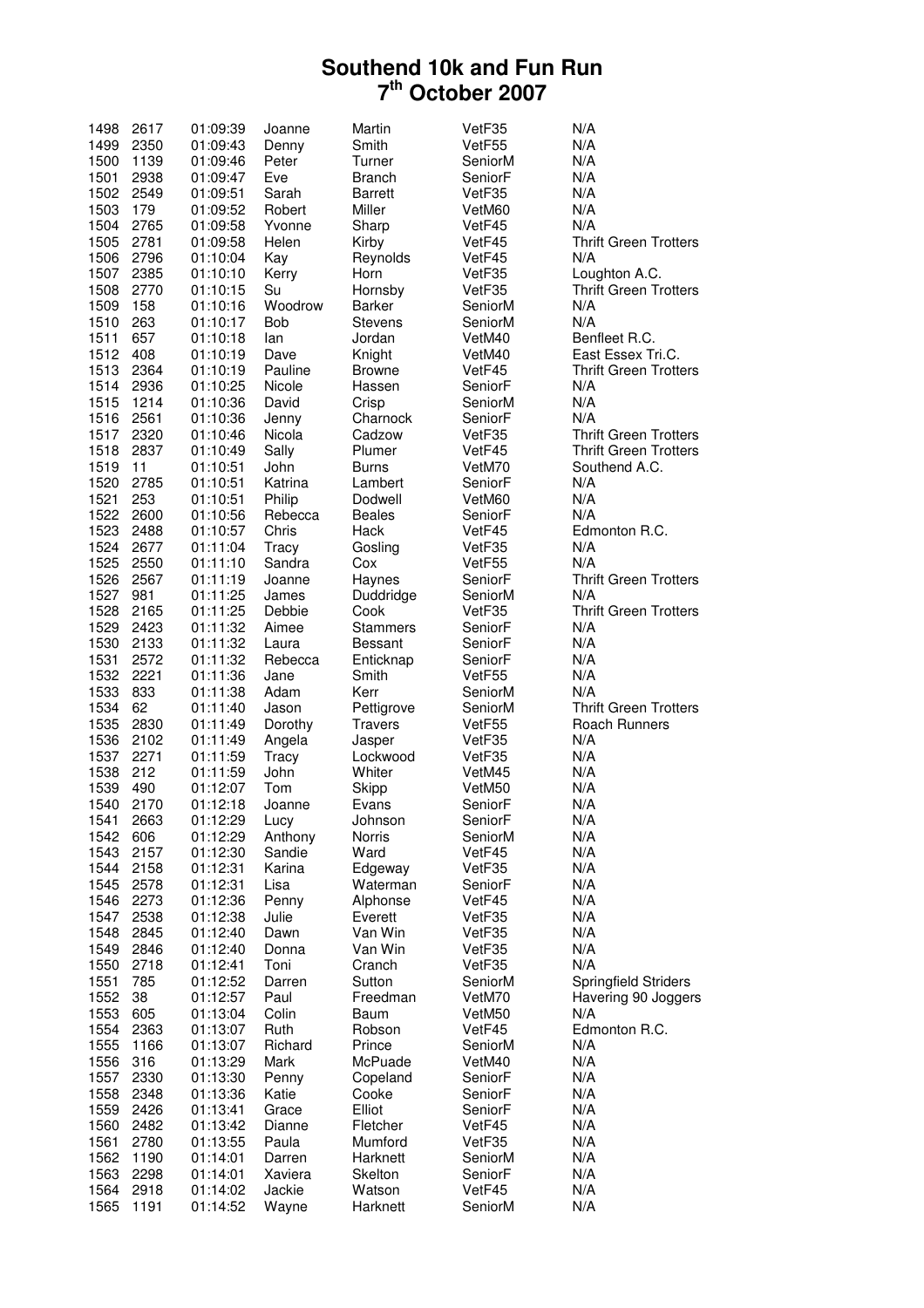| 1498 | 2617 | 01:09:39 | Joanne     | Martin          | VetF35  | N/A                          |
|------|------|----------|------------|-----------------|---------|------------------------------|
| 1499 | 2350 | 01:09:43 | Denny      | Smith           | VetF55  | N/A                          |
| 1500 | 1139 | 01:09:46 | Peter      | Turner          | SeniorM | N/A                          |
| 1501 | 2938 | 01:09:47 | Eve        | <b>Branch</b>   | SeniorF | N/A                          |
| 1502 | 2549 | 01:09:51 | Sarah      | <b>Barrett</b>  | VetF35  | N/A                          |
| 1503 | 179  | 01:09:52 | Robert     | Miller          | VetM60  | N/A                          |
| 1504 | 2765 | 01:09:58 | Yvonne     | Sharp           | VetF45  | N/A                          |
| 1505 | 2781 | 01:09:58 | Helen      | Kirby           | VetF45  | <b>Thrift Green Trotters</b> |
| 1506 | 2796 | 01:10:04 | Kay        | Reynolds        | VetF45  | N/A                          |
| 1507 | 2385 | 01:10:10 | Kerry      | Horn            | VetF35  | Loughton A.C.                |
| 1508 | 2770 | 01:10:15 | Su         | Hornsby         | VetF35  | <b>Thrift Green Trotters</b> |
| 1509 | 158  | 01:10:16 | Woodrow    | Barker          | SeniorM | N/A                          |
| 1510 | 263  | 01:10:17 | <b>Bob</b> | <b>Stevens</b>  | SeniorM | N/A                          |
| 1511 | 657  | 01:10:18 | lan        | Jordan          | VetM40  | Benfleet R.C.                |
| 1512 | 408  |          |            |                 | VetM40  | East Essex Tri.C.            |
|      |      | 01:10:19 | Dave       | Knight          |         |                              |
| 1513 | 2364 | 01:10:19 | Pauline    | <b>Browne</b>   | VetF45  | <b>Thrift Green Trotters</b> |
| 1514 | 2936 | 01:10:25 | Nicole     | Hassen          | SeniorF | N/A                          |
| 1515 | 1214 | 01:10:36 | David      | Crisp           | SeniorM | N/A                          |
| 1516 | 2561 | 01:10:36 | Jenny      | Charnock        | SeniorF | N/A                          |
| 1517 | 2320 | 01:10:46 | Nicola     | Cadzow          | VetF35  | <b>Thrift Green Trotters</b> |
| 1518 | 2837 | 01:10:49 | Sally      | Plumer          | VetF45  | <b>Thrift Green Trotters</b> |
| 1519 | 11   | 01:10:51 | John       | Burns           | VetM70  | Southend A.C.                |
| 1520 | 2785 | 01:10:51 | Katrina    | Lambert         | SeniorF | N/A                          |
| 1521 | 253  | 01:10:51 | Philip     | Dodwell         | VetM60  | N/A                          |
| 1522 | 2600 | 01:10:56 | Rebecca    | <b>Beales</b>   | SeniorF | N/A                          |
| 1523 | 2488 | 01:10:57 | Chris      | Hack            | VetF45  | Edmonton R.C.                |
| 1524 | 2677 | 01:11:04 | Tracy      | Gosling         | VetF35  | N/A                          |
| 1525 | 2550 | 01:11:10 | Sandra     | Cox             | VetF55  | N/A                          |
| 1526 | 2567 | 01:11:19 | Joanne     | Haynes          | SeniorF | <b>Thrift Green Trotters</b> |
| 1527 | 981  | 01:11:25 | James      | Duddridge       | SeniorM | N/A                          |
| 1528 | 2165 | 01:11:25 | Debbie     | Cook            | VetF35  | <b>Thrift Green Trotters</b> |
| 1529 | 2423 | 01:11:32 | Aimee      | <b>Stammers</b> | SeniorF | N/A                          |
| 1530 | 2133 | 01:11:32 | Laura      | <b>Bessant</b>  | SeniorF | N/A                          |
| 1531 | 2572 | 01:11:32 | Rebecca    | Enticknap       | SeniorF | N/A                          |
| 1532 | 2221 | 01:11:36 | Jane       | Smith           | VetF55  | N/A                          |
| 1533 | 833  | 01:11:38 | Adam       | Kerr            | SeniorM | N/A                          |
| 1534 | 62   | 01:11:40 | Jason      | Pettigrove      | SeniorM | <b>Thrift Green Trotters</b> |
| 1535 | 2830 | 01:11:49 | Dorothy    | <b>Travers</b>  | VetF55  | Roach Runners                |
| 1536 | 2102 | 01:11:49 | Angela     | Jasper          | VetF35  | N/A                          |
| 1537 | 2271 | 01:11:59 | Tracy      | Lockwood        | VetF35  | N/A                          |
| 1538 | 212  | 01:11:59 | John       | Whiter          | VetM45  | N/A                          |
| 1539 | 490  | 01:12:07 | Tom        | Skipp           | VetM50  | N/A                          |
| 1540 | 2170 | 01:12:18 | Joanne     | Evans           | SeniorF | N/A                          |
| 1541 | 2663 | 01:12:29 | Lucy       | Johnson         | SeniorF | N/A                          |
| 1542 | 606  | 01:12:29 | Anthony    | <b>Norris</b>   | SeniorM | N/A                          |
| 1543 | 2157 | 01:12:30 | Sandie     | Ward            | VetF45  | N/A                          |
| 1544 | 2158 | 01:12:31 | Karina     | Edgeway         | VetF35  | N/A                          |
| 1545 | 2578 | 01:12:31 | Lisa       | Waterman        | SeniorF | N/A                          |
| 1546 | 2273 | 01:12:36 | Penny      | Alphonse        | VetF45  | N/A                          |
| 1547 | 2538 | 01:12:38 | Julie      | Everett         | VetF35  | N/A                          |
| 1548 | 2845 | 01:12:40 | Dawn       | Van Win         | VetF35  | N/A                          |
| 1549 | 2846 | 01:12:40 | Donna      | Van Win         | VetF35  | N/A                          |
| 1550 | 2718 | 01:12:41 | Toni       | Cranch          | VetF35  | N/A                          |
| 1551 | 785  |          |            |                 |         | <b>Springfield Striders</b>  |
| 1552 | 38   | 01:12:52 | Darren     | Sutton          | SeniorM |                              |
|      |      | 01:12:57 | Paul       | Freedman        | VetM70  | Havering 90 Joggers          |
| 1553 | 605  | 01:13:04 | Colin      | Baum            | VetM50  | N/A                          |
| 1554 | 2363 | 01:13:07 | Ruth       | Robson          | VetF45  | Edmonton R.C.                |
| 1555 | 1166 | 01:13:07 | Richard    | Prince          | SeniorM | N/A                          |
| 1556 | 316  | 01:13:29 | Mark       | McPuade         | VetM40  | N/A                          |
| 1557 | 2330 | 01:13:30 | Penny      | Copeland        | SeniorF | N/A                          |
| 1558 | 2348 | 01:13:36 | Katie      | Cooke           | SeniorF | N/A                          |
| 1559 | 2426 | 01:13:41 | Grace      | Elliot          | SeniorF | N/A                          |
| 1560 | 2482 | 01:13:42 | Dianne     | Fletcher        | VetF45  | N/A                          |
| 1561 | 2780 | 01:13:55 | Paula      | Mumford         | VetF35  | N/A                          |
| 1562 | 1190 | 01:14:01 | Darren     | Harknett        | SeniorM | N/A                          |
| 1563 | 2298 | 01:14:01 | Xaviera    | Skelton         | SeniorF | N/A                          |
| 1564 | 2918 | 01:14:02 | Jackie     | Watson          | VetF45  | N/A                          |
| 1565 | 1191 | 01:14:52 | Wayne      | Harknett        | SeniorM | N/A                          |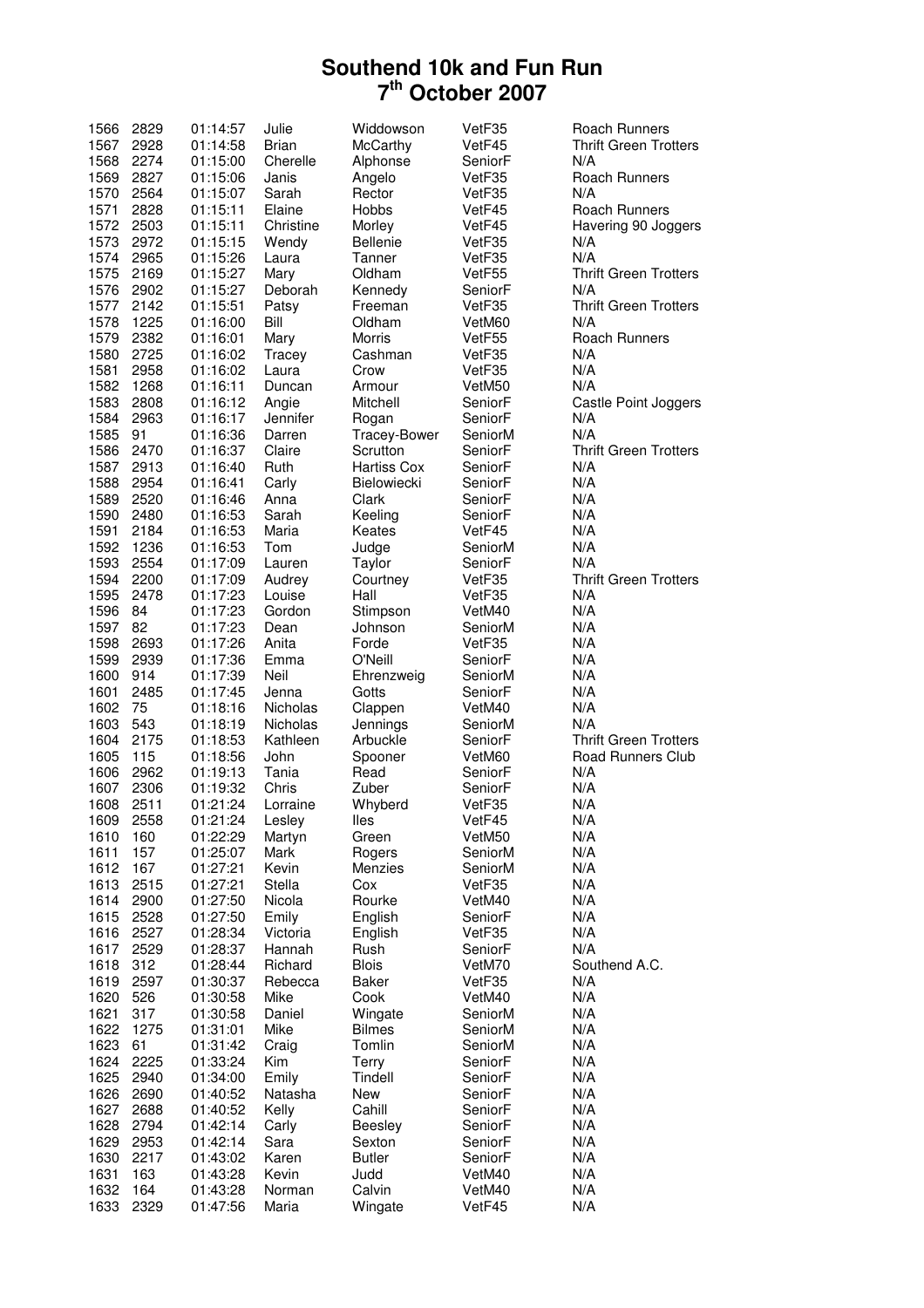| 1566 | 2829 | 01:14:57 | Julie           | Widdowson          | VetF35  | Roach Runners                |
|------|------|----------|-----------------|--------------------|---------|------------------------------|
| 1567 | 2928 | 01:14:58 | <b>Brian</b>    | McCarthy           | VetF45  | <b>Thrift Green Trotters</b> |
| 1568 | 2274 | 01:15:00 | Cherelle        | Alphonse           | SeniorF | N/A                          |
| 1569 | 2827 | 01:15:06 | Janis           | Angelo             | VetF35  | Roach Runners                |
| 1570 | 2564 | 01:15:07 | Sarah           | Rector             | VetF35  | N/A                          |
| 1571 | 2828 | 01:15:11 | Elaine          | <b>Hobbs</b>       | VetF45  | <b>Roach Runners</b>         |
| 1572 | 2503 | 01:15:11 | Christine       | Morley             | VetF45  | Havering 90 Joggers          |
| 1573 | 2972 | 01:15:15 | Wendy           | <b>Bellenie</b>    | VetF35  | N/A                          |
| 1574 | 2965 |          |                 | Tanner             |         | N/A                          |
|      |      | 01:15:26 | Laura           |                    | VetF35  |                              |
| 1575 | 2169 | 01:15:27 | Mary            | Oldham             | VetF55  | <b>Thrift Green Trotters</b> |
| 1576 | 2902 | 01:15:27 | Deborah         | Kennedy            | SeniorF | N/A                          |
| 1577 | 2142 | 01:15:51 | Patsy           | Freeman            | VetF35  | <b>Thrift Green Trotters</b> |
| 1578 | 1225 | 01:16:00 | Bill            | Oldham             | VetM60  | N/A                          |
| 1579 | 2382 | 01:16:01 | Mary            | Morris             | VetF55  | <b>Roach Runners</b>         |
| 1580 | 2725 | 01:16:02 | Tracey          | Cashman            | VetF35  | N/A                          |
| 1581 | 2958 | 01:16:02 | Laura           | Crow               | VetF35  | N/A                          |
| 1582 | 1268 | 01:16:11 | Duncan          | Armour             | VetM50  | N/A                          |
| 1583 | 2808 | 01:16:12 | Angie           | Mitchell           | SeniorF | Castle Point Joggers         |
| 1584 | 2963 | 01:16:17 | Jennifer        | Rogan              | SeniorF | N/A                          |
| 1585 | 91   | 01:16:36 | Darren          | Tracey-Bower       | SeniorM | N/A                          |
|      |      |          |                 |                    |         |                              |
| 1586 | 2470 | 01:16:37 | Claire          | Scrutton           | SeniorF | <b>Thrift Green Trotters</b> |
| 1587 | 2913 | 01:16:40 | Ruth            | <b>Hartiss Cox</b> | SeniorF | N/A                          |
| 1588 | 2954 | 01:16:41 | Carly           | Bielowiecki        | SeniorF | N/A                          |
| 1589 | 2520 | 01:16:46 | Anna            | Clark              | SeniorF | N/A                          |
| 1590 | 2480 | 01:16:53 | Sarah           | Keeling            | SeniorF | N/A                          |
| 1591 | 2184 | 01:16:53 | Maria           | Keates             | VetF45  | N/A                          |
| 1592 | 1236 | 01:16:53 | Tom             | Judge              | SeniorM | N/A                          |
| 1593 | 2554 | 01:17:09 | Lauren          | Taylor             | SeniorF | N/A                          |
| 1594 | 2200 | 01:17:09 | Audrey          | Courtney           | VetF35  | <b>Thrift Green Trotters</b> |
| 1595 | 2478 | 01:17:23 | Louise          | Hall               | VetF35  | N/A                          |
| 1596 | 84   |          | Gordon          |                    | VetM40  | N/A                          |
|      |      | 01:17:23 |                 | Stimpson           |         |                              |
| 1597 | 82   | 01:17:23 | Dean            | Johnson            | SeniorM | N/A                          |
| 1598 | 2693 | 01:17:26 | Anita           | Forde              | VetF35  | N/A                          |
| 1599 | 2939 | 01:17:36 | Emma            | O'Neill            | SeniorF | N/A                          |
| 1600 | 914  | 01:17:39 | Neil            | Ehrenzweig         | SeniorM | N/A                          |
| 1601 | 2485 | 01:17:45 | Jenna           | Gotts              | SeniorF | N/A                          |
| 1602 | 75   | 01:18:16 | <b>Nicholas</b> | Clappen            | VetM40  | N/A                          |
| 1603 | 543  | 01:18:19 | <b>Nicholas</b> | Jennings           | SeniorM | N/A                          |
| 1604 | 2175 | 01:18:53 | Kathleen        | Arbuckle           | SeniorF | <b>Thrift Green Trotters</b> |
| 1605 | 115  | 01:18:56 | John            | Spooner            | VetM60  | Road Runners Club            |
| 1606 | 2962 | 01:19:13 | Tania           | Read               | SeniorF | N/A                          |
| 1607 | 2306 | 01:19:32 | Chris           | Zuber              | SeniorF | N/A                          |
| 1608 | 2511 | 01:21:24 | Lorraine        | Whyberd            | VetF35  | N/A                          |
| 1609 | 2558 | 01:21:24 | Lesley          |                    |         | N/A                          |
|      |      |          |                 | lles               | VetF45  |                              |
| 1610 | 160  | 01:22:29 | Martyn          | Green              | VetM50  | N/A                          |
| 1611 | 157  | 01:25:07 | Mark            | Rogers             | SeniorM | N/A                          |
| 1612 | 167  | 01:27:21 | Kevin           | Menzies            | SeniorM | N/A                          |
| 1613 | 2515 | 01:27:21 | Stella          | Cox                | VetF35  | N/A                          |
| 1614 | 2900 | 01:27:50 | Nicola          | Rourke             | VetM40  | N/A                          |
| 1615 | 2528 | 01:27:50 | Emily           | English            | SeniorF | N/A                          |
| 1616 | 2527 | 01:28:34 | Victoria        | English            | VetF35  | N/A                          |
| 1617 | 2529 | 01:28:37 | Hannah          | Rush               | SeniorF | N/A                          |
| 1618 | 312  | 01:28:44 | Richard         | <b>Blois</b>       | VetM70  | Southend A.C.                |
| 1619 | 2597 | 01:30:37 | Rebecca         | Baker              | VetF35  | N/A                          |
| 1620 | 526  | 01:30:58 | Mike            | Cook               | VetM40  | N/A                          |
| 1621 | 317  | 01:30:58 | Daniel          | Wingate            | SeniorM | N/A                          |
| 1622 | 1275 |          | Mike            | <b>Bilmes</b>      | SeniorM | N/A                          |
|      |      | 01:31:01 |                 |                    |         |                              |
| 1623 | 61   | 01:31:42 | Craig           | Tomlin             | SeniorM | N/A                          |
| 1624 | 2225 | 01:33:24 | Kim             | Terry              | SeniorF | N/A                          |
| 1625 | 2940 | 01:34:00 | Emily           | Tindell            | SeniorF | N/A                          |
| 1626 | 2690 | 01:40:52 | Natasha         | New                | SeniorF | N/A                          |
| 1627 | 2688 | 01:40:52 | Kelly           | Cahill             | SeniorF | N/A                          |
| 1628 | 2794 | 01:42:14 | Carly           | Beesley            | SeniorF | N/A                          |
| 1629 | 2953 | 01:42:14 | Sara            | Sexton             | SeniorF | N/A                          |
| 1630 | 2217 | 01:43:02 | Karen           | <b>Butler</b>      | SeniorF | N/A                          |
| 1631 | 163  | 01:43:28 | Kevin           | Judd               | VetM40  | N/A                          |
| 1632 | 164  | 01:43:28 | Norman          | Calvin             | VetM40  | N/A                          |
| 1633 | 2329 | 01:47:56 | Maria           | Wingate            | VetF45  | N/A                          |
|      |      |          |                 |                    |         |                              |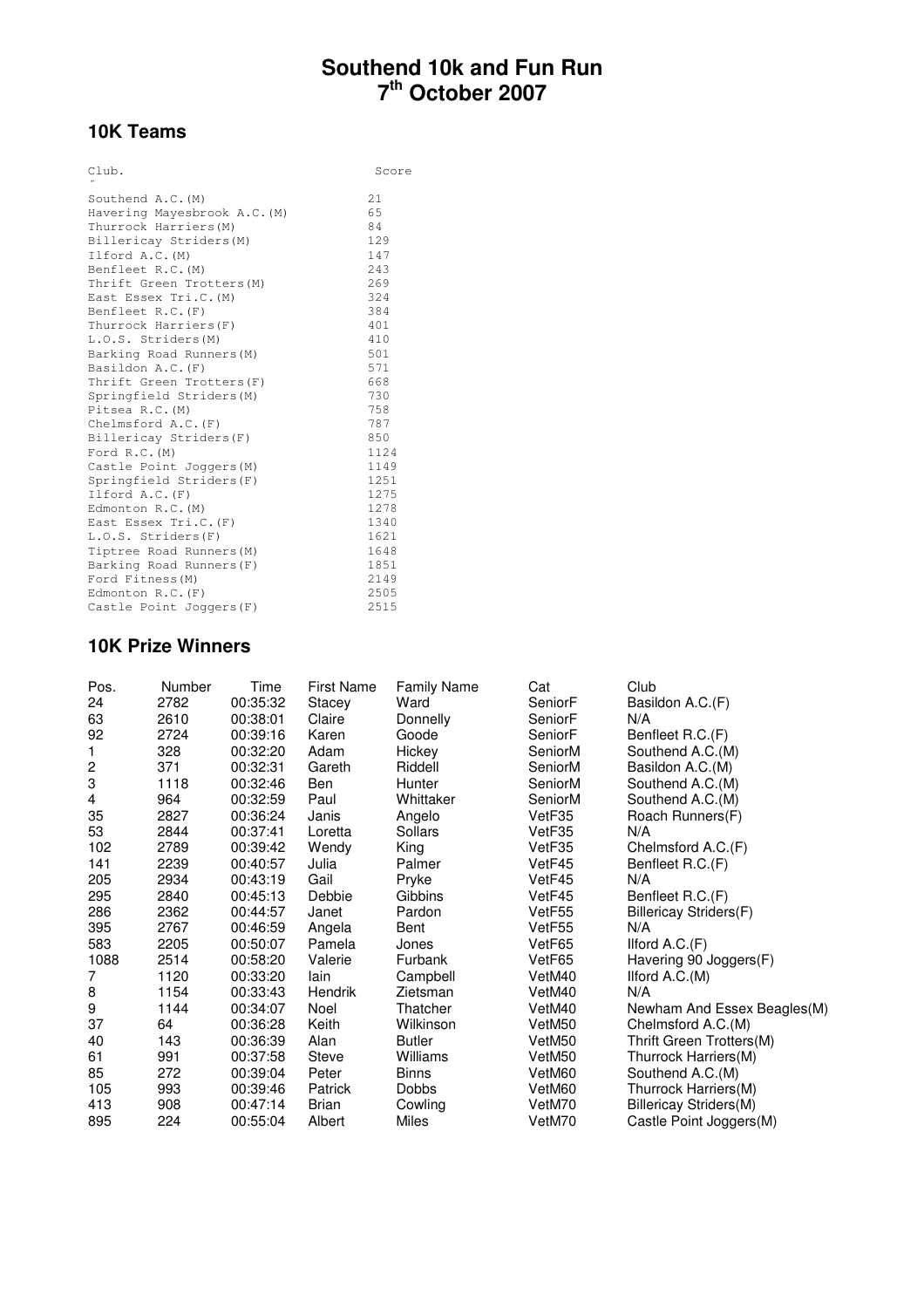# **10K Teams**

| Club.                        | Score |
|------------------------------|-------|
| Southend A.C. (M)            | 21    |
| Havering Mayesbrook A.C. (M) | 65    |
| Thurrock Harriers (M)        | 84    |
| Billericay Striders (M)      | 129   |
| Ilford A.C. (M)              | 147   |
| Benfleet R.C. (M)            | 243   |
| Thrift Green Trotters (M)    | 269   |
| East Essex Tri.C. (M)        | 324   |
| Benfleet R.C. (F)            | 384   |
| Thurrock Harriers (F)        | 401   |
| L.O.S. Striders(M)           | 410   |
| Barking Road Runners (M)     | 501   |
| Basildon A.C. (F)            | 571   |
| Thrift Green Trotters (F)    | 668   |
| Springfield Striders(M)      | 730   |
| Pitsea R.C. (M)              | 758   |
| Chelmsford A.C. (F)          | 787   |
| Billericay Striders(F)       | 850   |
| Ford $R.C. (M)$              | 1124  |
| Castle Point Joggers (M)     | 1149  |
| Springfield Striders(F)      | 1251  |
| Ilford A.C. (F)              | 1275  |
| Edmonton R.C. (M)            | 1278  |
| East Essex Tri.C. (F)        | 1340  |
| L.O.S. Striders(F)           | 1621  |
| Tiptree Road Runners (M)     | 1648  |
| Barking Road Runners (F)     | 1851  |
| Ford Fitness (M)             | 2149  |
| Edmonton $R.C.$ $(F)$        | 2505  |
| Castle Point Joggers (F)     | 2515  |

#### **10K Prize Winners**

| Pos.           | Number | Time     | <b>First Name</b> | <b>Family Name</b> | Cat     | Club                          |
|----------------|--------|----------|-------------------|--------------------|---------|-------------------------------|
| 24             | 2782   | 00:35:32 | Stacey            | Ward               | SeniorF | Basildon A.C.(F)              |
| 63             | 2610   | 00:38:01 | Claire            | Donnelly           | SeniorF | N/A                           |
| 92             | 2724   | 00:39:16 | Karen             | Goode              | SeniorF | Benfleet R.C.(F)              |
| 1              | 328    | 00:32:20 | Adam              | Hickey             | SeniorM | Southend A.C.(M)              |
| 2              | 371    | 00:32:31 | Gareth            | Riddell            | SeniorM | Basildon A.C.(M)              |
| 3              | 1118   | 00:32:46 | Ben               | Hunter             | SeniorM | Southend A.C.(M)              |
| 4              | 964    | 00:32:59 | Paul              | Whittaker          | SeniorM | Southend A.C.(M)              |
| 35             | 2827   | 00:36:24 | Janis             | Angelo             | VetF35  | Roach Runners(F)              |
| 53             | 2844   | 00:37:41 | Loretta           | Sollars            | VetF35  | N/A                           |
| 102            | 2789   | 00:39:42 | Wendy             | King               | VetF35  | Chelmsford A.C.(F)            |
| 141            | 2239   | 00:40:57 | Julia             | Palmer             | VetF45  | Benfleet R.C.(F)              |
| 205            | 2934   | 00:43:19 | Gail              | Pryke              | VetF45  | N/A                           |
| 295            | 2840   | 00:45:13 | Debbie            | Gibbins            | VetF45  | Benfleet R.C.(F)              |
| 286            | 2362   | 00:44:57 | Janet             | Pardon             | VetF55  | Billericay Striders(F)        |
| 395            | 2767   | 00:46:59 | Angela            | Bent               | VetF55  | N/A                           |
| 583            | 2205   | 00:50:07 | Pamela            | Jones              | VetF65  | Ilford $A.C.(F)$              |
| 1088           | 2514   | 00:58:20 | Valerie           | Furbank            | VetF65  | Havering 90 Joggers(F)        |
| $\overline{7}$ | 1120   | 00:33:20 | lain              | Campbell           | VetM40  | Ilford A.C.(M)                |
| 8              | 1154   | 00:33:43 | Hendrik           | Zietsman           | VetM40  | N/A                           |
| 9              | 1144   | 00:34:07 | Noel              | Thatcher           | VetM40  | Newham And Essex Beagles(M)   |
| 37             | 64     | 00:36:28 | Keith             | Wilkinson          | VetM50  | Chelmsford A.C.(M)            |
| 40             | 143    | 00:36:39 | Alan              | <b>Butler</b>      | VetM50  | Thrift Green Trotters(M)      |
| 61             | 991    | 00:37:58 | <b>Steve</b>      | Williams           | VetM50  | Thurrock Harriers(M)          |
| 85             | 272    | 00:39:04 | Peter             | <b>Binns</b>       | VetM60  | Southend A.C.(M)              |
| 105            | 993    | 00:39:46 | Patrick           | <b>Dobbs</b>       | VetM60  | Thurrock Harriers(M)          |
| 413            | 908    | 00:47:14 | <b>Brian</b>      | Cowling            | VetM70  | <b>Billericay Striders(M)</b> |
| 895            | 224    | 00:55:04 | Albert            | Miles              | VetM70  | Castle Point Joggers(M)       |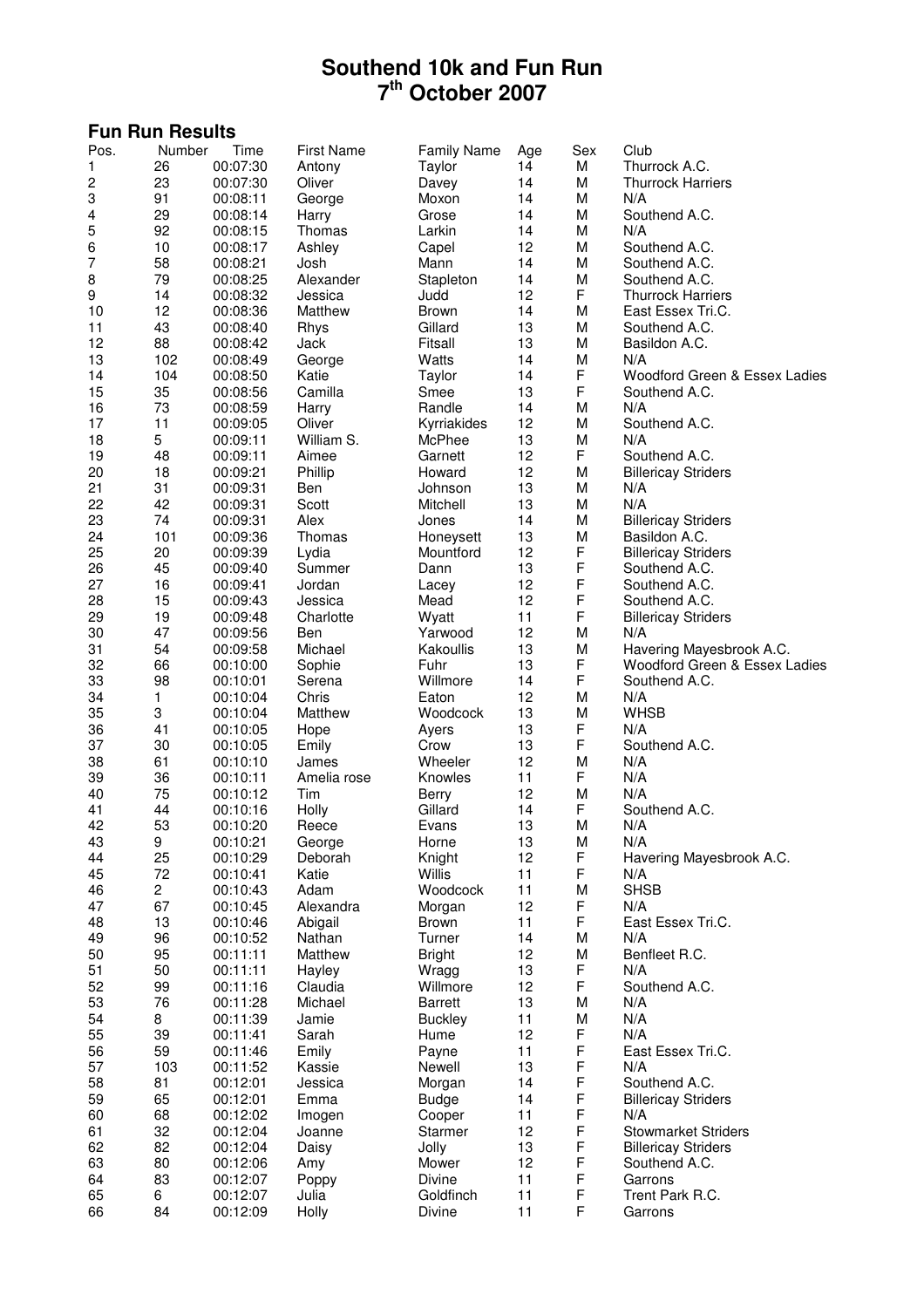| <b>Fun Run Results</b> |                |                      |                      |                        |          |                  |                                   |  |
|------------------------|----------------|----------------------|----------------------|------------------------|----------|------------------|-----------------------------------|--|
| Pos.                   | Number         | Time                 | <b>First Name</b>    | <b>Family Name</b>     | Age      | Sex              | Club                              |  |
| 1                      | 26             | 00:07:30             | Antony               | Taylor                 | 14       | M                | Thurrock A.C.                     |  |
| 2                      | 23             | 00:07:30             | Oliver               | Davey                  | 14       | M                | <b>Thurrock Harriers</b>          |  |
| 3                      | 91             | 00:08:11             | George               | Moxon                  | 14       | M                | N/A                               |  |
| 4                      | 29             | 00:08:14             | Harry                | Grose                  | 14       | M                | Southend A.C.                     |  |
| 5                      | 92             | 00:08:15             | Thomas               | Larkin                 | 14       | M                | N/A                               |  |
| 6                      | 10             | 00:08:17             | Ashley               | Capel                  | 12       | M                | Southend A.C.                     |  |
| 7                      | 58             | 00:08:21             | Josh                 | Mann                   | 14       | M                | Southend A.C.<br>Southend A.C.    |  |
| 8<br>9                 | 79<br>14       | 00:08:25<br>00:08:32 | Alexander<br>Jessica | Stapleton<br>Judd      | 14<br>12 | M<br>F           | <b>Thurrock Harriers</b>          |  |
| 10                     | 12             | 00:08:36             | Matthew              | <b>Brown</b>           | 14       | M                | East Essex Tri.C.                 |  |
| 11                     | 43             | 00:08:40             | Rhys                 | Gillard                | 13       | M                | Southend A.C.                     |  |
| 12                     | 88             | 00:08:42             | Jack                 | Fitsall                | 13       | M                | Basildon A.C.                     |  |
| 13                     | 102            | 00:08:49             | George               | Watts                  | 14       | M                | N/A                               |  |
| 14                     | 104            | 00:08:50             | Katie                | Taylor                 | 14       | F                | Woodford Green & Essex Ladies     |  |
| 15                     | 35             | 00:08:56             | Camilla              | Smee                   | 13       | F                | Southend A.C.                     |  |
| 16                     | 73             | 00:08:59             | Harry                | Randle                 | 14       | M                | N/A                               |  |
| 17                     | 11             | 00:09:05             | Oliver               | Kyrriakides            | 12       | M                | Southend A.C.                     |  |
| 18                     | 5              | 00:09:11             | William S.           | McPhee                 | 13       | M                | N/A                               |  |
| 19                     | 48             | 00:09:11             | Aimee                | Garnett                | 12       | F                | Southend A.C.                     |  |
| 20                     | 18             | 00:09:21             | Phillip              | Howard                 | 12       | M                | <b>Billericay Striders</b>        |  |
| 21                     | 31             | 00:09:31             | Ben                  | Johnson                | 13       | M                | N/A                               |  |
| 22<br>23               | 42<br>74       | 00:09:31<br>00:09:31 | Scott<br>Alex        | Mitchell<br>Jones      | 13<br>14 | M<br>M           | N/A<br><b>Billericay Striders</b> |  |
| 24                     | 101            | 00:09:36             | Thomas               | Honeysett              | 13       | M                | Basildon A.C.                     |  |
| 25                     | 20             | 00:09:39             | Lydia                | Mountford              | 12       | F                | <b>Billericay Striders</b>        |  |
| 26                     | 45             | 00:09:40             | Summer               | Dann                   | 13       | F                | Southend A.C.                     |  |
| 27                     | 16             | 00:09:41             | Jordan               | Lacey                  | 12       | $\mathsf F$      | Southend A.C.                     |  |
| 28                     | 15             | 00:09:43             | Jessica              | Mead                   | 12       | F                | Southend A.C.                     |  |
| 29                     | 19             | 00:09:48             | Charlotte            | Wyatt                  | 11       | F                | <b>Billericay Striders</b>        |  |
| 30                     | 47             | 00:09:56             | Ben                  | Yarwood                | 12       | M                | N/A                               |  |
| 31                     | 54             | 00:09:58             | Michael              | Kakoullis              | 13       | M                | Havering Mayesbrook A.C.          |  |
| 32                     | 66             | 00:10:00             | Sophie               | Fuhr                   | 13       | F                | Woodford Green & Essex Ladies     |  |
| 33                     | 98             | 00:10:01             | Serena               | Willmore               | 14       | F                | Southend A.C.                     |  |
| 34                     | 1              | 00:10:04             | Chris                | Eaton                  | 12       | M                | N/A                               |  |
| 35                     | 3              | 00:10:04             | Matthew              | Woodcock               | 13       | M                | <b>WHSB</b><br>N/A                |  |
| 36<br>37               | 41<br>30       | 00:10:05<br>00:10:05 | Hope<br>Emily        | Ayers<br>Crow          | 13<br>13 | F<br>F           | Southend A.C.                     |  |
| 38                     | 61             | 00:10:10             | James                | Wheeler                | 12       | M                | N/A                               |  |
| 39                     | 36             | 00:10:11             | Amelia rose          | Knowles                | 11       | F                | N/A                               |  |
| 40                     | 75             | 00:10:12             | Tim                  | Berry                  | 12       | M                | N/A                               |  |
| 41                     | 44             | 00:10:16             | Holly                | Gillard                | 14       | F                | Southend A.C.                     |  |
| 42                     | 53             | 00:10:20             | Reece                | Evans                  | 13       | M                | N/A                               |  |
| 43                     | 9              | 00:10:21             | George               | Horne                  | 13       | M                | N/A                               |  |
| 44                     | 25             | 00:10:29             | Deborah              | Knight                 | 12       | F                | Havering Mayesbrook A.C.          |  |
| 45                     | 72             | 00:10:41             | Katie                | Willis                 | 11       | F                | N/A                               |  |
| 46                     | $\overline{c}$ | 00:10:43             | Adam                 | Woodcock               | 11       | M                | <b>SHSB</b>                       |  |
| 47                     | 67             | 00:10:45             | Alexandra            | Morgan                 | 12       | F                | N/A                               |  |
| 48<br>49               | 13<br>96       | 00:10:46<br>00:10:52 | Abigail<br>Nathan    | <b>Brown</b><br>Turner | 11<br>14 | F<br>M           | East Essex Tri.C.<br>N/A          |  |
| 50                     | 95             | 00:11:11             | Matthew              | <b>Bright</b>          | 12       | M                | Benfleet R.C.                     |  |
| 51                     | 50             | 00:11:11             | Hayley               | Wragg                  | 13       | F                | N/A                               |  |
| 52                     | 99             | 00:11:16             | Claudia              | Willmore               | 12       | F                | Southend A.C.                     |  |
| 53                     | 76             | 00:11:28             | Michael              | <b>Barrett</b>         | 13       | M                | N/A                               |  |
| 54                     | 8              | 00:11:39             | Jamie                | <b>Buckley</b>         | 11       | M                | N/A                               |  |
| 55                     | 39             | 00:11:41             | Sarah                | Hume                   | 12       | F                | N/A                               |  |
| 56                     | 59             | 00:11:46             | Emily                | Payne                  | 11       | F                | East Essex Tri.C.                 |  |
| 57                     | 103            | 00:11:52             | Kassie               | Newell                 | 13       | $\mathsf F$      | N/A                               |  |
| 58                     | 81             | 00:12:01             | Jessica              | Morgan                 | 14       | F                | Southend A.C.                     |  |
| 59                     | 65             | 00:12:01             | Emma                 | <b>Budge</b>           | 14       | F                | <b>Billericay Striders</b>        |  |
| 60                     | 68             | 00:12:02             | Imogen               | Cooper                 | 11       | F                | N/A                               |  |
| 61                     | 32             | 00:12:04             | Joanne               | <b>Starmer</b>         | 12       | $\mathsf F$      | <b>Stowmarket Striders</b>        |  |
| 62                     | 82             | 00:12:04             | Daisy                | Jolly                  | 13       | F<br>$\mathsf F$ | <b>Billericay Striders</b>        |  |
| 63<br>64               | 80<br>83       | 00:12:06<br>00:12:07 | Amy<br>Poppy         | Mower<br>Divine        | 12<br>11 | F                | Southend A.C.<br>Garrons          |  |
| 65                     | 6              | 00:12:07             | Julia                | Goldfinch              | 11       | F                | Trent Park R.C.                   |  |
| 66                     | 84             | 00:12:09             | Holly                | Divine                 | 11       | F                | Garrons                           |  |
|                        |                |                      |                      |                        |          |                  |                                   |  |